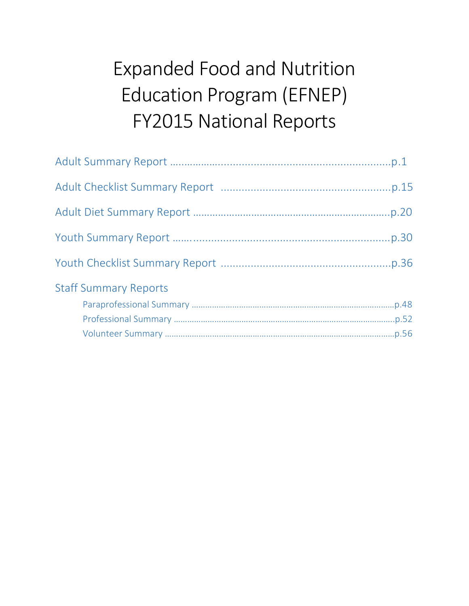# Expanded Food and Nutrition Education Program (EFNEP) FY2015 National Reports

| <b>Staff Summary Reports</b> |  |
|------------------------------|--|
|                              |  |
|                              |  |
|                              |  |
|                              |  |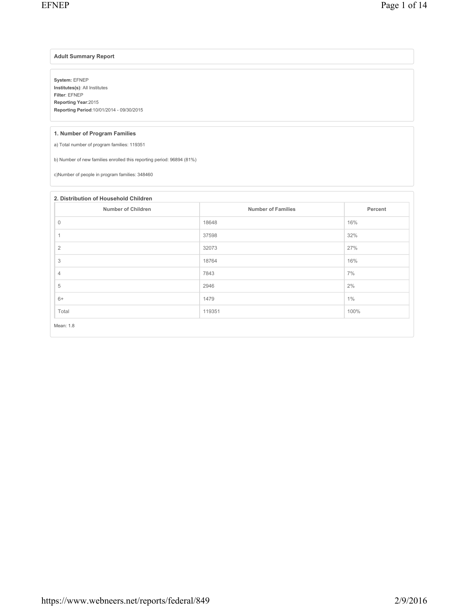### <span id="page-1-0"></span>**Adult Summary Report**

**System:** EFNEP **Institutes(s)**: All Institutes **Filter**: EFNEP **Reporting Year**:2015 **Reporting Period**:10/01/2014 - 09/30/2015

#### **1. Number of Program Families**

a) Total number of program families: 119351

b) Number of new families enrolled this reporting period: 96894 (81%)

c) Number of people in program families: 348460

| Number of Children | <b>Number of Families</b> | Percent |
|--------------------|---------------------------|---------|
|                    | 18648                     | 16%     |
|                    | 37598                     | 32%     |
|                    | 32073                     | 27%     |
|                    | 18764                     | 16%     |
|                    | 7843                      | 7%      |
|                    | 2946                      | 2%      |
| $6+$               | 1479                      | $1\%$   |
| Total              | 119351                    | 100%    |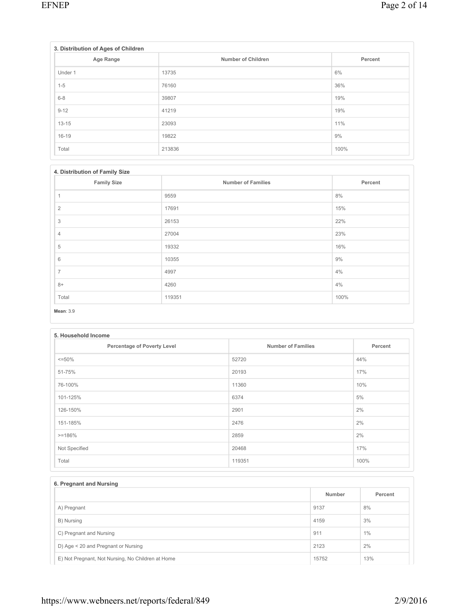| 3. Distribution of Ages of Children |                           |         |  |  |
|-------------------------------------|---------------------------|---------|--|--|
| Age Range                           | <b>Number of Children</b> | Percent |  |  |
| Under 1                             | 13735                     | 6%      |  |  |
| $1 - 5$                             | 76160                     | 36%     |  |  |
| $6 - 8$                             | 39807                     | 19%     |  |  |
| $9 - 12$                            | 41219                     | 19%     |  |  |
| $13 - 15$                           | 23093                     | 11%     |  |  |
| 16-19                               | 19822                     | 9%      |  |  |
| Total                               | 213836                    | 100%    |  |  |

| 4. Distribution of Family Size |                           |         |  |  |  |
|--------------------------------|---------------------------|---------|--|--|--|
| <b>Family Size</b>             | <b>Number of Families</b> | Percent |  |  |  |
| 1                              | 9559                      | 8%      |  |  |  |
| $\overline{2}$                 | 17691                     | 15%     |  |  |  |
| 3                              | 26153                     | 22%     |  |  |  |
| $\overline{4}$                 | 27004                     | 23%     |  |  |  |
| 5                              | 19332                     | 16%     |  |  |  |
| 6                              | 10355                     | 9%      |  |  |  |
| $\overline{7}$                 | 4997                      | 4%      |  |  |  |
| $8+$                           | 4260                      | 4%      |  |  |  |
| Total                          | 119351                    | 100%    |  |  |  |
| <b>Mean: 3.9</b>               |                           |         |  |  |  |

| 5. Household Income                |                           |         |  |  |  |
|------------------------------------|---------------------------|---------|--|--|--|
| <b>Percentage of Poverty Level</b> | <b>Number of Families</b> | Percent |  |  |  |
| $\leq$ =50%                        | 52720                     | 44%     |  |  |  |
| 51-75%                             | 20193                     | 17%     |  |  |  |
| 76-100%                            | 11360                     | 10%     |  |  |  |
| 101-125%                           | 6374                      | 5%      |  |  |  |
| 126-150%                           | 2901                      | 2%      |  |  |  |
| 151-185%                           | 2476                      | 2%      |  |  |  |
| $>=186%$                           | 2859                      | 2%      |  |  |  |
| Not Specified                      | 20468                     | 17%     |  |  |  |
| Total                              | 119351                    | 100%    |  |  |  |

| 6. Pregnant and Nursing                           |        |         |  |  |
|---------------------------------------------------|--------|---------|--|--|
|                                                   | Number | Percent |  |  |
| A) Pregnant                                       | 9137   | 8%      |  |  |
| B) Nursing                                        | 4159   | 3%      |  |  |
| C) Pregnant and Nursing                           | 911    | $1\%$   |  |  |
| D) Age < 20 and Pregnant or Nursing               | 2123   | 2%      |  |  |
| E) Not Pregnant, Not Nursing, No Children at Home | 15752  | 13%     |  |  |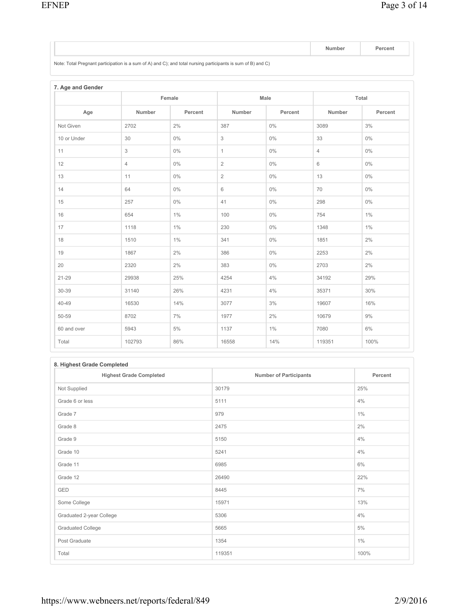|                                                                                                              |                |         |                |         | Number         | Percent |
|--------------------------------------------------------------------------------------------------------------|----------------|---------|----------------|---------|----------------|---------|
| Note: Total Pregnant participation is a sum of A) and C); and total nursing participants is sum of B) and C) |                |         |                |         |                |         |
|                                                                                                              |                |         |                |         |                |         |
| 7. Age and Gender                                                                                            |                |         |                |         |                |         |
|                                                                                                              |                | Female  |                | Male    |                | Total   |
| Age                                                                                                          | Number         | Percent | Number         | Percent | Number         | Percent |
| Not Given                                                                                                    | 2702           | 2%      | 387            | $0\%$   | 3089           | 3%      |
| 10 or Under                                                                                                  | 30             | $0\%$   | 3              | $0\%$   | 33             | $0\%$   |
| 11                                                                                                           | 3              | $0\%$   | $\mathbf{1}$   | $0\%$   | $\overline{4}$ | $0\%$   |
| 12                                                                                                           | $\overline{4}$ | $0\%$   | $\overline{2}$ | $0\%$   | 6              | $0\%$   |
| 13                                                                                                           | 11             | $0\%$   | $\overline{2}$ | $0\%$   | 13             | $0\%$   |
| 14                                                                                                           | 64             | $0\%$   | 6              | $0\%$   | 70             | $0\%$   |
| 15                                                                                                           | 257            | $0\%$   | 41             | $0\%$   | 298            | $0\%$   |
| 16                                                                                                           | 654            | $1\%$   | 100            | $0\%$   | 754            | $1\%$   |
| 17                                                                                                           | 1118           | $1\%$   | 230            | $0\%$   | 1348           | $1\%$   |
| 18                                                                                                           | 1510           | $1\%$   | 341            | $0\%$   | 1851           | 2%      |
| 19                                                                                                           | 1867           | 2%      | 386            | $0\%$   | 2253           | 2%      |
| 20                                                                                                           | 2320           | 2%      | 383            | $0\%$   | 2703           | 2%      |
| $21 - 29$                                                                                                    | 29938          | 25%     | 4254           | 4%      | 34192          | 29%     |
| 30-39                                                                                                        | 31140          | 26%     | 4231           | 4%      | 35371          | 30%     |
| $40 - 49$                                                                                                    | 16530          | 14%     | 3077           | 3%      | 19607          | 16%     |
| 50-59                                                                                                        | 8702           | 7%      | 1977           | 2%      | 10679          | 9%      |
| 60 and over                                                                                                  | 5943           | 5%      | 1137           | $1\%$   | 7080           | 6%      |
| Total                                                                                                        | 102793         | 86%     | 16558          | 14%     | 119351         | 100%    |

| <b>Highest Grade Completed</b> | <b>Number of Participants</b> | Percent |
|--------------------------------|-------------------------------|---------|
| Not Supplied                   | 30179                         | 25%     |
| Grade 6 or less                | 5111                          | 4%      |
| Grade 7                        | 979                           | 1%      |
| Grade 8                        | 2475                          | 2%      |
| Grade 9                        | 5150                          | 4%      |
| Grade 10                       | 5241                          | 4%      |
| Grade 11                       | 6985                          | 6%      |
| Grade 12                       | 26490                         | 22%     |
| GED                            | 8445                          | 7%      |
| Some College                   | 15971                         | 13%     |
| Graduated 2-year College       | 5306                          | 4%      |
| <b>Graduated College</b>       | 5665                          | 5%      |
| Post Graduate                  | 1354                          | $1\%$   |
| Total                          | 119351                        | 100%    |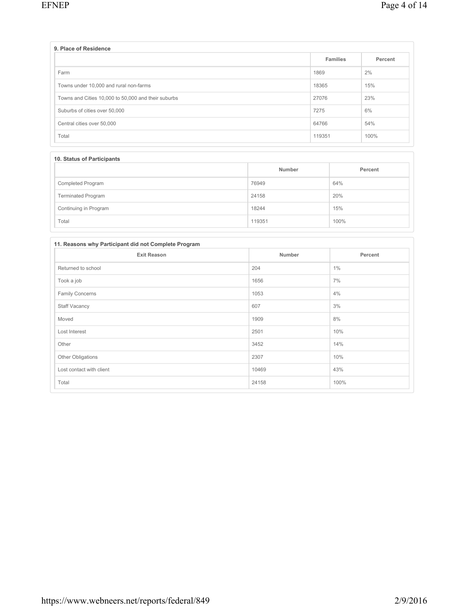| 9. Place of Residence                               |                 |         |
|-----------------------------------------------------|-----------------|---------|
|                                                     | <b>Families</b> | Percent |
| Farm                                                | 1869            | 2%      |
| Towns under 10,000 and rural non-farms              | 18365           | 15%     |
| Towns and Cities 10,000 to 50,000 and their suburbs | 27076           | 23%     |
| Suburbs of cities over 50,000                       | 7275            | 6%      |
| Central cities over 50,000                          | 64766           | 54%     |
| Total                                               | 119351          | 100%    |

| 10. Status of Participants |        |         |  |  |  |
|----------------------------|--------|---------|--|--|--|
|                            | Number | Percent |  |  |  |
| <b>Completed Program</b>   | 76949  | 64%     |  |  |  |
| <b>Terminated Program</b>  | 24158  | 20%     |  |  |  |
| Continuing in Program      | 18244  | 15%     |  |  |  |
| Total                      | 119351 | 100%    |  |  |  |

| 11. Reasons why Participant did not Complete Program |        |         |  |  |  |
|------------------------------------------------------|--------|---------|--|--|--|
| <b>Exit Reason</b>                                   | Number | Percent |  |  |  |
| Returned to school                                   | 204    | $1\%$   |  |  |  |
| Took a job                                           | 1656   | 7%      |  |  |  |
| <b>Family Concerns</b>                               | 1053   | 4%      |  |  |  |
| <b>Staff Vacancy</b>                                 | 607    | 3%      |  |  |  |
| Moved                                                | 1909   | 8%      |  |  |  |
| Lost Interest                                        | 2501   | 10%     |  |  |  |
| Other                                                | 3452   | 14%     |  |  |  |
| Other Obligations                                    | 2307   | 10%     |  |  |  |
| Lost contact with client                             | 10469  | 43%     |  |  |  |
| Total                                                | 24158  | 100%    |  |  |  |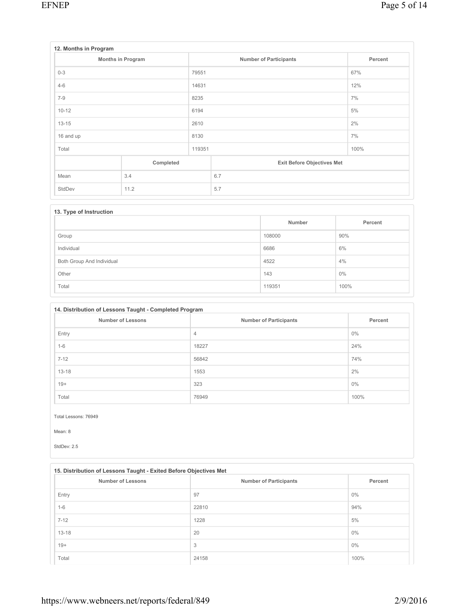| 12. Months in Program |           |                               |                                   |         |
|-----------------------|-----------|-------------------------------|-----------------------------------|---------|
| Months in Program     |           | <b>Number of Participants</b> |                                   | Percent |
| $0 - 3$               |           | 79551                         |                                   | 67%     |
| $4 - 6$               |           | 14631                         |                                   | 12%     |
| $7 - 9$               |           | 8235                          |                                   | 7%      |
| $10 - 12$<br>6194     |           |                               |                                   | 5%      |
| $13 - 15$             |           | 2610                          |                                   | 2%      |
| 16 and up             |           | 8130                          |                                   | 7%      |
| Total                 | 119351    |                               |                                   | 100%    |
|                       | Completed |                               | <b>Exit Before Objectives Met</b> |         |
| Mean                  | 3.4       |                               | 6.7                               |         |
| StdDev                | 11.2      |                               | 5.7                               |         |

|  | 13. Type of Instruction |  |
|--|-------------------------|--|
|  |                         |  |

|                           | Number | Percent |
|---------------------------|--------|---------|
| Group                     | 108000 | 90%     |
| Individual                | 6686   | 6%      |
| Both Group And Individual | 4522   | 4%      |
| Other                     | 143    | $0\%$   |
| Total                     | 119351 | 100%    |

| 14. Distribution of Lessons Taught - Completed Program |                               |         |  |  |  |  |  |
|--------------------------------------------------------|-------------------------------|---------|--|--|--|--|--|
| <b>Number of Lessons</b>                               | <b>Number of Participants</b> | Percent |  |  |  |  |  |
| Entry                                                  | $\overline{4}$                | $0\%$   |  |  |  |  |  |
| $1 - 6$                                                | 18227                         | 24%     |  |  |  |  |  |
| $7 - 12$                                               | 56842                         | 74%     |  |  |  |  |  |
| $13 - 18$                                              | 1553                          | 2%      |  |  |  |  |  |
| $19+$                                                  | 323                           | $0\%$   |  |  |  |  |  |
| Total                                                  | 76949                         | 100%    |  |  |  |  |  |

Total Lessons: 76949

Mean: 8

StdDev: 2.5

| 15. Distribution of Lessons Taught - Exited Before Objectives Met |                               |         |  |  |  |  |  |
|-------------------------------------------------------------------|-------------------------------|---------|--|--|--|--|--|
| Number of Lessons                                                 | <b>Number of Participants</b> | Percent |  |  |  |  |  |
| Entry                                                             | 97                            | $0\%$   |  |  |  |  |  |
| $1 - 6$                                                           | 22810                         | 94%     |  |  |  |  |  |
| $7 - 12$                                                          | 1228                          | 5%      |  |  |  |  |  |
| $13 - 18$                                                         | 20                            | $0\%$   |  |  |  |  |  |
| $19+$                                                             | 3                             | $0\%$   |  |  |  |  |  |
| Total                                                             | 24158                         | 100%    |  |  |  |  |  |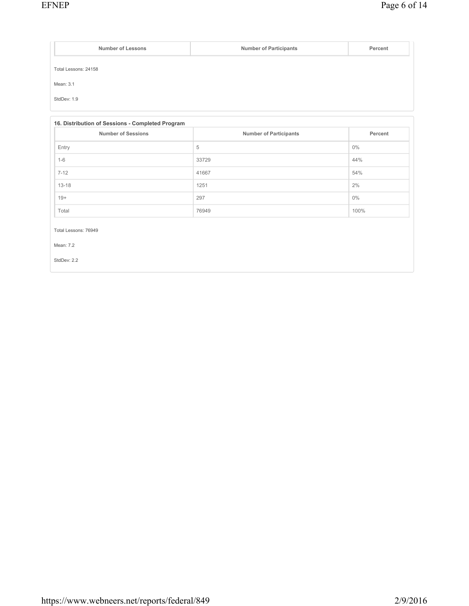| <b>Number of Lessons</b> | <b>Number of Participants</b> | Percent |
|--------------------------|-------------------------------|---------|
| Total Lessons: 24158     |                               |         |
| Mean: 3.1                |                               |         |
| StdDev: 1.9              |                               |         |

| <b>Number of Sessions</b> | <b>Number of Participants</b> | Percent |
|---------------------------|-------------------------------|---------|
| Entry                     | 5                             | $0\%$   |
| $1 - 6$                   | 33729                         | 44%     |
| $7 - 12$                  | 41667                         | 54%     |
| $13 - 18$                 | 1251                          | 2%      |
| $19+$                     | 297                           | $0\%$   |
| Total                     | 76949                         | 100%    |
| Total Lessons: 76949      |                               |         |
| Mean: 7.2                 |                               |         |

StdDev: 2.2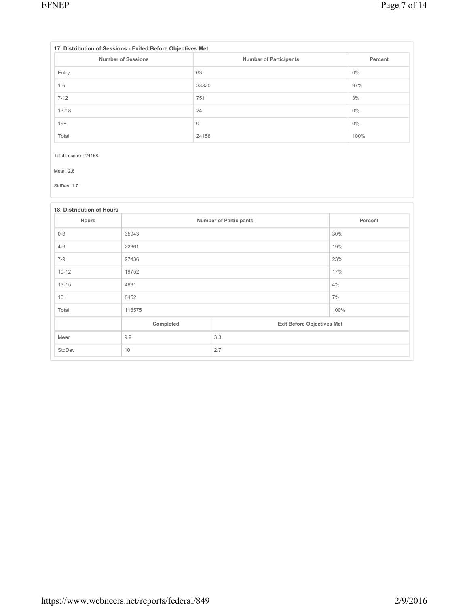| 17. Distribution of Sessions - Exited Before Objectives Met |                               |         |  |  |  |  |  |
|-------------------------------------------------------------|-------------------------------|---------|--|--|--|--|--|
| <b>Number of Sessions</b>                                   | <b>Number of Participants</b> | Percent |  |  |  |  |  |
| Entry                                                       | 63                            | $0\%$   |  |  |  |  |  |
| $1 - 6$                                                     | 23320                         | 97%     |  |  |  |  |  |
| $7 - 12$                                                    | 751                           | 3%      |  |  |  |  |  |
| $13 - 18$                                                   | 24                            | $0\%$   |  |  |  |  |  |
| $19+$                                                       | $\mathbf 0$                   | $0\%$   |  |  |  |  |  |
| Total                                                       | 24158                         | 100%    |  |  |  |  |  |

Total Lessons: 24158

Mean: 2.6

StdDev: 1.7

| 18. Distribution of Hours |                               |                                   |      |  |  |  |  |
|---------------------------|-------------------------------|-----------------------------------|------|--|--|--|--|
| Hours                     | <b>Number of Participants</b> | Percent                           |      |  |  |  |  |
| $0 - 3$                   | 35943                         |                                   | 30%  |  |  |  |  |
| $4 - 6$                   | 22361                         |                                   | 19%  |  |  |  |  |
| $7 - 9$                   | 27436                         |                                   | 23%  |  |  |  |  |
| $10 - 12$                 | 19752                         |                                   | 17%  |  |  |  |  |
| $13 - 15$                 | 4631                          |                                   | 4%   |  |  |  |  |
| $16+$                     | 8452                          |                                   | 7%   |  |  |  |  |
| Total                     | 118575                        |                                   | 100% |  |  |  |  |
|                           | Completed                     | <b>Exit Before Objectives Met</b> |      |  |  |  |  |
| Mean                      | 9.9                           | 3.3                               |      |  |  |  |  |
| StdDev                    | 10                            | 2.7                               |      |  |  |  |  |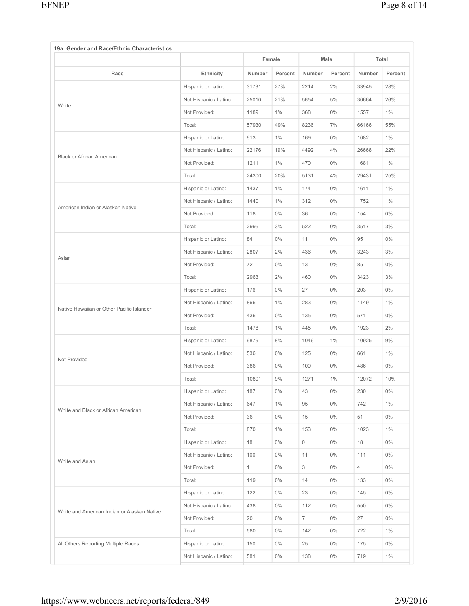|                                             |                        |              | Female  |                | Male    |                | Total   |
|---------------------------------------------|------------------------|--------------|---------|----------------|---------|----------------|---------|
| Race                                        | Ethnicity              | Number       | Percent | Number         | Percent | Number         | Percent |
|                                             | Hispanic or Latino:    | 31731        | 27%     | 2214           | $2\%$   | 33945          | 28%     |
|                                             | Not Hispanic / Latino: | 25010        | 21%     | 5654           | 5%      | 30664          | 26%     |
| White                                       | Not Provided:          | 1189         | $1\%$   | 368            | $0\%$   | 1557           | $1\%$   |
|                                             | Total:                 | 57930        | 49%     | 8236           | 7%      | 66166          | 55%     |
|                                             | Hispanic or Latino:    | 913          | $1\%$   | 169            | $0\%$   | 1082           | $1\%$   |
|                                             | Not Hispanic / Latino: | 22176        | 19%     | 4492           | 4%      | 26668          | 22%     |
| <b>Black or African American</b>            | Not Provided:          | 1211         | $1\%$   | 470            | $0\%$   | 1681           | 1%      |
|                                             | Total:                 | 24300        | 20%     | 5131           | 4%      | 29431          | 25%     |
|                                             | Hispanic or Latino:    | 1437         | $1\%$   | 174            | $0\%$   | 1611           | 1%      |
|                                             | Not Hispanic / Latino: | 1440         | $1\%$   | 312            | $0\%$   | 1752           | 1%      |
| American Indian or Alaskan Native           | Not Provided:          | 118          | $0\%$   | 36             | $0\%$   | 154            | $0\%$   |
|                                             | Total:                 | 2995         | 3%      | 522            | $0\%$   | 3517           | 3%      |
|                                             | Hispanic or Latino:    | 84           | $0\%$   | 11             | $0\%$   | 95             | $0\%$   |
| Asian                                       | Not Hispanic / Latino: | 2807         | 2%      | 436            | $0\%$   | 3243           | 3%      |
|                                             | Not Provided:          | 72           | $0\%$   | 13             | $0\%$   | 85             | $0\%$   |
|                                             | Total:                 | 2963         | 2%      | 460            | $0\%$   | 3423           | 3%      |
|                                             | Hispanic or Latino:    | 176          | $0\%$   | 27             | $0\%$   | 203            | $0\%$   |
| Native Hawaiian or Other Pacific Islander   | Not Hispanic / Latino: | 866          | $1\%$   | 283            | $0\%$   | 1149           | 1%      |
|                                             | Not Provided:          | 436          | $0\%$   | 135            | $0\%$   | 571            | $0\%$   |
|                                             | Total:                 | 1478         | $1\%$   | 445            | $0\%$   | 1923           | 2%      |
|                                             | Hispanic or Latino:    | 9879         | 8%      | 1046           | $1\%$   | 10925          | $9\%$   |
|                                             | Not Hispanic / Latino: | 536          | $0\%$   | 125            | $0\%$   | 661            | $1\%$   |
| Not Provided                                | Not Provided:          | 386          | $0\%$   | 100            | $0\%$   | 486            | $0\%$   |
|                                             | Total:                 | 10801        | 9%      | 1271           | $1\%$   | 12072          | 10%     |
|                                             | Hispanic or Latino:    | 187          | $0\%$   | 43             | $0\%$   | 230            | $0\%$   |
|                                             | Not Hispanic / Latino: | 647          | $1\%$   | 95             | $0\%$   | 742            | 1%      |
| White and Black or African American         | Not Provided:          | 36           | $0\%$   | 15             | $0\%$   | 51             | $0\%$   |
|                                             | Total:                 | 870          | $1\%$   | 153            | $0\%$   | 1023           | 1%      |
|                                             | Hispanic or Latino:    | 18           | $0\%$   | $\mathbf 0$    | $0\%$   | 18             | $0\%$   |
|                                             | Not Hispanic / Latino: | 100          | $0\%$   | 11             | $0\%$   | 111            | $0\%$   |
| White and Asian                             | Not Provided:          | $\mathbf{1}$ | $0\%$   | 3              | $0\%$   | $\overline{4}$ | $0\%$   |
|                                             | Total:                 | 119          | $0\%$   | 14             | $0\%$   | 133            | $0\%$   |
|                                             | Hispanic or Latino:    | 122          | $0\%$   | 23             | $0\%$   | 145            | $0\%$   |
|                                             | Not Hispanic / Latino: | 438          | $0\%$   | 112            | $0\%$   | 550            | $0\%$   |
| White and American Indian or Alaskan Native | Not Provided:          | 20           | $0\%$   | $\overline{7}$ | $0\%$   | 27             | $0\%$   |
|                                             | Total:                 | 580          | $0\%$   | 142            | $0\%$   | 722            | 1%      |
| All Others Reporting Multiple Races         | Hispanic or Latino:    | 150          | $0\%$   | 25             | $0\%$   | 175            | $0\%$   |
|                                             | Not Hispanic / Latino: | 581          | $0\%$   | 138            | $0\%$   | 719            | $1\%$   |
|                                             |                        |              |         |                |         |                |         |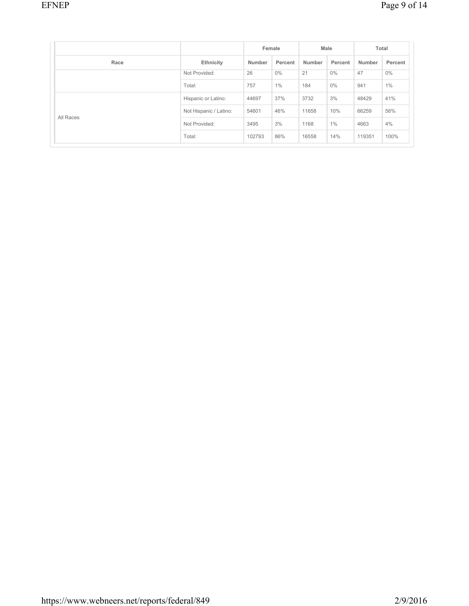|           |                        | Female |         | Male   |         | Total  |         |
|-----------|------------------------|--------|---------|--------|---------|--------|---------|
| Race      | Ethnicity              | Number | Percent | Number | Percent | Number | Percent |
|           | Not Provided:          | 26     | $0\%$   | 21     | $0\%$   | 47     | $0\%$   |
|           | Total:                 | 757    | $1\%$   | 184    | $0\%$   | 941    | 1%      |
|           | Hispanic or Latino:    | 44697  | 37%     | 3732   | 3%      | 48429  | 41%     |
| All Races | Not Hispanic / Latino: | 54601  | 46%     | 11658  | 10%     | 66259  | 56%     |
|           | Not Provided:          | 3495   | 3%      | 1168   | 1%      | 4663   | 4%      |
|           | Total:                 | 102793 | 86%     | 16558  | 14%     | 119351 | 100%    |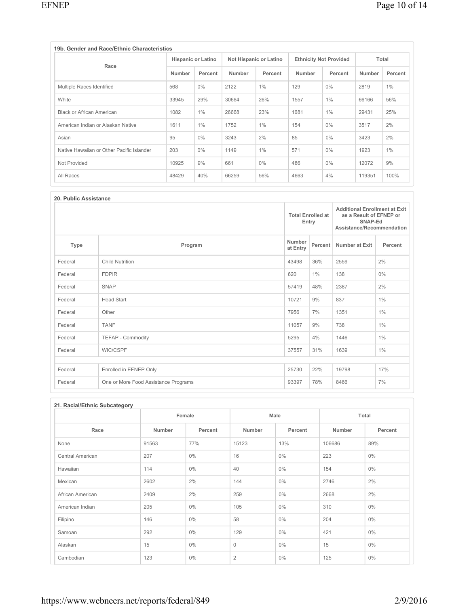| 19b. Gender and Race/Ethnic Characteristics |                           |         |                        |         |                               |         |        |         |  |  |
|---------------------------------------------|---------------------------|---------|------------------------|---------|-------------------------------|---------|--------|---------|--|--|
| Race                                        | <b>Hispanic or Latino</b> |         | Not Hispanic or Latino |         | <b>Ethnicity Not Provided</b> |         | Total  |         |  |  |
|                                             | Number                    | Percent | Number                 | Percent | Number                        | Percent | Number | Percent |  |  |
| Multiple Races Identified                   | 568                       | $0\%$   | 2122                   | 1%      | 129                           | $0\%$   | 2819   | $1\%$   |  |  |
| White                                       | 33945                     | 29%     | 30664                  | 26%     | 1557                          | $1\%$   | 66166  | 56%     |  |  |
| Black or African American                   | 1082                      | $1\%$   | 26668                  | 23%     | 1681                          | $1\%$   | 29431  | 25%     |  |  |
| American Indian or Alaskan Native           | 1611                      | $1\%$   | 1752                   | 1%      | 154                           | $0\%$   | 3517   | 2%      |  |  |
| Asian                                       | 95                        | $0\%$   | 3243                   | 2%      | 85                            | $0\%$   | 3423   | 2%      |  |  |
| Native Hawaiian or Other Pacific Islander   | 203                       | $0\%$   | 1149                   | 1%      | 571                           | $0\%$   | 1923   | 1%      |  |  |
| Not Provided                                | 10925                     | 9%      | 661                    | $0\%$   | 486                           | $0\%$   | 12072  | 9%      |  |  |
| All Races                                   | 48429                     | 40%     | 66259                  | 56%     | 4663                          | 4%      | 119351 | 100%    |  |  |

|         |                                      | <b>Total Enrolled at</b><br>Entry |         | <b>Additional Enrollment at Exit</b><br>as a Result of EFNEP or<br>SNAP-Ed<br>Assistance/Recommendation |         |
|---------|--------------------------------------|-----------------------------------|---------|---------------------------------------------------------------------------------------------------------|---------|
| Type    | Program                              | Number<br>at Entry                | Percent | Number at Exit                                                                                          | Percent |
| Federal | <b>Child Nutrition</b>               | 43498                             | 36%     | 2559                                                                                                    | 2%      |
| Federal | <b>FDPIR</b>                         | 620                               | $1\%$   | 138                                                                                                     | $0\%$   |
| Federal | SNAP                                 | 57419                             | 48%     | 2387                                                                                                    | 2%      |
| Federal | <b>Head Start</b>                    | 10721                             | 9%      | 837                                                                                                     | 1%      |
| Federal | Other                                | 7956                              | 7%      | 1351                                                                                                    | 1%      |
| Federal | <b>TANF</b>                          | 11057                             | 9%      | 738                                                                                                     | 1%      |
| Federal | TEFAP - Commodity                    | 5295                              | 4%      | 1446                                                                                                    | $1\%$   |
| Federal | WIC/CSPF                             | 37557                             | 31%     | 1639                                                                                                    | $1\%$   |
| Federal | Enrolled in EFNEP Only               | 25730                             | 22%     | 19798                                                                                                   | 17%     |
| Federal | One or More Food Assistance Programs | 93397                             | 78%     | 8466                                                                                                    | 7%      |

|  |  | 21. Racial/Ethnic Subcategory |  |
|--|--|-------------------------------|--|
|  |  |                               |  |

|                  | Female |         |             | Male    | Total  |         |  |
|------------------|--------|---------|-------------|---------|--------|---------|--|
| Race             | Number | Percent | Number      | Percent | Number | Percent |  |
| None             | 91563  | 77%     | 15123       | 13%     | 106686 | 89%     |  |
| Central American | 207    | $0\%$   | 16          | $0\%$   | 223    | $0\%$   |  |
| Hawaiian         | 114    | $0\%$   | 40          | $0\%$   | 154    | $0\%$   |  |
| Mexican          | 2602   | 2%      | 144         | $0\%$   | 2746   | 2%      |  |
| African American | 2409   | 2%      | 259         | $0\%$   | 2668   | 2%      |  |
| American Indian  | 205    | $0\%$   | 105         | $0\%$   | 310    | $0\%$   |  |
| Filipino         | 146    | $0\%$   | 58          | $0\%$   | 204    | $0\%$   |  |
| Samoan           | 292    | $0\%$   | 129         | $0\%$   | 421    | $0\%$   |  |
| Alaskan          | 15     | $0\%$   | $\mathbf 0$ | $0\%$   | 15     | $0\%$   |  |
| Cambodian        | 123    | $0\%$   | 2           | $0\%$   | 125    | $0\%$   |  |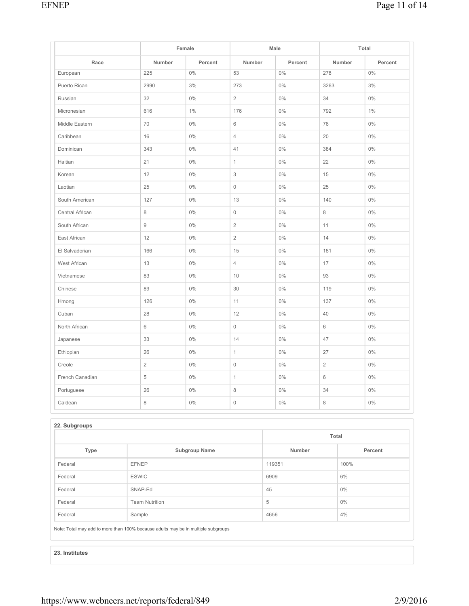|                 | Female         |         | Male                |         | Total          |         |  |
|-----------------|----------------|---------|---------------------|---------|----------------|---------|--|
| Race            | Number         | Percent | Number              | Percent | Number         | Percent |  |
| European        | 225            | $0\%$   | 53                  | $0\%$   | 278            | $0\%$   |  |
| Puerto Rican    | 2990           | 3%      | 273                 | $0\%$   | 3263           | 3%      |  |
| Russian         | 32             | $0\%$   | $\overline{2}$      | $0\%$   | 34             | $0\%$   |  |
| Micronesian     | 616            | $1\%$   | 176                 | $0\%$   | 792            | $1\%$   |  |
| Middle Eastern  | 70             | $0\%$   | 6                   | $0\%$   | 76             | $0\%$   |  |
| Caribbean       | 16             | $0\%$   | $\overline{4}$      | $0\%$   | 20             | $0\%$   |  |
| Dominican       | 343            | $0\%$   | 41                  | $0\%$   | 384            | $0\%$   |  |
| Haitian         | 21             | $0\%$   | $\mathbf{1}$        | $0\%$   | 22             | $0\%$   |  |
| Korean          | 12             | $0\%$   | 3                   | $0\%$   | 15             | $0\%$   |  |
| Laotian         | 25             | $0\%$   | $\mathbf 0$         | $0\%$   | 25             | $0\%$   |  |
| South American  | 127            | $0\%$   | 13                  | $0\%$   | 140            | $0\%$   |  |
| Central African | 8              | $0\%$   | $\mathsf{O}\xspace$ | $0\%$   | 8              | $0\%$   |  |
| South African   | 9              | $0\%$   | $\sqrt{2}$          | $0\%$   | 11             | $0\%$   |  |
| East African    | 12             | $0\%$   | $\sqrt{2}$          | $0\%$   | 14             | $0\%$   |  |
| El Salvadorian  | 166            | $0\%$   | 15                  | $0\%$   | 181            | $0\%$   |  |
| West African    | 13             | $0\%$   | $\overline{4}$      | $0\%$   | 17             | $0\%$   |  |
| Vietnamese      | 83             | $0\%$   | 10                  | $0\%$   | 93             | $0\%$   |  |
| Chinese         | 89             | $0\%$   | 30                  | $0\%$   | 119            | $0\%$   |  |
| Hmong           | 126            | $0\%$   | 11                  | $0\%$   | 137            | $0\%$   |  |
| Cuban           | 28             | $0\%$   | 12                  | $0\%$   | 40             | $0\%$   |  |
| North African   | 6              | $0\%$   | $\mathbf 0$         | $0\%$   | 6              | $0\%$   |  |
| Japanese        | 33             | $0\%$   | 14                  | $0\%$   | 47             | $0\%$   |  |
| Ethiopian       | 26             | $0\%$   | 1                   | $0\%$   | 27             | $0\%$   |  |
| Creole          | $\overline{2}$ | $0\%$   | $\mathsf{O}\xspace$ | $0\%$   | $\overline{2}$ | $0\%$   |  |
| French Canadian | 5              | $0\%$   | 1                   | $0\%$   | 6              | $0\%$   |  |
| Portuguese      | 26             | $0\%$   | 8                   | $0\%$   | 34             | $0\%$   |  |
| Caldean         | 8              | $0\%$   | $\mathbf 0$         | $0\%$   | 8              | $0\%$   |  |

## **22. Subgroups**

|         |                       |        | Total   |  |  |  |  |
|---------|-----------------------|--------|---------|--|--|--|--|
| Type    | <b>Subgroup Name</b>  | Number | Percent |  |  |  |  |
| Federal | <b>EFNEP</b>          | 119351 | 100%    |  |  |  |  |
| Federal | <b>ESWIC</b>          | 6909   | 6%      |  |  |  |  |
| Federal | SNAP-Ed               | 45     | $0\%$   |  |  |  |  |
| Federal | <b>Team Nutrition</b> | 5      | $0\%$   |  |  |  |  |
| Federal | Sample                | 4656   | 4%      |  |  |  |  |

**23. Institutes**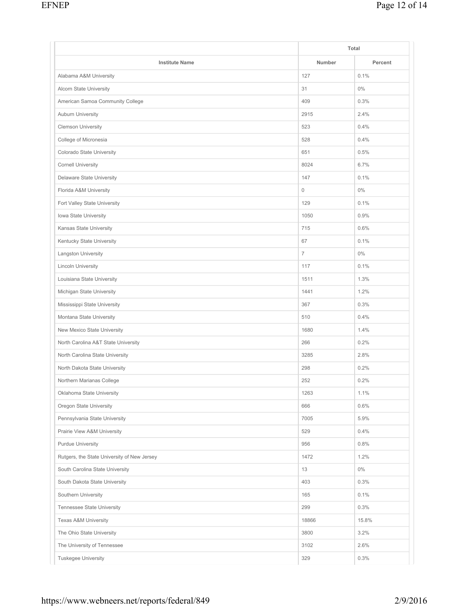|                                             |                | Total   |
|---------------------------------------------|----------------|---------|
| <b>Institute Name</b>                       | Number         | Percent |
| Alabama A&M University                      | 127            | 0.1%    |
| Alcorn State University                     | 31             | $0\%$   |
| American Samoa Community College            | 409            | 0.3%    |
| Auburn University                           | 2915           | 2.4%    |
| <b>Clemson University</b>                   | 523            | 0.4%    |
| College of Micronesia                       | 528            | 0.4%    |
| Colorado State University                   | 651            | 0.5%    |
| <b>Cornell University</b>                   | 8024           | 6.7%    |
| <b>Delaware State University</b>            | 147            | 0.1%    |
| Florida A&M University                      | $\mathbb O$    | $0\%$   |
| Fort Valley State University                | 129            | 0.1%    |
| Iowa State University                       | 1050           | 0.9%    |
| Kansas State University                     | 715            | 0.6%    |
| Kentucky State University                   | 67             | 0.1%    |
| Langston University                         | $\overline{7}$ | $0\%$   |
| <b>Lincoln University</b>                   | 117            | 0.1%    |
| Louisiana State University                  | 1511           | 1.3%    |
| Michigan State University                   | 1441           | 1.2%    |
| Mississippi State University                | 367            | 0.3%    |
| Montana State University                    | 510            | 0.4%    |
| New Mexico State University                 | 1680           | 1.4%    |
| North Carolina A&T State University         | 266            | 0.2%    |
| North Carolina State University             | 3285           | 2.8%    |
| North Dakota State University               | 298            | 0.2%    |
| Northern Marianas College                   | 252            | 0.2%    |
| Oklahoma State University                   | 1263           | 1.1%    |
| Oregon State University                     | 666            | 0.6%    |
| Pennsylvania State University               | 7005           | 5.9%    |
| Prairie View A&M University                 | 529            | 0.4%    |
| Purdue University                           | 956            | 0.8%    |
| Rutgers, the State University of New Jersey | 1472           | 1.2%    |
| South Carolina State University             | 13             | $0\%$   |
| South Dakota State University               | 403            | 0.3%    |
| Southern University                         | 165            | 0.1%    |
| Tennessee State University                  | 299            | 0.3%    |
| <b>Texas A&amp;M University</b>             | 18866          | 15.8%   |
| The Ohio State University                   | 3800           | 3.2%    |
| The University of Tennessee                 | 3102           | 2.6%    |
| <b>Tuskegee University</b>                  | 329            | 0.3%    |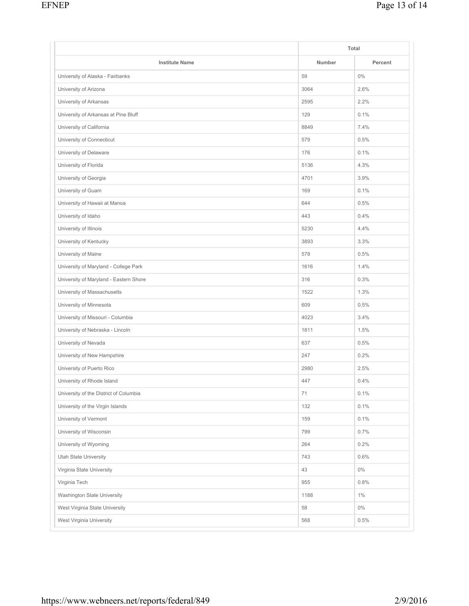|                                        |        | Total   |
|----------------------------------------|--------|---------|
| <b>Institute Name</b>                  | Number | Percent |
| University of Alaska - Fairbanks       | 59     | $0\%$   |
| University of Arizona                  | 3064   | 2.6%    |
| University of Arkansas                 | 2595   | 2.2%    |
| University of Arkansas at Pine Bluff   | 129    | 0.1%    |
| University of California               | 8849   | 7.4%    |
| University of Connecticut              | 579    | 0.5%    |
| University of Delaware                 | 176    | 0.1%    |
| University of Florida                  | 5136   | 4.3%    |
| University of Georgia                  | 4701   | 3.9%    |
| University of Guam                     | 169    | 0.1%    |
| University of Hawaii at Manoa          | 644    | 0.5%    |
| University of Idaho                    | 443    | 0.4%    |
| University of Illinois                 | 5230   | 4.4%    |
| University of Kentucky                 | 3893   | 3.3%    |
| University of Maine                    | 578    | 0.5%    |
| University of Maryland - College Park  | 1616   | 1.4%    |
| University of Maryland - Eastern Shore | 316    | 0.3%    |
| University of Massachusetts            | 1522   | 1.3%    |
| University of Minnesota                | 609    | 0.5%    |
| University of Missouri - Columbia      | 4023   | 3.4%    |
| University of Nebraska - Lincoln       | 1811   | 1.5%    |
| University of Nevada                   | 637    | 0.5%    |
| University of New Hampshire            | 247    | 0.2%    |
| University of Puerto Rico              | 2980   | 2.5%    |
| University of Rhode Island             | 447    | 0.4%    |
| University of the District of Columbia | 71     | 0.1%    |
| University of the Virgin Islands       | 132    | 0.1%    |
| University of Vermont                  | 159    | 0.1%    |
| University of Wisconsin                | 799    | 0.7%    |
| University of Wyoming                  | 264    | 0.2%    |
| <b>Utah State University</b>           | 743    | 0.6%    |
| Virginia State University              | 43     | $0\%$   |
| Virginia Tech                          | 955    | 0.8%    |
| Washington State University            | 1188   | $1\%$   |
| West Virginia State University         | 58     | $0\%$   |
| West Virginia University               | 568    | 0.5%    |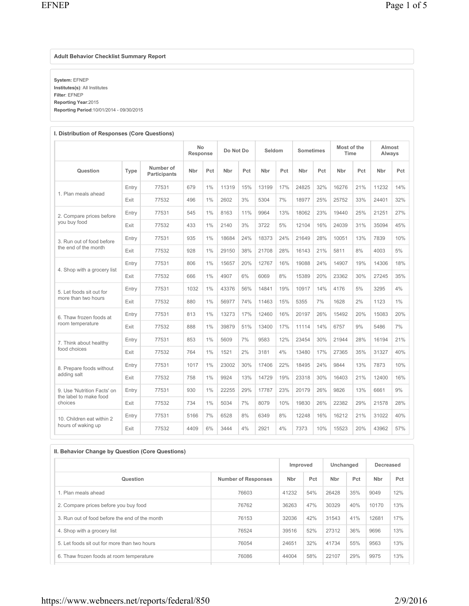## <span id="page-14-0"></span>**Adult Behavior Checklist Summary Report**

**System:** EFNEP **Institutes(s)**: All Institutes **Filter**: EFNEP **Reporting Year**:2015 **Reporting Period**:10/01/2014 - 09/30/2015

|                                   |       |                                  | No.<br>Response |       | Do Not Do |     | Seldom |     | <b>Sometimes</b> |     | Most of the<br>Time |     | Almost<br>Always |       |
|-----------------------------------|-------|----------------------------------|-----------------|-------|-----------|-----|--------|-----|------------------|-----|---------------------|-----|------------------|-------|
| Question                          | Type  | Number of<br><b>Participants</b> | Nbr             | Pct   | Nbr       | Pct | Nbr    | Pct | <b>Nbr</b>       | Pct | <b>Nbr</b>          | Pct | Nbr              | Pct   |
|                                   | Entry | 77531                            | 679             | 1%    | 11319     | 15% | 13199  | 17% | 24825            | 32% | 16276               | 21% | 11232            | 14%   |
| 1. Plan meals ahead               | Exit  | 77532                            | 496             | 1%    | 2602      | 3%  | 5304   | 7%  | 18977            | 25% | 25752               | 33% | 24401            | 32%   |
| 2. Compare prices before          | Entry | 77531                            | 545             | $1\%$ | 8163      | 11% | 9964   | 13% | 18062            | 23% | 19440               | 25% | 21251            | 27%   |
| you buy food                      | Exit  | 77532                            | 433             | 1%    | 2140      | 3%  | 3722   | 5%  | 12104            | 16% | 24039               | 31% | 35094            | 45%   |
| 3. Run out of food before         | Entry | 77531                            | 935             | $1\%$ | 18684     | 24% | 18373  | 24% | 21649            | 28% | 10051               | 13% | 7839             | 10%   |
| the end of the month              | Exit  | 77532                            | 928             | 1%    | 29150     | 38% | 21708  | 28% | 16143            | 21% | 5811                | 8%  | 4003             | 5%    |
|                                   | Entry | 77531                            | 806             | 1%    | 15657     | 20% | 12767  | 16% | 19088            | 24% | 14907               | 19% | 14306            | 18%   |
| 4. Shop with a grocery list       | Exit  | 77532                            | 666             | 1%    | 4907      | 6%  | 6069   | 8%  | 15389            | 20% | 23362               | 30% | 27245            | 35%   |
| 5. Let foods sit out for          | Entry | 77531                            | 1032            | 1%    | 43376     | 56% | 14841  | 19% | 10917            | 14% | 4176                | 5%  | 3295             | 4%    |
| more than two hours               | Exit  | 77532                            | 880             | 1%    | 56977     | 74% | 11463  | 15% | 5355             | 7%  | 1628                | 2%  | 1123             | $1\%$ |
| 6. Thaw frozen foods at           | Entry | 77531                            | 813             | 1%    | 13273     | 17% | 12460  | 16% | 20197            | 26% | 15492               | 20% | 15083            | 20%   |
| room temperature                  | Exit  | 77532                            | 888             | 1%    | 39879     | 51% | 13400  | 17% | 11114            | 14% | 6757                | 9%  | 5486             | 7%    |
| 7. Think about healthy            | Entry | 77531                            | 853             | 1%    | 5609      | 7%  | 9583   | 12% | 23454            | 30% | 21944               | 28% | 16194            | 21%   |
| food choices                      | Exit  | 77532                            | 764             | 1%    | 1521      | 2%  | 3181   | 4%  | 13480            | 17% | 27365               | 35% | 31327            | 40%   |
| 8. Prepare foods without          | Entry | 77531                            | 1017            | $1\%$ | 23002     | 30% | 17406  | 22% | 18495            | 24% | 9844                | 13% | 7873             | 10%   |
| adding salt                       | Exit  | 77532                            | 758             | 1%    | 9924      | 13% | 14729  | 19% | 23318            | 30% | 16403               | 21% | 12400            | 16%   |
| 9. Use 'Nutrition Facts' on       | Entry | 77531                            | 930             | 1%    | 22255     | 29% | 17787  | 23% | 20179            | 26% | 9826                | 13% | 6661             | 9%    |
| the label to make food<br>choices | Exit  | 77532                            | 734             | 1%    | 5034      | 7%  | 8079   | 10% | 19830            | 26% | 22382               | 29% | 21578            | 28%   |
| 10. Children eat within 2         | Entry | 77531                            | 5166            | 7%    | 6528      | 8%  | 6349   | 8%  | 12248            | 16% | 16212               | 21% | 31022            | 40%   |
| hours of waking up                | Exit  | 77532                            | 4409            | 6%    | 3444      | 4%  | 2921   | 4%  | 7373             | 10% | 15523               | 20% | 43962            | 57%   |

| II. Behavior Change by Question (Core Questions) |                            |            |     |           |     |           |     |
|--------------------------------------------------|----------------------------|------------|-----|-----------|-----|-----------|-----|
|                                                  |                            | Improved   |     | Unchanged |     | Decreased |     |
| Question                                         | <b>Number of Responses</b> | <b>Nbr</b> | Pct | Nbr       | Pct | Nbr       | Pct |
| 1. Plan meals ahead                              | 76603                      | 41232      | 54% | 26428     | 35% | 9049      | 12% |
| 2. Compare prices before you buy food            | 76762                      | 36263      | 47% | 30329     | 40% | 10170     | 13% |
| 3. Run out of food before the end of the month   | 76153                      | 32036      | 42% | 31543     | 41% | 12681     | 17% |
| 4. Shop with a grocery list                      | 76524                      | 39516      | 52% | 27312     | 36% | 9696      | 13% |
| 5. Let foods sit out for more than two hours     | 76054                      | 24651      | 32% | 41734     | 55% | 9563      | 13% |
| 6. Thaw frozen foods at room temperature         | 76086                      | 44004      | 58% | 22107     | 29% | 9975      | 13% |
|                                                  |                            |            |     |           |     |           |     |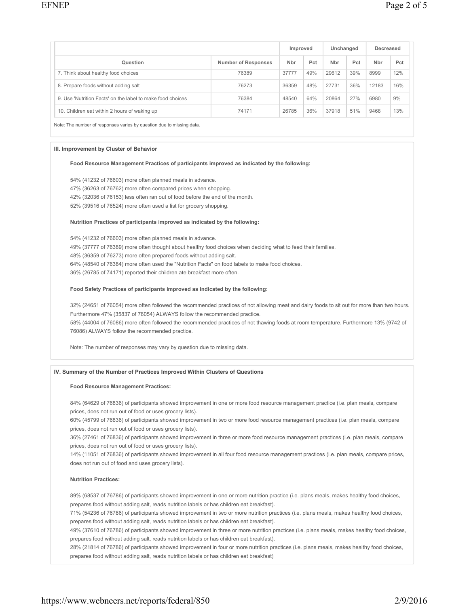|                                                            |                            | Improved   |     | Unchanged  |     | Decreased |     |
|------------------------------------------------------------|----------------------------|------------|-----|------------|-----|-----------|-----|
| Question                                                   | <b>Number of Responses</b> | <b>Nbr</b> | Pct | <b>Nbr</b> | Pct | Nbr       | Pct |
| 7. Think about healthy food choices                        | 76389                      | 37777      | 49% | 29612      | 39% | 8999      | 12% |
| 8. Prepare foods without adding salt                       | 76273                      | 36359      | 48% | 27731      | 36% | 12183     | 16% |
| 9. Use 'Nutrition Facts' on the label to make food choices | 76384                      | 48540      | 64% | 20864      | 27% | 6980      | 9%  |
| 10. Children eat within 2 hours of waking up               | 74171                      | 26785      | 36% | 37918      | 51% | 9468      | 13% |

Note: The number of responses varies by question due to missing data.

#### **III. Improvement by Cluster of Behavior**

#### **Food Resource Management Practices of participants improved as indicated by the following:**

54% (41232 of 76603) more often planned meals in advance. 47% (36263 of 76762) more often compared prices when shopping. 42% (32036 of 76153) less often ran out of food before the end of the month. 52% (39516 of 76524) more often used a list for grocery shopping.

#### **Nutrition Practices of participants improved as indicated by the following:**

54% (41232 of 76603) more often planned meals in advance. 49% (37777 of 76389) more often thought about healthy food choices when deciding what to feed their families. 48% (36359 of 76273) more often prepared foods without adding salt. 64% (48540 of 76384) more often used the "Nutrition Facts" on food labels to make food choices. 36% (26785 of 74171) reported their children ate breakfast more often.

#### **Food Safety Practices of participants improved as indicated by the following:**

32% (24651 of 76054) more often followed the recommended practices of not allowing meat and dairy foods to sit out for more than two hours. Furthermore 47% (35837 of 76054) ALWAYS follow the recommended practice. 58% (44004 of 76086) more often followed the recommended practices of not thawing foods at room temperature. Furthermore 13% (9742 of 76086) ALWAYS follow the recommended practice.

Note: The number of responses may vary by question due to missing data.

#### **IV. Summary of the Number of Practices Improved Within Clusters of Questions**

#### **Food Resource Management Practices:**

84% (64629 of 76836) of participants showed improvement in one or more food resource management practice (i.e. plan meals, compare prices, does not run out of food or uses grocery lists).

60% (45799 of 76836) of participants showed improvement in two or more food resource management practices (i.e. plan meals, compare prices, does not run out of food or uses grocery lists).

36% (27461 of 76836) of participants showed improvement in three or more food resource management practices (i.e. plan meals, compare prices, does not run out of food or uses grocery lists).

14% (11051 of 76836) of participants showed improvement in all four food resource management practices (i.e. plan meals, compare prices, does not run out of food and uses grocery lists).

#### **Nutrition Practices:**

89% (68537 of 76786) of participants showed improvement in one or more nutrition practice (i.e. plans meals, makes healthy food choices, prepares food without adding salt, reads nutrition labels or has children eat breakfast).

71% (54236 of 76786) of participants showed improvement in two or more nutrition practices (i.e. plans meals, makes healthy food choices, prepares food without adding salt, reads nutrition labels or has children eat breakfast).

49% (37610 of 76786) of participants showed improvement in three or more nutrition practices (i.e. plans meals, makes healthy food choices, prepares food without adding salt, reads nutrition labels or has children eat breakfast).

28% (21814 of 76786) of participants showed improvement in four or more nutrition practices (i.e. plans meals, makes healthy food choices, prepares food without adding salt, reads nutrition labels or has children eat breakfast)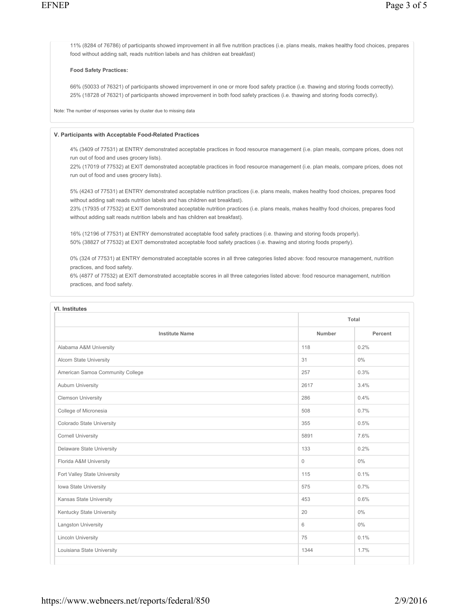11% (8284 of 76786) of participants showed improvement in all five nutrition practices (i.e. plans meals, makes healthy food choices, prepares food without adding salt, reads nutrition labels and has children eat breakfast)

#### **Food Safety Practices:**

66% (50033 of 76321) of participants showed improvement in one or more food safety practice (i.e. thawing and storing foods correctly). 25% (18728 of 76321) of participants showed improvement in both food safety practices (i.e. thawing and storing foods correctly).

Note: The number of responses varies by cluster due to missing data

#### **V. Participants with Acceptable Food-Related Practices**

4% (3409 of 77531) at ENTRY demonstrated acceptable practices in food resource management (i.e. plan meals, compare prices, does not run out of food and uses grocery lists).

22% (17019 of 77532) at EXIT demonstrated acceptable practices in food resource management (i.e. plan meals, compare prices, does not run out of food and uses grocery lists).

5% (4243 of 77531) at ENTRY demonstrated acceptable nutrition practices (i.e. plans meals, makes healthy food choices, prepares food without adding salt reads nutrition labels and has children eat breakfast).

23% (17935 of 77532) at EXIT demonstrated acceptable nutrition practices (i.e. plans meals, makes healthy food choices, prepares food without adding salt reads nutrition labels and has children eat breakfast).

16% (12196 of 77531) at ENTRY demonstrated acceptable food safety practices (i.e. thawing and storing foods properly). 50% (38827 of 77532) at EXIT demonstrated acceptable food safety practices (i.e. thawing and storing foods properly).

0% (324 of 77531) at ENTRY demonstrated acceptable scores in all three categories listed above: food resource management, nutrition practices, and food safety.

6% (4877 of 77532) at EXIT demonstrated acceptable scores in all three categories listed above: food resource management, nutrition practices, and food safety.

|                                  |        | Total   |
|----------------------------------|--------|---------|
| <b>Institute Name</b>            | Number | Percent |
| Alabama A&M University           | 118    | 0.2%    |
| Alcorn State University          | 31     | $0\%$   |
| American Samoa Community College | 257    | 0.3%    |
| Auburn University                | 2617   | 3.4%    |
| <b>Clemson University</b>        | 286    | 0.4%    |
| College of Micronesia            | 508    | 0.7%    |
| Colorado State University        | 355    | 0.5%    |
| <b>Cornell University</b>        | 5891   | 7.6%    |
| Delaware State University        | 133    | 0.2%    |
| Florida A&M University           | 0      | $0\%$   |
| Fort Valley State University     | 115    | 0.1%    |
| Iowa State University            | 575    | 0.7%    |
| Kansas State University          | 453    | 0.6%    |
| Kentucky State University        | 20     | $0\%$   |
| Langston University              | 6      | $0\%$   |
| <b>Lincoln University</b>        | 75     | 0.1%    |
| Louisiana State University       | 1344   | 1.7%    |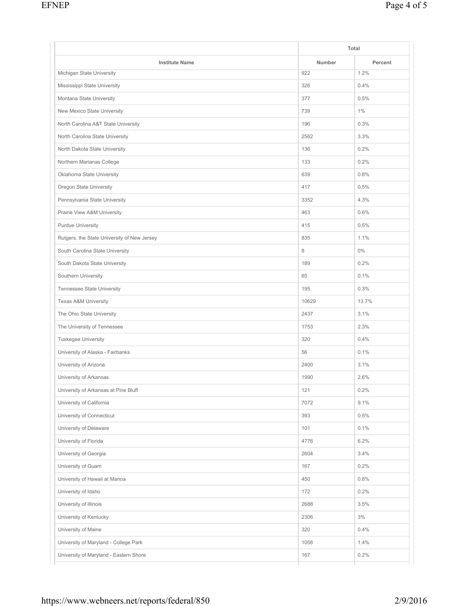|                                             | Total  |         |
|---------------------------------------------|--------|---------|
| <b>Institute Name</b>                       | Number | Percent |
| Michigan State University                   | 922    | 1.2%    |
| Mississippi State University                | 326    | 0.4%    |
| Montana State University                    | 377    | 0.5%    |
| New Mexico State University                 | 739    | 1%      |
| North Carolina A&T State University         | 196    | 0.3%    |
| North Carolina State University             | 2562   | 3.3%    |
| North Dakota State University               | 136    | 0.2%    |
| Northern Marianas College                   | 133    | 0.2%    |
| Oklahoma State University                   | 639    | 0.8%    |
| Oregon State University                     | 417    | 0.5%    |
| Pennsylvania State University               | 3352   | 4.3%    |
| Prairie View A&M University                 | 463    | 0.6%    |
| <b>Purdue University</b>                    | 415    | 0.5%    |
| Rutgers, the State University of New Jersey | 835    | 1.1%    |
| South Carolina State University             | 8      | $0\%$   |
| South Dakota State University               | 189    | 0.2%    |
| Southern University                         | 65     | 0.1%    |
| Tennessee State University                  | 195    | 0.3%    |
| Texas A&M University                        | 10629  | 13.7%   |
| The Ohio State University                   | 2437   | 3.1%    |
| The University of Tennessee                 | 1753   | 2.3%    |
| <b>Tuskegee University</b>                  | 320    | 0.4%    |
| University of Alaska - Fairbanks            | 56     | 0.1%    |
| University of Arizona                       | 2400   | 3.1%    |
| University of Arkansas                      | 1990   | 2.6%    |
| University of Arkansas at Pine Bluff        | 121    | 0.2%    |
| University of California                    | 7072   | 9.1%    |
| University of Connecticut                   | 393    | 0.5%    |
| University of Delaware                      | 101    | 0.1%    |
| University of Florida                       | 4776   | 6.2%    |
| University of Georgia                       | 2604   | 3.4%    |
| University of Guam                          | 167    | 0.2%    |
| University of Hawaii at Manoa               | 450    | 0.6%    |
| University of Idaho                         | 172    | 0.2%    |
| University of Illinois                      | 2688   | 3.5%    |
| University of Kentucky                      | 2306   | 3%      |
| University of Maine                         | 320    | 0.4%    |
| University of Maryland - College Park       | 1058   | 1.4%    |
| University of Maryland - Eastern Shore      | 167    | 0.2%    |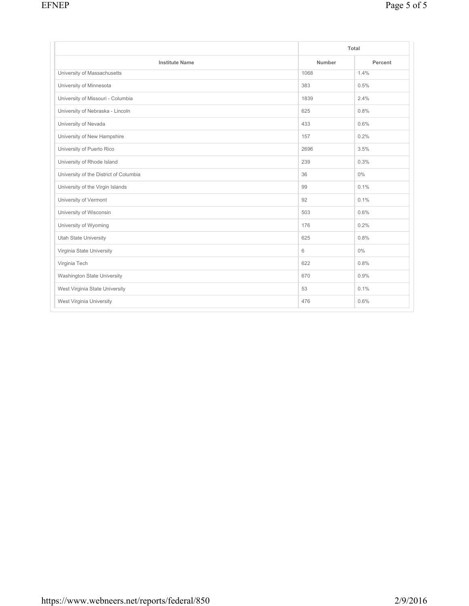|                                        | Total  |         |  |
|----------------------------------------|--------|---------|--|
| <b>Institute Name</b>                  | Number | Percent |  |
| University of Massachusetts            | 1068   | 1.4%    |  |
| University of Minnesota                | 383    | 0.5%    |  |
| University of Missouri - Columbia      | 1839   | 2.4%    |  |
| University of Nebraska - Lincoln       | 625    | 0.8%    |  |
| University of Nevada                   | 433    | 0.6%    |  |
| University of New Hampshire            | 157    | 0.2%    |  |
| University of Puerto Rico              | 2696   | 3.5%    |  |
| University of Rhode Island             | 239    | 0.3%    |  |
| University of the District of Columbia | 36     | $0\%$   |  |
| University of the Virgin Islands       | 99     | 0.1%    |  |
| University of Vermont                  | 92     | 0.1%    |  |
| University of Wisconsin                | 503    | 0.6%    |  |
| University of Wyoming                  | 176    | 0.2%    |  |
| <b>Utah State University</b>           | 625    | 0.8%    |  |
| Virginia State University              | 6      | $0\%$   |  |
| Virginia Tech                          | 622    | 0.8%    |  |
| Washington State University            | 670    | 0.9%    |  |
| West Virginia State University         | 53     | 0.1%    |  |
| West Virginia University               | 476    | 0.6%    |  |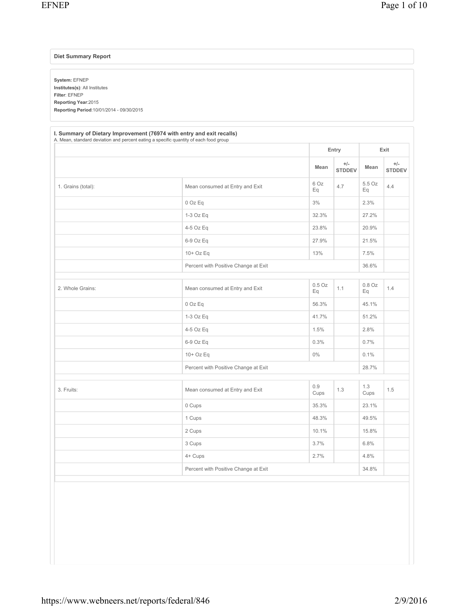## <span id="page-19-0"></span>**Diet Summary Report**

**System:** EFNEP **Institutes(s)**: All Institutes **Filter**: EFNEP **Reporting Year**:2015 **Reporting Period**:10/01/2014 - 09/30/2015

|                    |                                      |             | Entry                  |                | Exit                   |
|--------------------|--------------------------------------|-------------|------------------------|----------------|------------------------|
|                    |                                      | Mean        | $+/-$<br><b>STDDEV</b> | Mean           | $+/-$<br><b>STDDEV</b> |
| 1. Grains (total): | Mean consumed at Entry and Exit      | 6 Oz<br>Eq  | 4.7                    | 5.5 Oz<br>Eq   | 4.4                    |
|                    | 0 Oz Eq                              | 3%          |                        | 2.3%           |                        |
|                    | 1-3 Oz Eq                            | 32.3%       |                        | 27.2%          |                        |
|                    | 4-5 Oz Eq                            | 23.8%       |                        | 20.9%          |                        |
|                    | 6-9 Oz Eq                            | 27.9%       |                        | 21.5%          |                        |
|                    | 10+ Oz Eq                            | 13%         |                        | 7.5%           |                        |
|                    | Percent with Positive Change at Exit |             |                        | 36.6%          |                        |
| 2. Whole Grains:   | Mean consumed at Entry and Exit      | 0.5Oz<br>Eq | 1.1                    | $0.8O$ z<br>Eq | 1.4                    |
|                    | 0 Oz Eq                              | 56.3%       |                        | 45.1%          |                        |
|                    | 1-3 Oz Eq                            | 41.7%       |                        | 51.2%          |                        |
|                    | 4-5 Oz Eq                            | 1.5%        |                        | 2.8%           |                        |
|                    | 6-9 Oz Eq                            | 0.3%        |                        | 0.7%           |                        |
|                    | $10+Oz$ Eq                           | $0\%$       |                        | 0.1%           |                        |
|                    | Percent with Positive Change at Exit |             |                        | 28.7%          |                        |
| 3. Fruits:         | Mean consumed at Entry and Exit      | 0.9<br>Cups | 1.3                    | 1.3<br>Cups    | 1.5                    |
|                    | 0 Cups                               | 35.3%       |                        | 23.1%          |                        |
|                    | 1 Cups                               | 48.3%       |                        | 49.5%          |                        |
|                    | 2 Cups                               | 10.1%       |                        | 15.8%          |                        |
|                    | 3 Cups                               | 3.7%        |                        | 6.8%           |                        |
|                    | 4+ Cups                              | 2.7%        |                        | 4.8%           |                        |
|                    | Percent with Positive Change at Exit |             |                        | 34.8%          |                        |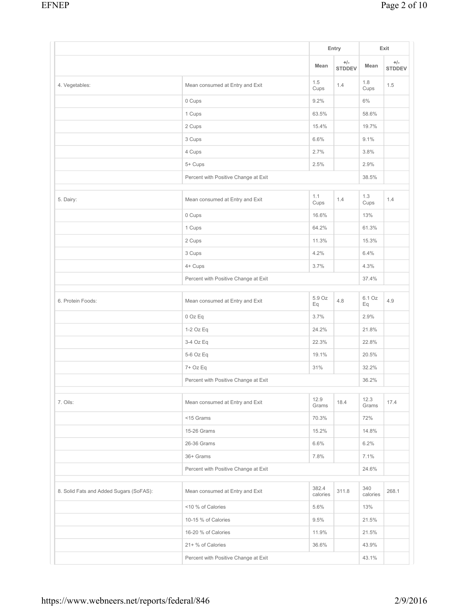|                                         |                                      |                   | Entry                  |                 | Exit                   |
|-----------------------------------------|--------------------------------------|-------------------|------------------------|-----------------|------------------------|
|                                         |                                      | Mean              | $+/-$<br><b>STDDEV</b> | Mean            | $+/-$<br><b>STDDEV</b> |
| 4. Vegetables:                          | Mean consumed at Entry and Exit      | 1.5<br>Cups       | 1.4                    | 1.8<br>Cups     | 1.5                    |
|                                         | 0 Cups                               | 9.2%              |                        | $6\%$           |                        |
|                                         | 1 Cups                               | 63.5%             |                        | 58.6%           |                        |
|                                         | 2 Cups                               | 15.4%             |                        | 19.7%           |                        |
|                                         | 3 Cups                               | 6.6%              |                        | 9.1%            |                        |
|                                         | 4 Cups                               | 2.7%              |                        | 3.8%            |                        |
|                                         | 5+ Cups                              | 2.5%              |                        | 2.9%            |                        |
|                                         | Percent with Positive Change at Exit |                   |                        | 38.5%           |                        |
| 5. Dairy:                               | Mean consumed at Entry and Exit      | 1.1<br>Cups       | 1.4                    | 1.3<br>Cups     | 1.4                    |
|                                         | 0 Cups                               | 16.6%             |                        | 13%             |                        |
|                                         | 1 Cups                               | 64.2%             |                        | 61.3%           |                        |
|                                         | 2 Cups                               | 11.3%             |                        | 15.3%           |                        |
|                                         | 3 Cups                               | 4.2%              |                        | 6.4%            |                        |
|                                         | 4+ Cups                              | 3.7%              |                        | 4.3%            |                        |
|                                         | Percent with Positive Change at Exit |                   |                        | 37.4%           |                        |
| 6. Protein Foods:                       | Mean consumed at Entry and Exit      | 5.9 Oz<br>Eq      | 4.8                    | 6.1 Oz<br>Eq    | 4.9                    |
|                                         | 0 Oz Eq                              | 3.7%              |                        | 2.9%            |                        |
|                                         | $1-2$ Oz Eq                          | 24.2%             |                        | 21.8%           |                        |
|                                         | 3-4 Oz Eq                            | 22.3%             |                        | 22.8%           |                        |
|                                         | 5-6 Oz Eq                            | 19.1%             |                        | 20.5%           |                        |
|                                         | 7+ Oz Eq                             | 31%               |                        | 32.2%           |                        |
|                                         | Percent with Positive Change at Exit |                   |                        | 36.2%           |                        |
| 7. Oils:                                | Mean consumed at Entry and Exit      | 12.9<br>Grams     | 18.4                   | 12.3<br>Grams   | 17.4                   |
|                                         | <15 Grams                            | 70.3%             |                        | 72%             |                        |
|                                         | 15-26 Grams                          | 15.2%             |                        | 14.8%           |                        |
|                                         | 26-36 Grams                          | 6.6%              |                        | 6.2%            |                        |
|                                         | 36+ Grams                            | 7.8%              |                        | 7.1%            |                        |
|                                         | Percent with Positive Change at Exit |                   |                        | 24.6%           |                        |
| 8. Solid Fats and Added Sugars (SoFAS): | Mean consumed at Entry and Exit      | 382.4<br>calories | 311.8                  | 340<br>calories | 268.1                  |
|                                         | <10 % of Calories                    | 5.6%              |                        | 13%             |                        |
|                                         | 10-15 % of Calories                  | 9.5%              |                        | 21.5%           |                        |
|                                         | 16-20 % of Calories                  | 11.9%             |                        | 21.5%           |                        |
|                                         | 21+ % of Calories                    | 36.6%             |                        | 43.9%           |                        |
|                                         | Percent with Positive Change at Exit |                   |                        | 43.1%           |                        |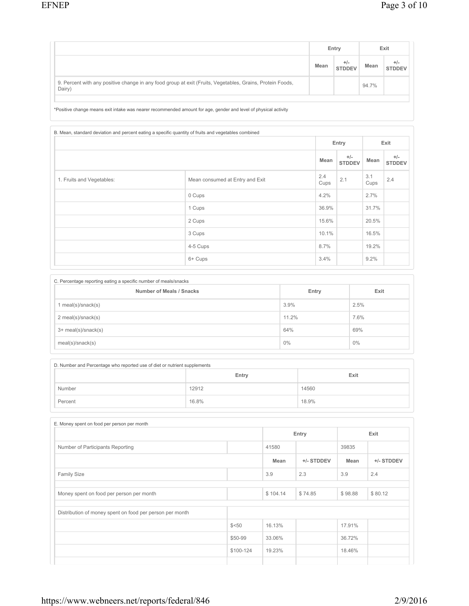|                                                                                                                     |      | Entry                  |       | Exit                   |
|---------------------------------------------------------------------------------------------------------------------|------|------------------------|-------|------------------------|
|                                                                                                                     | Mean | $+/-$<br><b>STDDEV</b> | Mean  | $+/-$<br><b>STDDEV</b> |
| 9. Percent with any positive change in any food group at exit (Fruits, Vegetables, Grains, Protein Foods,<br>Dairy) |      |                        | 94.7% |                        |
| *Positive change means exit intake was nearer recommended amount for age, gender and level of physical activity     |      |                        |       |                        |

| B. Mean, standard deviation and percent eating a specific quantity of fruits and vegetables combined |                                 |             |                        |             |                        |
|------------------------------------------------------------------------------------------------------|---------------------------------|-------------|------------------------|-------------|------------------------|
|                                                                                                      |                                 |             | Entry                  |             | Exit                   |
|                                                                                                      |                                 | Mean        | $+/-$<br><b>STDDEV</b> | Mean        | $+/-$<br><b>STDDEV</b> |
| 1. Fruits and Vegetables:                                                                            | Mean consumed at Entry and Exit | 2.4<br>Cups | 2.1                    | 3.1<br>Cups | 2.4                    |
|                                                                                                      | 0 Cups                          | 4.2%        |                        | 2.7%        |                        |
|                                                                                                      | 1 Cups                          | 36.9%       |                        | 31.7%       |                        |
|                                                                                                      | 2 Cups                          | 15.6%       |                        | 20.5%       |                        |
|                                                                                                      | 3 Cups                          | 10.1%       |                        | 16.5%       |                        |
|                                                                                                      | 4-5 Cups                        | 8.7%        |                        | 19.2%       |                        |
|                                                                                                      | 6+ Cups                         | 3.4%        |                        | 9.2%        |                        |

| C. Percentage reporting eating a specific number of meals/snacks |       |       |
|------------------------------------------------------------------|-------|-------|
| Number of Meals / Snacks                                         | Entry | Exit  |
| 1 meal(s)/snack(s)                                               | 3.9%  | 2.5%  |
| 2 meal(s)/snack(s)                                               | 11.2% | 7.6%  |
| 3+ meal(s)/snack(s)                                              | 64%   | 69%   |
| meal(s)/spack(s)                                                 | $0\%$ | $0\%$ |

| D. Number and Percentage who reported use of diet or nutrient supplements |       |       |
|---------------------------------------------------------------------------|-------|-------|
|                                                                           | Entry | Exit  |
| Number                                                                    | 12912 | 14560 |
| Percent                                                                   | 16.8% | 18.9% |

| E. Money spent on food per person per month              |           |          |            |         |            |
|----------------------------------------------------------|-----------|----------|------------|---------|------------|
|                                                          |           |          | Entry      |         | Exit       |
| Number of Participants Reporting                         |           | 41580    |            | 39835   |            |
|                                                          |           | Mean     | +/- STDDEV | Mean    | +/- STDDEV |
| <b>Family Size</b>                                       |           | 3.9      | 2.3        | 3.9     | 2.4        |
|                                                          |           |          |            |         |            |
| Money spent on food per person per month                 |           | \$104.14 | \$74.85    | \$98.88 | \$80.12    |
|                                                          |           |          |            |         |            |
| Distribution of money spent on food per person per month |           |          |            |         |            |
|                                                          | \$< 50    | 16.13%   |            | 17.91%  |            |
|                                                          | \$50-99   | 33.06%   |            | 36.72%  |            |
|                                                          | \$100-124 | 19.23%   |            | 18.46%  |            |
|                                                          |           |          |            |         |            |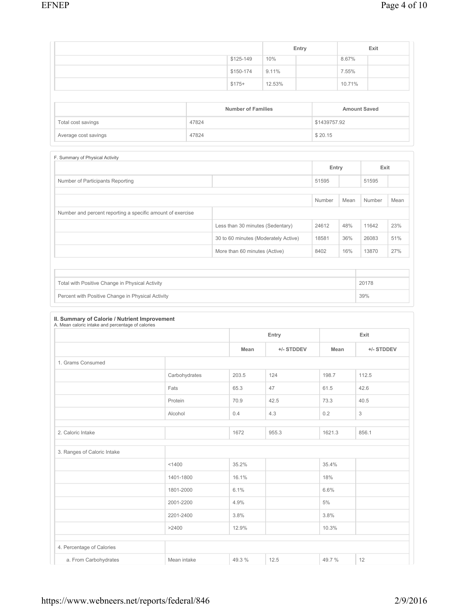| \$125-149<br>10%<br>8.67%   | Exit |       | Entry |       |           |  |
|-----------------------------|------|-------|-------|-------|-----------|--|
|                             |      |       |       |       |           |  |
|                             |      | 7.55% |       | 9.11% | \$150-174 |  |
| $$175+$<br>10.71%<br>12.53% |      |       |       |       |           |  |

|                      | <b>Number of Families</b> | <b>Amount Saved</b> |
|----------------------|---------------------------|---------------------|
| Total cost savings   | 47824                     | \$1439757.92        |
| Average cost savings | 47824                     | \$20.15             |

| F. Summary of Physical Activity                            |                                      |        |      |        |      |
|------------------------------------------------------------|--------------------------------------|--------|------|--------|------|
|                                                            |                                      | Entry  |      | Exit   |      |
| Number of Participants Reporting                           |                                      | 51595  |      | 51595  |      |
|                                                            |                                      |        |      |        |      |
|                                                            |                                      | Number | Mean | Number | Mean |
| Number and percent reporting a specific amount of exercise |                                      |        |      |        |      |
|                                                            | Less than 30 minutes (Sedentary)     | 24612  | 48%  | 11642  | 23%  |
|                                                            | 30 to 60 minutes (Moderately Active) | 18581  | 36%  | 26083  | 51%  |
|                                                            | More than 60 minutes (Active)        | 8402   | 16%  | 13870  | 27%  |
|                                                            |                                      |        |      |        |      |
|                                                            |                                      |        |      |        |      |
| Total with Positive Change in Physical Activity            |                                      |        |      | 20178  |      |

| Total with Positive Change in Physical Activity          |  |
|----------------------------------------------------------|--|
| 39%<br>Percent with Positive Change in Physical Activity |  |

|                             |               |        | Entry      |        | Exit       |
|-----------------------------|---------------|--------|------------|--------|------------|
|                             |               | Mean   | +/- STDDEV | Mean   | +/- STDDEV |
| 1. Grams Consumed           |               |        |            |        |            |
|                             | Carbohydrates | 203.5  | 124        | 198.7  | 112.5      |
|                             | Fats          | 65.3   | 47         | 61.5   | 42.6       |
|                             | Protein       | 70.9   | 42.5       | 73.3   | 40.5       |
|                             | Alcohol       | 0.4    | 4.3        | 0.2    | 3          |
| 2. Caloric Intake           |               | 1672   | 955.3      | 1621.3 | 856.1      |
| 3. Ranges of Caloric Intake |               |        |            |        |            |
|                             | 1400          | 35.2%  |            | 35.4%  |            |
|                             | 1401-1800     | 16.1%  |            | 18%    |            |
|                             | 1801-2000     | 6.1%   |            | 6.6%   |            |
|                             | 2001-2200     | 4.9%   |            | 5%     |            |
|                             | 2201-2400     | 3.8%   |            | 3.8%   |            |
|                             | >2400         | 12.9%  |            | 10.3%  |            |
| 4. Percentage of Calories   |               |        |            |        |            |
| a. From Carbohydrates       | Mean intake   | 49.3 % | 12.5       | 49.7%  | 12         |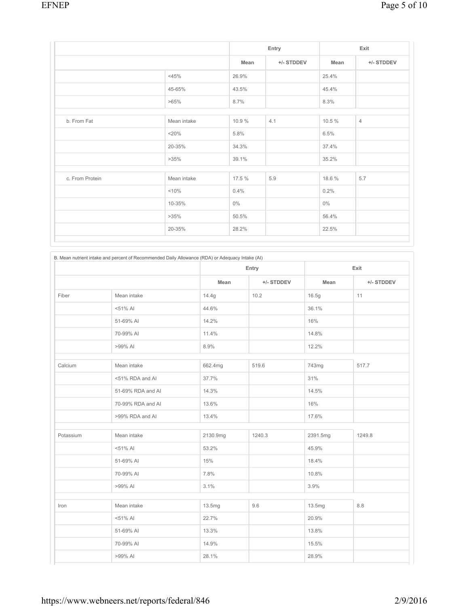|             | Entry  |            |        | Exit           |
|-------------|--------|------------|--------|----------------|
|             | Mean   | +/- STDDEV | Mean   | +/- STDDEV     |
| $<$ 45%     | 26.9%  |            | 25.4%  |                |
| 45-65%      | 43.5%  |            | 45.4%  |                |
| $>65\%$     | 8.7%   |            | 8.3%   |                |
|             |        |            |        |                |
| Mean intake | 10.9%  | 4.1        | 10.5 % | $\overline{4}$ |
| $<$ 20%     | 5.8%   |            | 6.5%   |                |
| 20-35%      | 34.3%  |            | 37.4%  |                |
| $>35\%$     | 39.1%  |            | 35.2%  |                |
|             |        |            |        |                |
| Mean intake | 17.5 % | 5.9        | 18.6 % | 5.7            |
| <10%        | 0.4%   |            | 0.2%   |                |
| 10-35%      | $0\%$  |            | $0\%$  |                |
| $>35\%$     | 50.5%  |            | 56.4%  |                |
| 20-35%      | 28.2%  |            | 22.5%  |                |
|             |        |            |        |                |

|           |                   |          | Entry      |          | Exit       |
|-----------|-------------------|----------|------------|----------|------------|
|           |                   | Mean     | +/- STDDEV | Mean     | +/- STDDEV |
| Fiber     | Mean intake       | 14.4g    | 10.2       | 16.5g    | 11         |
|           | $<$ 51% Al        | 44.6%    |            | 36.1%    |            |
|           | 51-69% AI         | 14.2%    |            | 16%      |            |
|           | 70-99% AI         | 11.4%    |            | 14.8%    |            |
|           | >99% AI           | 8.9%     |            | 12.2%    |            |
| Calcium   | Mean intake       | 662.4mg  | 519.6      | 743mg    | 517.7      |
|           | <51% RDA and AI   | 37.7%    |            | 31%      |            |
|           | 51-69% RDA and AI | 14.3%    |            | 14.5%    |            |
|           | 70-99% RDA and AI | 13.6%    |            | 16%      |            |
|           | >99% RDA and AI   | 13.4%    |            | 17.6%    |            |
| Potassium | Mean intake       | 2130.9mg | 1240.3     | 2391.5mg | 1249.8     |
|           | $<$ 51% AI        | 53.2%    |            | 45.9%    |            |
|           | 51-69% AI         | 15%      |            | 18.4%    |            |
|           | 70-99% AI         | 7.8%     |            | 10.8%    |            |
|           | >99% AI           | 3.1%     |            | 3.9%     |            |
| Iron      | Mean intake       | 13.5mg   | 9.6        | 13.5mg   | 8.8        |
|           |                   |          |            |          |            |
|           | $<$ 51% Al        | 22.7%    |            | 20.9%    |            |
|           | 51-69% AI         | 13.3%    |            | 13.8%    |            |
|           | 70-99% AI         | 14.9%    |            | 15.5%    |            |
|           | >99% AI           | 28.1%    |            | 28.9%    |            |
|           |                   |          |            |          |            |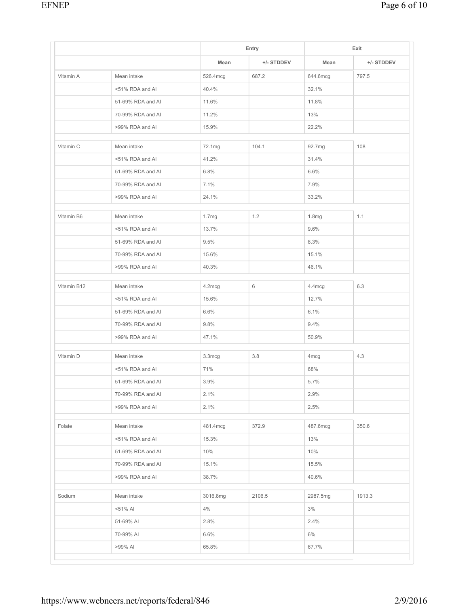|             |                   |          | Entry      |          | Exit       |  |  |
|-------------|-------------------|----------|------------|----------|------------|--|--|
|             |                   | Mean     | +/- STDDEV | Mean     | +/- STDDEV |  |  |
| Vitamin A   | Mean intake       | 526.4mcg | 687.2      | 644.6mcg | 797.5      |  |  |
|             | <51% RDA and AI   | 40.4%    |            | 32.1%    |            |  |  |
|             | 51-69% RDA and AI | 11.6%    |            | 11.8%    |            |  |  |
|             | 70-99% RDA and Al | 11.2%    |            | 13%      |            |  |  |
|             | >99% RDA and AI   | 15.9%    |            | 22.2%    |            |  |  |
| Vitamin C   | Mean intake       | 72.1mg   | 104.1      | 92.7mg   | 108        |  |  |
|             | <51% RDA and AI   | 41.2%    |            | 31.4%    |            |  |  |
|             | 51-69% RDA and AI | 6.8%     |            | 6.6%     |            |  |  |
|             | 70-99% RDA and Al | 7.1%     |            | 7.9%     |            |  |  |
|             | >99% RDA and AI   | 24.1%    |            | 33.2%    |            |  |  |
| Vitamin B6  | Mean intake       | 1.7mg    | 1.2        | 1.8mg    | 1.1        |  |  |
|             | <51% RDA and AI   | 13.7%    |            | 9.6%     |            |  |  |
|             | 51-69% RDA and Al | 9.5%     |            | 8.3%     |            |  |  |
|             | 70-99% RDA and AI | 15.6%    |            | 15.1%    |            |  |  |
|             | >99% RDA and AI   | 40.3%    |            | 46.1%    |            |  |  |
| Vitamin B12 | Mean intake       | 4.2mcg   | 6          | 4.4mcg   | 6.3        |  |  |
|             | <51% RDA and AI   | 15.6%    |            | 12.7%    |            |  |  |
|             | 51-69% RDA and AI | 6.6%     |            | 6.1%     |            |  |  |
|             | 70-99% RDA and AI | 9.8%     |            | 9.4%     |            |  |  |
|             | >99% RDA and AI   | 47.1%    |            | 50.9%    |            |  |  |
|             |                   |          |            |          |            |  |  |
| Vitamin D   | Mean intake       | 3.3mcg   | 3.8        | 4mcg     | 4.3        |  |  |
|             | <51% RDA and AI   | 71%      |            | 68%      |            |  |  |
|             | 51-69% RDA and Al | 3.9%     |            | 5.7%     |            |  |  |
|             | 70-99% RDA and Al | 2.1%     |            | 2.9%     |            |  |  |
|             | >99% RDA and AI   | 2.1%     |            | 2.5%     |            |  |  |
| Folate      | Mean intake       | 481.4mcg | 372.9      | 487.6mcg | 350.6      |  |  |
|             | <51% RDA and AI   | 15.3%    |            | 13%      |            |  |  |
|             | 51-69% RDA and AI | 10%      |            | 10%      |            |  |  |
|             | 70-99% RDA and AI | 15.1%    |            | 15.5%    |            |  |  |
|             | >99% RDA and AI   | 38.7%    |            | 40.6%    |            |  |  |
| Sodium      | Mean intake       | 3016.8mg | 2106.5     | 2987.5mg | 1913.3     |  |  |
|             | <51% AI           | 4%       |            | 3%       |            |  |  |
|             | 51-69% AI         | 2.8%     |            | 2.4%     |            |  |  |
|             | 70-99% AI         | 6.6%     |            | $6\%$    |            |  |  |
|             | $>99\%$ Al        | 65.8%    |            | 67.7%    |            |  |  |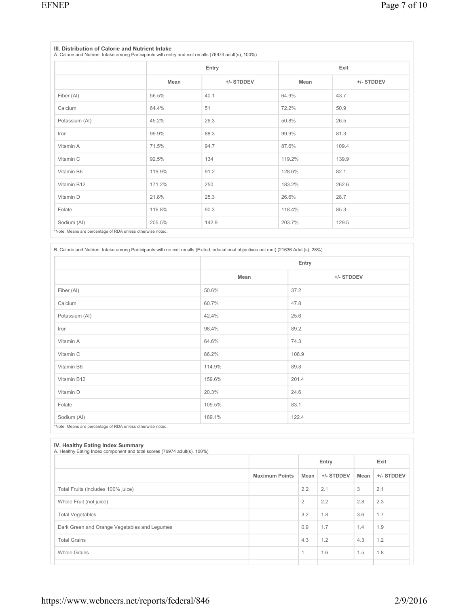|                |        | Entry      |        | Exit       |
|----------------|--------|------------|--------|------------|
|                | Mean   | +/- STDDEV | Mean   | +/- STDDEV |
| Fiber (AI)     | 56.5%  | 40.1       | 64.9%  | 43.7       |
| Calcium        | 64.4%  | 51         | 72.2%  | 50.9       |
| Potassium (AI) | 45.2%  | 26.3       | 50.8%  | 26.5       |
| Iron           | 99.9%  | 88.3       | 99.9%  | 81.3       |
| Vitamin A      | 71.5%  | 94.7       | 87.6%  | 109.4      |
| Vitamin C      | 92.5%  | 134        | 119.2% | 139.9      |
| Vitamin B6     | 119.9% | 91.2       | 128.6% | 82.1       |
| Vitamin B12    | 171.2% | 250        | 183.2% | 262.6      |
| Vitamin D      | 21.8%  | 25.3       | 26.6%  | 28.7       |
| Folate         | 116.8% | 90.3       | 118.4% | 85.3       |
| Sodium (AI)    | 205.5% | 142.9      | 203.7% | 129.5      |

B. Calorie and Nutrient Intake among Participants with no exit recalls (Exited, educational objectives not met) (21636 Adult(s), 28%)

|                                                            | Entry  |            |  |  |
|------------------------------------------------------------|--------|------------|--|--|
|                                                            | Mean   | +/- STDDEV |  |  |
| Fiber (AI)                                                 | 50.6%  | 37.2       |  |  |
| Calcium                                                    | 60.7%  | 47.8       |  |  |
| Potassium (AI)                                             | 42.4%  | 25.6       |  |  |
| Iron                                                       | 98.4%  | 89.2       |  |  |
| Vitamin A                                                  | 64.6%  | 74.3       |  |  |
| Vitamin C                                                  | 86.2%  | 108.9      |  |  |
| Vitamin B6                                                 | 114.9% | 89.8       |  |  |
| Vitamin B12                                                | 159.6% | 201.4      |  |  |
| Vitamin D                                                  | 20.3%  | 24.6       |  |  |
| Folate                                                     | 109.5% | 83.1       |  |  |
| Sodium (AI)                                                | 189.1% | 122.4      |  |  |
| *Note: Means are percentage of RDA unless otherwise noted. |        |            |  |  |

## **IV. Healthy Eating Index Summary**

| A. Healthy Eating Index component and total scores (76974 adult(s), 100%) |                       |                |            |      |            |
|---------------------------------------------------------------------------|-----------------------|----------------|------------|------|------------|
|                                                                           |                       |                | Entry      |      | Exit       |
|                                                                           | <b>Maximum Points</b> | Mean           | +/- STDDEV | Mean | +/- STDDEV |
| Total Fruits (includes 100% juice)                                        |                       | 2.2            | 2.1        | 3    | 2.1        |
| Whole Fruit (not juice)                                                   |                       | $\overline{2}$ | 2.2        | 2.8  | 2.3        |
| <b>Total Vegetables</b>                                                   |                       | 3.2            | 1.8        | 3.6  | 1.7        |
| Dark Green and Orange Vegetables and Legumes                              |                       | 0.9            | 1.7        | 1.4  | 1.9        |
| <b>Total Grains</b>                                                       |                       | 4.3            | 1.2        | 4.3  | 1.2        |
| <b>Whole Grains</b>                                                       |                       | 1              | 1.6        | 1.5  | 1.8        |
|                                                                           |                       |                |            |      |            |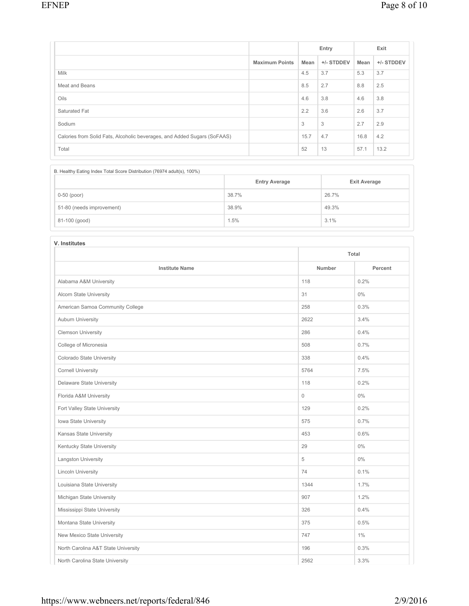|                                                                          |                       | Entry |            | Exit |            |
|--------------------------------------------------------------------------|-----------------------|-------|------------|------|------------|
|                                                                          | <b>Maximum Points</b> | Mean  | +/- STDDEV | Mean | +/- STDDEV |
| Milk                                                                     |                       | 4.5   | 3.7        | 5.3  | 3.7        |
| Meat and Beans                                                           |                       | 8.5   | 2.7        | 8.8  | 2.5        |
| Oils                                                                     |                       | 4.6   | 3.8        | 4.6  | 3.8        |
| Saturated Fat                                                            |                       | 2.2   | 3.6        | 2.6  | 3.7        |
| Sodium                                                                   |                       | 3     | 3          | 2.7  | 2.9        |
| Calories from Solid Fats, Alcoholic beverages, and Added Sugars (SoFAAS) |                       | 15.7  | 4.7        | 16.8 | 4.2        |
| Total                                                                    |                       | 52    | 13         | 57.1 | 13.2       |

| B. Healthy Eating Index Total Score Distribution (76974 adult(s), 100%) |                      |                     |  |  |  |  |
|-------------------------------------------------------------------------|----------------------|---------------------|--|--|--|--|
|                                                                         | <b>Entry Average</b> | <b>Exit Average</b> |  |  |  |  |
| $0-50$ (poor)                                                           | 38.7%                | 26.7%               |  |  |  |  |
| 51-80 (needs improvement)                                               | 38.9%                | 49.3%               |  |  |  |  |
| 81-100 (good)                                                           | 1.5%                 | 3.1%                |  |  |  |  |

|                                     |                | Total   |
|-------------------------------------|----------------|---------|
| <b>Institute Name</b>               | Number         | Percent |
| Alabama A&M University              | 118            | 0.2%    |
| Alcorn State University             | 31             | $0\%$   |
| American Samoa Community College    | 258            | 0.3%    |
| Auburn University                   | 2622           | 3.4%    |
| <b>Clemson University</b>           | 286            | 0.4%    |
| College of Micronesia               | 508            | 0.7%    |
| Colorado State University           | 338            | 0.4%    |
| <b>Cornell University</b>           | 5764           | 7.5%    |
| <b>Delaware State University</b>    | 118            | 0.2%    |
| Florida A&M University              | $\overline{0}$ | $0\%$   |
| Fort Valley State University        | 129            | 0.2%    |
| Iowa State University               | 575            | 0.7%    |
| Kansas State University             | 453            | 0.6%    |
| Kentucky State University           | 29             | $0\%$   |
| Langston University                 | 5              | $0\%$   |
| <b>Lincoln University</b>           | 74             | 0.1%    |
| Louisiana State University          | 1344           | 1.7%    |
| Michigan State University           | 907            | 1.2%    |
| Mississippi State University        | 326            | 0.4%    |
| Montana State University            | 375            | 0.5%    |
| New Mexico State University         | 747            | 1%      |
| North Carolina A&T State University | 196            | 0.3%    |
| North Carolina State University     | 2562           | 3.3%    |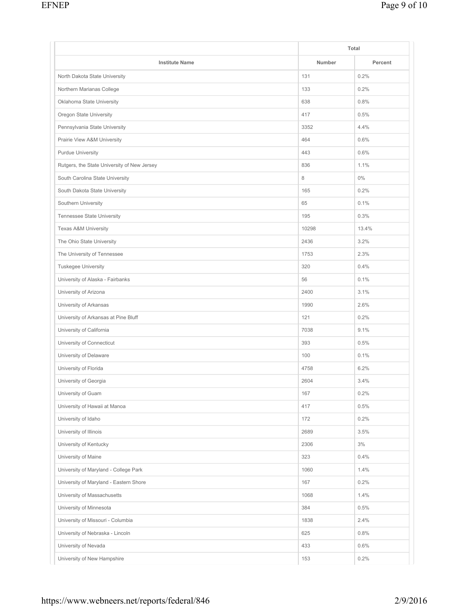|                                             | Total             |       |
|---------------------------------------------|-------------------|-------|
| <b>Institute Name</b>                       | Number<br>Percent |       |
| North Dakota State University               | 131               | 0.2%  |
| Northern Marianas College                   | 133               | 0.2%  |
| Oklahoma State University                   | 638               | 0.8%  |
| Oregon State University                     | 417               | 0.5%  |
| Pennsylvania State University               | 3352              | 4.4%  |
| Prairie View A&M University                 | 464               | 0.6%  |
| <b>Purdue University</b>                    | 443               | 0.6%  |
| Rutgers, the State University of New Jersey | 836               | 1.1%  |
| South Carolina State University             | 8                 | $0\%$ |
| South Dakota State University               | 165               | 0.2%  |
| Southern University                         | 65                | 0.1%  |
| Tennessee State University                  | 195               | 0.3%  |
| <b>Texas A&amp;M University</b>             | 10298             | 13.4% |
| The Ohio State University                   | 2436              | 3.2%  |
| The University of Tennessee                 | 1753              | 2.3%  |
| <b>Tuskegee University</b>                  | 320               | 0.4%  |
| University of Alaska - Fairbanks            | 56                | 0.1%  |
| University of Arizona                       | 2400              | 3.1%  |
| University of Arkansas                      | 1990              | 2.6%  |
| University of Arkansas at Pine Bluff        | 121               | 0.2%  |
| University of California                    | 7038              | 9.1%  |
| University of Connecticut                   | 393               | 0.5%  |
| University of Delaware                      | 100               | 0.1%  |
| University of Florida                       | 4758              | 6.2%  |
| University of Georgia                       | 2604              | 3.4%  |
| University of Guam                          | 167               | 0.2%  |
| University of Hawaii at Manoa               | 417               | 0.5%  |
| University of Idaho                         | 172               | 0.2%  |
| University of Illinois                      | 2689              | 3.5%  |
| University of Kentucky                      | 2306              | 3%    |
| University of Maine                         | 323               | 0.4%  |
| University of Maryland - College Park       | 1060              | 1.4%  |
| University of Maryland - Eastern Shore      | 167               | 0.2%  |
| University of Massachusetts                 | 1068              | 1.4%  |
| University of Minnesota                     | 384               | 0.5%  |
| University of Missouri - Columbia           | 1838              | 2.4%  |
| University of Nebraska - Lincoln            | 625               | 0.8%  |
| University of Nevada                        | 433               | 0.6%  |
| University of New Hampshire                 | 153               | 0.2%  |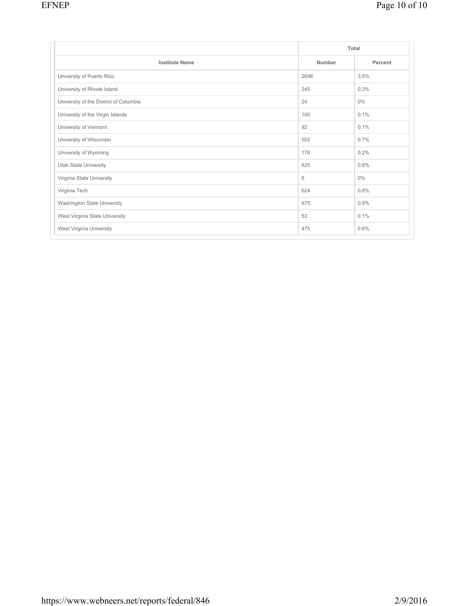|                                        | Total  |         |
|----------------------------------------|--------|---------|
| <b>Institute Name</b>                  | Number | Percent |
| University of Puerto Rico              | 2696   | 3.5%    |
| University of Rhode Island             | 245    | 0.3%    |
| University of the District of Columbia | 24     | $0\%$   |
| University of the Virgin Islands       | 100    | 0.1%    |
| University of Vermont                  | 92     | 0.1%    |
| University of Wisconsin                | 502    | 0.7%    |
| University of Wyoming                  | 176    | 0.2%    |
| <b>Utah State University</b>           | 625    | 0.8%    |
| Virginia State University              | 6      | $0\%$   |
| Virginia Tech                          | 624    | 0.8%    |
| Washington State University            | 675    | 0.9%    |
| West Virginia State University         | 53     | 0.1%    |
| West Virginia University               | 475    | 0.6%    |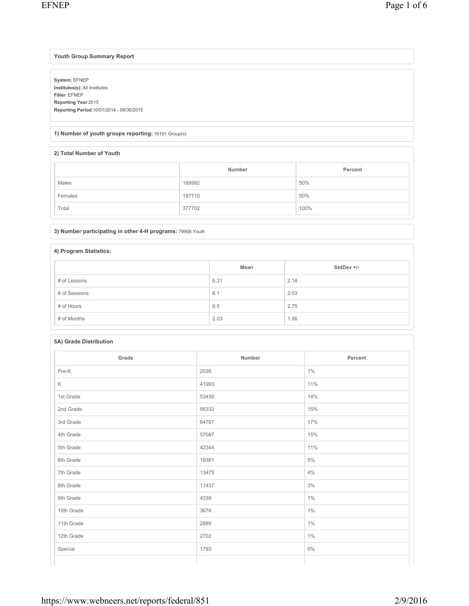## <span id="page-29-0"></span>**Youth Group Summary Report**

**System:** EFNEP **Institutes(s)**: All Institutes **Filter**: EFNEP **Reporting Year**:2015 **Reporting Period**:10/01/2014 - 09/30/2015

## **1) Number of youth groups reporting:** 16151 Group(s)

#### **2) Total Number of Youth**

|         | Number | Percent |
|---------|--------|---------|
| Males   | 189992 | 50%     |
| Females | 187710 | 50%     |
| Total   | 377702 | 100%    |

## **3) Number participating in other 4-H programs:** 79908 Youth

## **4) Program Statistics:**

|               | Mean | StdDev +/- |
|---------------|------|------------|
| # of Lessons  | 6.31 | 2.18       |
| # of Sessions | 6.1  | 2.03       |
| # of Hours    | 6.5  | 2.75       |
| # of Months   | 2.03 | 1.56       |

## **5A) Grade Distribution**

| Grade      | Number | Percent |
|------------|--------|---------|
| Pre-K      | 2038   | $1\%$   |
| K          | 41993  | 11%     |
| 1st Grade  | 53430  | 14%     |
| 2nd Grade  | 56332  | 15%     |
| 3rd Grade  | 64797  | 17%     |
| 4th Grade  | 57087  | 15%     |
| 5th Grade  | 42344  | 11%     |
| 6th Grade  | 19381  | 5%      |
| 7th Grade  | 13475  | 4%      |
| 8th Grade  | 11437  | 3%      |
| 9th Grade  | 4339   | $1\%$   |
| 10th Grade | 3674   | $1\%$   |
| 11th Grade | 2889   | $1\%$   |
| 12th Grade | 2702   | $1\%$   |
| Special    | 1793   | $0\%$   |
|            |        |         |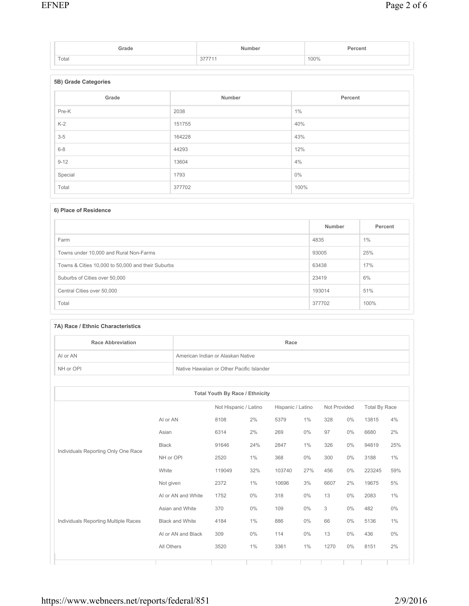| Grade                |        | Number | Percent |         |  |  |
|----------------------|--------|--------|---------|---------|--|--|
| Total                |        | 377711 |         | 100%    |  |  |
|                      |        |        |         |         |  |  |
| 5B) Grade Categories |        |        |         |         |  |  |
| Grade                |        | Number |         | Percent |  |  |
| Pre-K                | 2038   |        | 1%      |         |  |  |
| $K-2$                | 151755 |        |         | 40%     |  |  |
| $3-5$                | 164228 |        | 43%     |         |  |  |
| $6 - 8$              | 44293  |        | 12%     |         |  |  |
| $9 - 12$             | 13604  |        | 4%      |         |  |  |
| Special              | 1793   |        | $0\%$   |         |  |  |
| Total                | 377702 |        | 100%    |         |  |  |

## **6) Place of Residence**

|                                                   | Number | Percent |
|---------------------------------------------------|--------|---------|
| Farm                                              | 4835   | 1%      |
| Towns under 10,000 and Rural Non-Farms            | 93005  | 25%     |
| Towns & Cities 10,000 to 50,000 and their Suburbs | 63438  | 17%     |
| Suburbs of Cities over 50,000                     | 23419  | 6%      |
| Central Cities over 50,000                        | 193014 | 51%     |
| Total                                             | 377702 | 100%    |

## **7A) Race / Ethnic Characteristics**

| <b>Race Abbreviation</b> | Race                                      |
|--------------------------|-------------------------------------------|
| AI or AN                 | American Indian or Alaskan Native         |
| NH or OPI                | Native Hawaiian or Other Pacific Islander |

| <b>Total Youth By Race / Ethnicity</b> |                        |                       |       |                   |       |              |       |                      |       |
|----------------------------------------|------------------------|-----------------------|-------|-------------------|-------|--------------|-------|----------------------|-------|
|                                        |                        | Not Hispanic / Latino |       | Hispanic / Latino |       | Not Provided |       | <b>Total By Race</b> |       |
|                                        | AI or AN               | 8108                  | 2%    | 5379              | $1\%$ | 328          | $0\%$ | 13815                | 4%    |
|                                        | Asian                  | 6314                  | 2%    | 269               | $0\%$ | 97           | $0\%$ | 6680                 | 2%    |
|                                        | Black                  | 91646                 | 24%   | 2847              | $1\%$ | 326          | $0\%$ | 94819                | 25%   |
| Individuals Reporting Only One Race    | NH or OPI              | 2520                  | $1\%$ | 368               | $0\%$ | 300          | $0\%$ | 3188                 | 1%    |
|                                        | White                  | 119049                | 32%   | 103740            | 27%   | 456          | $0\%$ | 223245               | 59%   |
|                                        | Not given              | 2372                  | $1\%$ | 10696             | 3%    | 6607         | 2%    | 19675                | 5%    |
|                                        | AI or AN and White     | 1752                  | $0\%$ | 318               | $0\%$ | 13           | $0\%$ | 2083                 | 1%    |
|                                        | Asian and White        | 370                   | $0\%$ | 109               | $0\%$ | 3            | $0\%$ | 482                  | $0\%$ |
| Individuals Reporting Multiple Races   | <b>Black and White</b> | 4184                  | $1\%$ | 886               | $0\%$ | 66           | $0\%$ | 5136                 | 1%    |
|                                        | AI or AN and Black     | 309                   | $0\%$ | 114               | $0\%$ | 13           | $0\%$ | 436                  | $0\%$ |
|                                        | All Others             | 3520                  | $1\%$ | 3361              | 1%    | 1270         | $0\%$ | 8151                 | 2%    |
|                                        |                        |                       |       |                   |       |              |       |                      |       |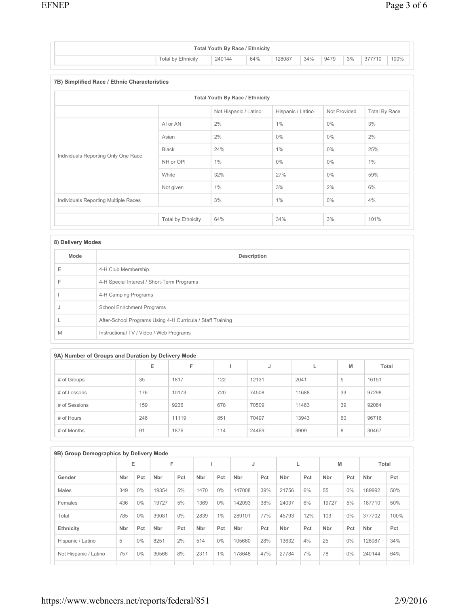| <b>Total Youth By Race / Ethnicity</b>       |                           |                                        |     |                   |     |              |       |                      |      |  |  |
|----------------------------------------------|---------------------------|----------------------------------------|-----|-------------------|-----|--------------|-------|----------------------|------|--|--|
|                                              | <b>Total by Ethnicity</b> | 240144                                 | 64% | 128087            | 34% | 9479         | 3%    | 377710               | 100% |  |  |
|                                              |                           |                                        |     |                   |     |              |       |                      |      |  |  |
| 7B) Simplified Race / Ethnic Characteristics |                           |                                        |     |                   |     |              |       |                      |      |  |  |
|                                              |                           | <b>Total Youth By Race / Ethnicity</b> |     |                   |     |              |       |                      |      |  |  |
|                                              |                           | Not Hispanic / Latino                  |     | Hispanic / Latino |     | Not Provided |       | <b>Total By Race</b> |      |  |  |
|                                              | AI or AN                  | 2%                                     |     | 1%                |     |              | $0\%$ |                      | 3%   |  |  |
|                                              | Asian                     | 2%                                     |     | $0\%$             |     |              | $0\%$ |                      | 2%   |  |  |
|                                              | <b>Black</b>              | 24%                                    |     | 1%                |     |              | $0\%$ |                      | 25%  |  |  |
| Individuals Reporting Only One Race          | NH or OPI                 | 1%                                     |     | $0\%$             |     | $0\%$        |       | 1%                   |      |  |  |
|                                              | White                     | 32%                                    |     |                   | 27% |              |       | 59%                  |      |  |  |
|                                              | Not given                 | 1%                                     |     | 3%                |     | 2%           |       |                      |      |  |  |
| Individuals Reporting Multiple Races         |                           | 3%                                     |     | 1%                |     | $0\%$        |       | 4%                   |      |  |  |
|                                              |                           |                                        |     |                   |     |              |       |                      |      |  |  |
|                                              | <b>Total by Ethnicity</b> | 64%                                    |     | 34%               |     | 3%           |       | 101%                 |      |  |  |

#### **8) Delivery Modes**

| Mode | Description                                                |
|------|------------------------------------------------------------|
|      | 4-H Club Membership                                        |
|      | 4-H Special Interest / Short-Term Programs                 |
|      | 4-H Camping Programs                                       |
| u    | School Enrichment Programs                                 |
|      | After-School Programs Using 4-H Curricula / Staff Training |
| M    | Instructional TV / Video / Web Programs                    |

| 9A) Number of Groups and Duration by Delivery Mode |     |       |     |       |       |    |       |  |  |  |  |
|----------------------------------------------------|-----|-------|-----|-------|-------|----|-------|--|--|--|--|
|                                                    | Е   | F     |     | J     |       | M  | Total |  |  |  |  |
| # of Groups                                        | 35  | 1817  | 122 | 12131 | 2041  | 5  | 16151 |  |  |  |  |
| # of Lessons                                       | 176 | 10173 | 720 | 74508 | 11688 | 33 | 97298 |  |  |  |  |
| # of Sessions                                      | 159 | 9236  | 678 | 70509 | 11463 | 39 | 92084 |  |  |  |  |
| # of Hours                                         | 246 | 11119 | 851 | 70497 | 13943 | 60 | 96716 |  |  |  |  |
| # of Months                                        | 91  | 1876  | 114 | 24469 | 3909  | 8  | 30467 |  |  |  |  |

| 9B) Group Demographics by Delivery Mode |            |       |            |       |      |       |            |     |            |     |            |       |            |      |
|-----------------------------------------|------------|-------|------------|-------|------|-------|------------|-----|------------|-----|------------|-------|------------|------|
|                                         |            | Е     | F          |       |      |       | J          |     | ┗          |     | M          |       | Total      |      |
| Gender                                  | <b>Nbr</b> | Pct   | <b>Nbr</b> | Pct   | Nbr  | Pct   | <b>Nbr</b> | Pct | <b>Nbr</b> | Pct | Nbr        | Pct   | <b>Nbr</b> | Pct  |
| Males                                   | 349        | $0\%$ | 19354      | 5%    | 1470 | 0%    | 147008     | 39% | 21756      | 6%  | 55         | $0\%$ | 189992     | 50%  |
| Females                                 | 436        | $0\%$ | 19727      | 5%    | 1369 | $0\%$ | 142093     | 38% | 24037      | 6%  | 19727      | 5%    | 187710     | 50%  |
| Total                                   | 785        | $0\%$ | 39081      | $0\%$ | 2839 | 1%    | 289101     | 77% | 45793      | 12% | 103        | $0\%$ | 377702     | 100% |
| Ethnicity                               | <b>Nbr</b> | Pct   | <b>Nbr</b> | Pct   | Nbr  | Pct   | <b>Nbr</b> | Pct | <b>Nbr</b> | Pct | <b>Nbr</b> | Pct   | <b>Nbr</b> | Pct  |
| Hispanic / Latino                       | 5          | $0\%$ | 8251       | 2%    | 514  | 0%    | 105660     | 28% | 13632      | 4%  | 25         | $0\%$ | 128087     | 34%  |
| Not Hispanic / Latino                   | 757        | $0\%$ | 30566      | 8%    | 2311 | 1%    | 178648     | 47% | 27784      | 7%  | 78         | $0\%$ | 240144     | 64%  |
|                                         |            |       |            |       |      |       |            |     |            |     |            |       |            |      |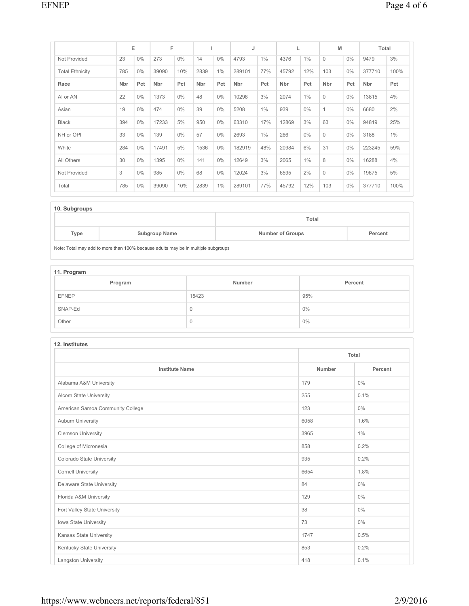|                        |            | Е     | F          |       |      |       | J      |       | L          |       | M          |       | Total  |       |
|------------------------|------------|-------|------------|-------|------|-------|--------|-------|------------|-------|------------|-------|--------|-------|
| Not Provided           | 23         | $0\%$ | 273        | $0\%$ | 14   | $0\%$ | 4793   | $1\%$ | 4376       | $1\%$ | $\Omega$   | $0\%$ | 9479   | 3%    |
| <b>Total Ethnicity</b> | 785        | $0\%$ | 39090      | 10%   | 2839 | 1%    | 289101 | 77%   | 45792      | 12%   | 103        | $0\%$ | 377710 | 100%  |
| Race                   | <b>Nbr</b> | Pct   | <b>Nbr</b> | Pct   | Nbr  | Pct   | Nbr    | Pct   | <b>Nbr</b> | Pct   | <b>Nbr</b> | Pct   | Nbr    | Pct   |
| AI or AN               | 22         | $0\%$ | 1373       | $0\%$ | 48   | $0\%$ | 10298  | 3%    | 2074       | $1\%$ | $\Omega$   | $0\%$ | 13815  | 4%    |
| Asian                  | 19         | $0\%$ | 474        | $0\%$ | 39   | $0\%$ | 5208   | 1%    | 939        | $0\%$ | 1          | $0\%$ | 6680   | 2%    |
| <b>Black</b>           | 394        | $0\%$ | 17233      | 5%    | 950  | $0\%$ | 63310  | 17%   | 12869      | 3%    | 63         | $0\%$ | 94819  | 25%   |
| NH or OPI              | 33         | $0\%$ | 139        | $0\%$ | 57   | $0\%$ | 2693   | $1\%$ | 266        | $0\%$ | $\Omega$   | $0\%$ | 3188   | $1\%$ |
| White                  | 284        | $0\%$ | 17491      | 5%    | 1536 | $0\%$ | 182919 | 48%   | 20984      | 6%    | 31         | $0\%$ | 223245 | 59%   |
| All Others             | 30         | $0\%$ | 1395       | $0\%$ | 141  | $0\%$ | 12649  | 3%    | 2065       | 1%    | 8          | $0\%$ | 16288  | 4%    |
| Not Provided           | 3          | $0\%$ | 985        | $0\%$ | 68   | $0\%$ | 12024  | 3%    | 6595       | 2%    | $\Omega$   | $0\%$ | 19675  | 5%    |
| Total                  | 785        | $0\%$ | 39090      | 10%   | 2839 | 1%    | 289101 | 77%   | 45792      | 12%   | 103        | $0\%$ | 377710 | 100%  |

#### **10. Subgroups**

|      |                      | Total                   |         |
|------|----------------------|-------------------------|---------|
| Type | <b>Subgroup Name</b> | <b>Number of Groups</b> | Percent |
|      |                      |                         |         |

Note: Total may add to more than 100% because adults may be in multiple subgroups

| 11. Program  |              |         |
|--------------|--------------|---------|
| Program      | Number       | Percent |
| <b>EFNEP</b> | 15423        | 95%     |
| SNAP-Ed      | $\mathbf{0}$ | $0\%$   |
| Other        | $\mathbf{0}$ | $0\%$   |

|                                  |        | Total   |
|----------------------------------|--------|---------|
| <b>Institute Name</b>            | Number | Percent |
| Alabama A&M University           | 179    | $0\%$   |
| Alcorn State University          | 255    | 0.1%    |
| American Samoa Community College | 123    | $0\%$   |
| Auburn University                | 6058   | 1.6%    |
| <b>Clemson University</b>        | 3965   | 1%      |
| College of Micronesia            | 858    | 0.2%    |
| Colorado State University        | 935    | 0.2%    |
| Cornell University               | 6654   | 1.8%    |
| <b>Delaware State University</b> | 84     | $0\%$   |
| Florida A&M University           | 129    | $0\%$   |
| Fort Valley State University     | 38     | $0\%$   |
| Iowa State University            | 73     | $0\%$   |
| Kansas State University          | 1747   | 0.5%    |
| Kentucky State University        | 853    | 0.2%    |
| <b>Langston University</b>       | 418    | 0.1%    |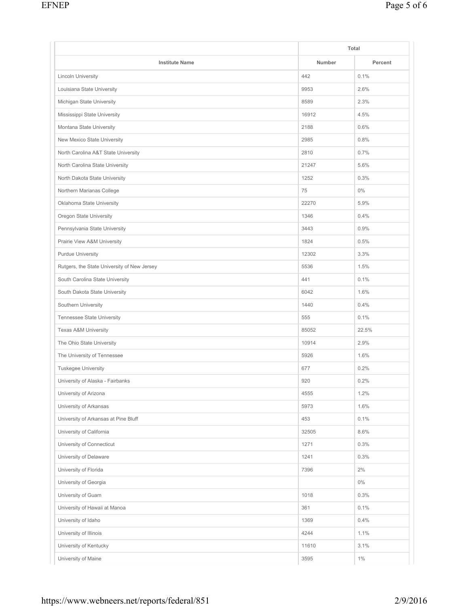|                                             | Total  |         |
|---------------------------------------------|--------|---------|
| <b>Institute Name</b>                       | Number | Percent |
| <b>Lincoln University</b>                   | 442    | 0.1%    |
| Louisiana State University                  | 9953   | 2.6%    |
| Michigan State University                   | 8589   | 2.3%    |
| Mississippi State University                | 16912  | 4.5%    |
| Montana State University                    | 2188   | 0.6%    |
| New Mexico State University                 | 2985   | 0.8%    |
| North Carolina A&T State University         | 2810   | 0.7%    |
| North Carolina State University             | 21247  | 5.6%    |
| North Dakota State University               | 1252   | 0.3%    |
| Northern Marianas College                   | 75     | $0\%$   |
| Oklahoma State University                   | 22270  | 5.9%    |
| Oregon State University                     | 1346   | 0.4%    |
| Pennsylvania State University               | 3443   | 0.9%    |
| Prairie View A&M University                 | 1824   | 0.5%    |
| <b>Purdue University</b>                    | 12302  | 3.3%    |
| Rutgers, the State University of New Jersey | 5536   | 1.5%    |
| South Carolina State University             | 441    | 0.1%    |
| South Dakota State University               | 6042   | 1.6%    |
| Southern University                         | 1440   | 0.4%    |
| Tennessee State University                  | 555    | 0.1%    |
| Texas A&M University                        | 85052  | 22.5%   |
| The Ohio State University                   | 10914  | 2.9%    |
| The University of Tennessee                 | 5926   | 1.6%    |
| Tuskegee University                         | 677    | 0.2%    |
| University of Alaska - Fairbanks            | 920    | 0.2%    |
| University of Arizona                       | 4555   | 1.2%    |
| University of Arkansas                      | 5973   | 1.6%    |
| University of Arkansas at Pine Bluff        | 453    | 0.1%    |
| University of California                    | 32505  | 8.6%    |
| University of Connecticut                   | 1271   | 0.3%    |
| University of Delaware                      | 1241   | 0.3%    |
| University of Florida                       | 7396   | 2%      |
| University of Georgia                       |        | $0\%$   |
| University of Guam                          | 1018   | 0.3%    |
| University of Hawaii at Manoa               | 361    | 0.1%    |
| University of Idaho                         | 1369   | 0.4%    |
| University of Illinois                      | 4244   | 1.1%    |
| University of Kentucky                      | 11610  | 3.1%    |
| University of Maine                         | 3595   | $1\%$   |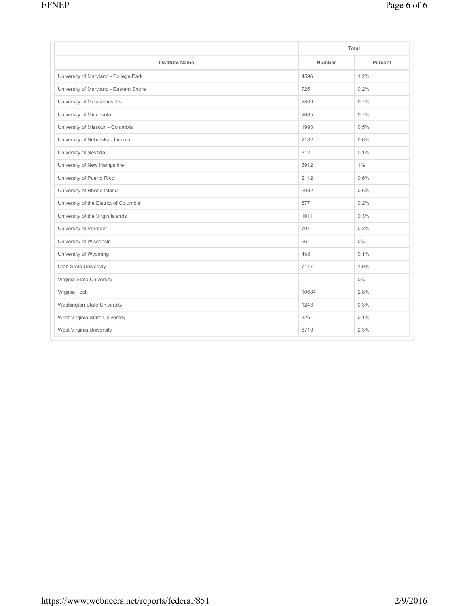|                                        | Total  |         |
|----------------------------------------|--------|---------|
| <b>Institute Name</b>                  | Number | Percent |
| University of Maryland - College Park  | 4596   | 1.2%    |
| University of Maryland - Eastern Shore | 725    | 0.2%    |
| University of Massachusetts            | 2809   | 0.7%    |
| University of Minnesota                | 2685   | 0.7%    |
| University of Missouri - Columbia      | 1993   | 0.5%    |
| University of Nebraska - Lincoln       | 2182   | 0.6%    |
| University of Nevada                   | 312    | $0.1\%$ |
| University of New Hampshire            | 3912   | $1\%$   |
| University of Puerto Rico              | 2112   | 0.6%    |
| University of Rhode Island             | 2082   | 0.6%    |
| University of the District of Columbia | 877    | 0.2%    |
| University of the Virgin Islands       | 1011   | 0.3%    |
| University of Vermont                  | 701    | 0.2%    |
| University of Wisconsin                | 66     | $0\%$   |
| University of Wyoming                  | 458    | 0.1%    |
| <b>Utah State University</b>           | 7117   | 1.9%    |
| Virginia State University              |        | $0\%$   |
| Virginia Tech                          | 10684  | 2.8%    |
| Washington State University            | 1243   | 0.3%    |
| West Virginia State University         | 326    | 0.1%    |
| West Virginia University               | 8710   | 2.3%    |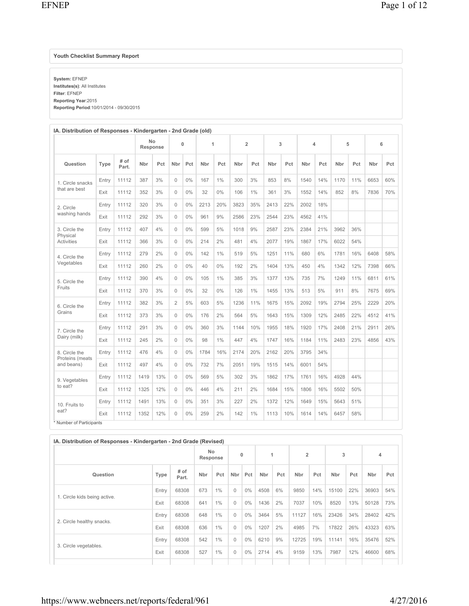#### <span id="page-35-0"></span>**Youth Checklist Summary Report**

**System:** EFNEP **Institutes(s)**: All Institutes **Filter**: EFNEP **Reporting Year**:2015 **Reporting Period**:10/01/2014 - 09/30/2015

|                                  |       |               | No         | <b>Response</b> | $\mathbf{0}$   |       | 1          |     | $\overline{2}$ |     | 3    |     | $\overline{4}$ |     | 5    |     |      | 6   |
|----------------------------------|-------|---------------|------------|-----------------|----------------|-------|------------|-----|----------------|-----|------|-----|----------------|-----|------|-----|------|-----|
| Question                         | Type  | # of<br>Part. | <b>Nbr</b> | Pct             | Nbr            | Pct   | <b>Nbr</b> | Pct | Nbr            | Pct | Nbr  | Pct | Nbr            | Pct | Nbr  | Pct | Nbr  | Pct |
| 1. Circle snacks                 | Entry | 11112         | 387        | 3%              | $\Omega$       | 0%    | 167        | 1%  | 300            | 3%  | 853  | 8%  | 1540           | 14% | 1170 | 11% | 6653 | 60% |
| that are best                    | Exit  | 11112         | 352        | 3%              | $\mathbf{0}$   | 0%    | 32         | 0%  | 106            | 1%  | 361  | 3%  | 1552           | 14% | 852  | 8%  | 7836 | 70% |
| 2. Circle                        | Entry | 11112         | 320        | 3%              | $\Omega$       | 0%    | 2213       | 20% | 3823           | 35% | 2413 | 22% | 2002           | 18% |      |     |      |     |
| washing hands                    | Exit  | 11112         | 292        | 3%              | $\Omega$       | 0%    | 961        | 9%  | 2586           | 23% | 2544 | 23% | 4562           | 41% |      |     |      |     |
| 3. Circle the                    | Entry | 11112         | 407        | 4%              | $\Omega$       | 0%    | 599        | 5%  | 1018           | 9%  | 2587 | 23% | 2384           | 21% | 3962 | 36% |      |     |
| Physical<br><b>Activities</b>    | Exit  | 11112         | 366        | 3%              | $\Omega$       | 0%    | 214        | 2%  | 481            | 4%  | 2077 | 19% | 1867           | 17% | 6022 | 54% |      |     |
| 4. Circle the                    | Entry | 11112         | 279        | 2%              | $\Omega$       | $0\%$ | 142        | 1%  | 519            | 5%  | 1251 | 11% | 680            | 6%  | 1781 | 16% | 6408 | 58% |
| Vegetables                       | Exit  | 11112         | 260        | 2%              | $\Omega$       | 0%    | 40         | 0%  | 192            | 2%  | 1404 | 13% | 450            | 4%  | 1342 | 12% | 7398 | 66% |
| 5. Circle the                    | Entry | 11112         | 390        | 4%              | $\mathbf{0}$   | 0%    | 105        | 1%  | 385            | 3%  | 1377 | 13% | 735            | 7%  | 1249 | 11% | 6811 | 61% |
| Fruits                           | Exit  | 11112         | 370        | 3%              | $\Omega$       | 0%    | 32         | 0%  | 126            | 1%  | 1455 | 13% | 513            | 5%  | 911  | 8%  | 7675 | 69% |
| 6. Circle the                    | Entry | 11112         | 382        | 3%              | $\overline{2}$ | 5%    | 603        | 5%  | 1236           | 11% | 1675 | 15% | 2092           | 19% | 2794 | 25% | 2229 | 20% |
| Grains                           | Exit  | 11112         | 373        | 3%              | $\Omega$       | 0%    | 176        | 2%  | 564            | 5%  | 1643 | 15% | 1309           | 12% | 2485 | 22% | 4512 | 41% |
| 7. Circle the                    | Entry | 11112         | 291        | 3%              | $\Omega$       | $0\%$ | 360        | 3%  | 1144           | 10% | 1955 | 18% | 1920           | 17% | 2408 | 21% | 2911 | 26% |
| Dairy (milk)                     | Exit  | 11112         | 245        | 2%              | $\Omega$       | 0%    | 98         | 1%  | 447            | 4%  | 1747 | 16% | 1184           | 11% | 2483 | 23% | 4856 | 43% |
| 8. Circle the<br>Proteins (meats | Entry | 11112         | 476        | 4%              | $\Omega$       | $0\%$ | 1784       | 16% | 2174           | 20% | 2162 | 20% | 3795           | 34% |      |     |      |     |
| and beans)                       | Exit  | 11112         | 497        | 4%              | $\Omega$       | 0%    | 732        | 7%  | 2051           | 19% | 1515 | 14% | 6001           | 54% |      |     |      |     |
| 9. Vegetables                    | Entry | 11112         | 1419       | 13%             | $\Omega$       | 0%    | 569        | 5%  | 302            | 3%  | 1862 | 17% | 1761           | 16% | 4928 | 44% |      |     |
| to eat?                          | Exit  | 11112         | 1325       | 12%             | $\Omega$       | 0%    | 446        | 4%  | 211            | 2%  | 1684 | 15% | 1806           | 16% | 5502 | 50% |      |     |
| 10. Fruits to                    | Entry | 11112         | 1491       | 13%             | $\Omega$       | $0\%$ | 351        | 3%  | 227            | 2%  | 1372 | 12% | 1649           | 15% | 5643 | 51% |      |     |
| eat?                             | Exit  | 11112         | 1352       | 12%             | $\Omega$       | 0%    | 259        | 2%  | 142            | 1%  | 1113 | 10% | 1614           | 14% | 6457 | 58% |      |     |

\* Number of Participants

| IA. Distribution of Responses - Kindergarten - 2nd Grade (Revised) |       |               |     |          |              |       |      |     |                |     |            |     |            |     |
|--------------------------------------------------------------------|-------|---------------|-----|----------|--------------|-------|------|-----|----------------|-----|------------|-----|------------|-----|
|                                                                    |       |               | No  | Response | 0            |       |      | 1   | $\overline{2}$ |     | 3          |     | 4          |     |
| Question                                                           | Type  | # of<br>Part. | Nbr | Pct      | <b>Nbr</b>   | Pct   | Nbr  | Pct | <b>Nbr</b>     | Pct | <b>Nbr</b> | Pct | <b>Nbr</b> | Pct |
|                                                                    | Entry | 68308         | 673 | 1%       | $\mathbf{0}$ | $0\%$ | 4508 | 6%  | 9850           | 14% | 15100      | 22% | 36903      | 54% |
| 1. Circle kids being active.                                       | Exit  | 68308         | 641 | 1%       | $\Omega$     | $0\%$ | 1436 | 2%  | 7037           | 10% | 8520       | 13% | 50128      | 73% |
|                                                                    | Entry | 68308         | 648 | 1%       | $\Omega$     | $0\%$ | 3464 | 5%  | 11127          | 16% | 23426      | 34% | 28402      | 42% |
| 2. Circle healthy snacks.                                          | Exit  | 68308         | 636 | 1%       | $\Omega$     | $0\%$ | 1207 | 2%  | 4985           | 7%  | 17822      | 26% | 43323      | 63% |
|                                                                    | Entry | 68308         | 542 | 1%       | $\Omega$     | $0\%$ | 6210 | 9%  | 12725          | 19% | 11141      | 16% | 35476      | 52% |
| 3. Circle vegetables.                                              | Exit  | 68308         | 527 | 1%       | $\Omega$     | $0\%$ | 2714 | 4%  | 9159           | 13% | 7987       | 12% | 46600      | 68% |
|                                                                    |       |               |     |          |              |       |      |     |                |     |            |     |            |     |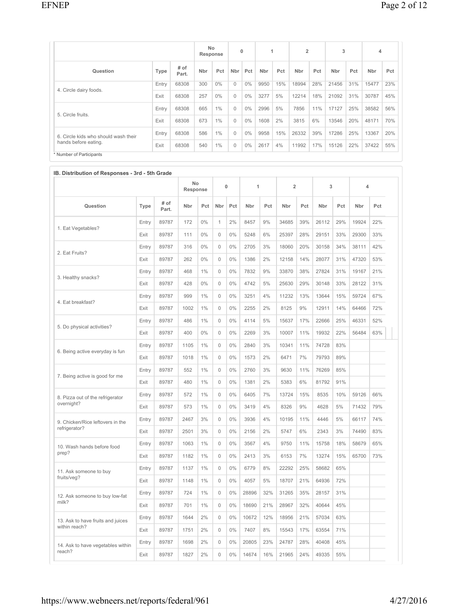|                                      |       |               |            | <b>No</b><br>Response | 0            |       | 1    |     | $\overline{2}$ |     | 3     |     | 4     |     |
|--------------------------------------|-------|---------------|------------|-----------------------|--------------|-------|------|-----|----------------|-----|-------|-----|-------|-----|
| Question                             | Type  | # of<br>Part. | <b>Nbr</b> | Pct                   | <b>Nbr</b>   | Pct   | Nbr  | Pct | Nbr            | Pct | Nbr   | Pct | Nbr   | Pct |
| 4. Circle dairy foods.               | Entry | 68308         | 300        | $0\%$                 | $\Omega$     | $0\%$ | 9950 | 15% | 18994          | 28% | 21456 | 31% | 15477 | 23% |
|                                      | Exit  | 68308         | 257        | $0\%$                 | $\Omega$     | $0\%$ | 3277 | 5%  | 12214          | 18% | 21092 | 31% | 30787 | 45% |
| 5. Circle fruits.                    | Entry | 68308         | 665        | 1%                    | $\Omega$     | $0\%$ | 2996 | 5%  | 7856           | 11% | 17127 | 25% | 38582 | 56% |
|                                      | Exit  | 68308         | 673        | 1%                    | $\Omega$     | $0\%$ | 1608 | 2%  | 3815           | 6%  | 13546 | 20% | 48171 | 70% |
| 6. Circle kids who should wash their | Entry | 68308         | 586        | 1%                    | $\Omega$     | $0\%$ | 9958 | 15% | 26332          | 39% | 17286 | 25% | 13367 | 20% |
| hands before eating.                 | Exit  | 68308         | 540        | 1%                    | $\mathbf{0}$ | $0\%$ | 2617 | 4%  | 11992          | 17% | 15126 | 22% | 37422 | 55% |

|                                   |       |               | No<br>Response |       |              | $\bf{0}$ | 1     |     | $\overline{2}$ |     | 3     |     | 4     |     |
|-----------------------------------|-------|---------------|----------------|-------|--------------|----------|-------|-----|----------------|-----|-------|-----|-------|-----|
| Question                          | Type  | # of<br>Part. | Nbr            | Pct   | Nbr          | Pct      | Nbr   | Pct | Nbr            | Pct | Nbr   | Pct | Nbr   | Pct |
|                                   | Entry | 89787         | 172            | 0%    | $\mathbf{1}$ | 2%       | 8457  | 9%  | 34685          | 39% | 26112 | 29% | 19924 | 22% |
| 1. Eat Vegetables?                | Exit  | 89787         | 111            | 0%    | $\mathbf 0$  | 0%       | 5248  | 6%  | 25397          | 28% | 29151 | 33% | 29300 | 33% |
|                                   | Entry | 89787         | 316            | $0\%$ | 0            | $0\%$    | 2705  | 3%  | 18060          | 20% | 30158 | 34% | 38111 | 42% |
| 2. Eat Fruits?                    | Exit  | 89787         | 262            | $0\%$ | $\mathbb O$  | $0\%$    | 1386  | 2%  | 12158          | 14% | 28077 | 31% | 47320 | 53% |
|                                   | Entry | 89787         | 468            | 1%    | $\mathbf 0$  | $0\%$    | 7832  | 9%  | 33870          | 38% | 27824 | 31% | 19167 | 21% |
| 3. Healthy snacks?                | Exit  | 89787         | 428            | $0\%$ | 0            | $0\%$    | 4742  | 5%  | 25630          | 29% | 30148 | 33% | 28122 | 31% |
|                                   | Entry | 89787         | 999            | 1%    | $\mathbf{0}$ | $0\%$    | 3251  | 4%  | 11232          | 13% | 13644 | 15% | 59724 | 67% |
| 4. Eat breakfast?                 | Exit  | 89787         | 1002           | 1%    | $\mathbf 0$  | 0%       | 2255  | 2%  | 8125           | 9%  | 12911 | 14% | 64466 | 72% |
|                                   | Entry | 89787         | 486            | 1%    | $\mathbf 0$  | $0\%$    | 4114  | 5%  | 15637          | 17% | 22666 | 25% | 46331 | 52% |
| 5. Do physical activities?        | Exit  | 89787         | 400            | $0\%$ | $\mathbf{0}$ | 0%       | 2269  | 3%  | 10007          | 11% | 19932 | 22% | 56484 | 63% |
|                                   | Entry | 89787         | 1105           | 1%    | 0            | $0\%$    | 2840  | 3%  | 10341          | 11% | 74728 | 83% |       |     |
| 6. Being active everyday is fun   | Exit  | 89787         | 1018           | 1%    | $\mathbf 0$  | 0%       | 1573  | 2%  | 6471           | 7%  | 79793 | 89% |       |     |
|                                   | Entry | 89787         | 552            | 1%    | $\mathbb O$  | $0\%$    | 2760  | 3%  | 9630           | 11% | 76269 | 85% |       |     |
| 7. Being active is good for me    | Exit  | 89787         | 480            | 1%    | $\mathbf 0$  | 0%       | 1381  | 2%  | 5383           | 6%  | 81792 | 91% |       |     |
| 8. Pizza out of the refrigerator  | Entry | 89787         | 572            | 1%    | $\mathbf 0$  | 0%       | 6405  | 7%  | 13724          | 15% | 8535  | 10% | 59126 | 66% |
| overnight?                        | Exit  | 89787         | 573            | 1%    | $\mathbf 0$  | $0\%$    | 3419  | 4%  | 8326           | 9%  | 4628  | 5%  | 71432 | 79% |
| 9. Chicken/Rice leftovers in the  | Entry | 89787         | 2467           | 3%    | $\mathbf 0$  | 0%       | 3936  | 4%  | 10195          | 11% | 4446  | 5%  | 66117 | 74% |
| refrigerator?                     | Exit  | 89787         | 2501           | 3%    | $\mathbf{0}$ | 0%       | 2156  | 2%  | 5747           | 6%  | 2343  | 3%  | 74490 | 83% |
| 10. Wash hands before food        | Entry | 89787         | 1063           | 1%    | 0            | $0\%$    | 3567  | 4%  | 9750           | 11% | 15758 | 18% | 58679 | 65% |
| prep?                             | Exit  | 89787         | 1182           | 1%    | $\mathbb O$  | $0\%$    | 2413  | 3%  | 6153           | 7%  | 13274 | 15% | 65700 | 73% |
| 11. Ask someone to buy            | Entry | 89787         | 1137           | 1%    | $\mathbf{0}$ | 0%       | 6779  | 8%  | 22292          | 25% | 58682 | 65% |       |     |
| fruits/veg?                       | Exit  | 89787         | 1148           | 1%    | $\mathbf 0$  | $0\%$    | 4057  | 5%  | 18707          | 21% | 64936 | 72% |       |     |
| 12. Ask someone to buy low-fat    | Entry | 89787         | 724            | 1%    | $\mathbb O$  | $0\%$    | 28896 | 32% | 31265          | 35% | 28157 | 31% |       |     |
| milk?                             | Exit  | 89787         | 701            | 1%    | $\mathbf 0$  | $0\%$    | 18690 | 21% | 28967          | 32% | 40644 | 45% |       |     |
| 13. Ask to have fruits and juices | Entry | 89787         | 1644           | 2%    | $\mathbf 0$  | 0%       | 10672 | 12% | 18956          | 21% | 57034 | 63% |       |     |
| within reach?                     | Exit  | 89787         | 1751           | 2%    | $\mathbf{0}$ | 0%       | 7407  | 8%  | 15543          | 17% | 63554 | 71% |       |     |
| 14. Ask to have vegetables within | Entry | 89787         | 1698           | 2%    | $\mathbb O$  | $0\%$    | 20805 | 23% | 24787          | 28% | 40408 | 45% |       |     |
| reach?                            | Exit  | 89787         | 1827           | 2%    | $\mathbf 0$  | $0\%$    | 14674 | 16% | 21965          | 24% | 49335 | 55% |       |     |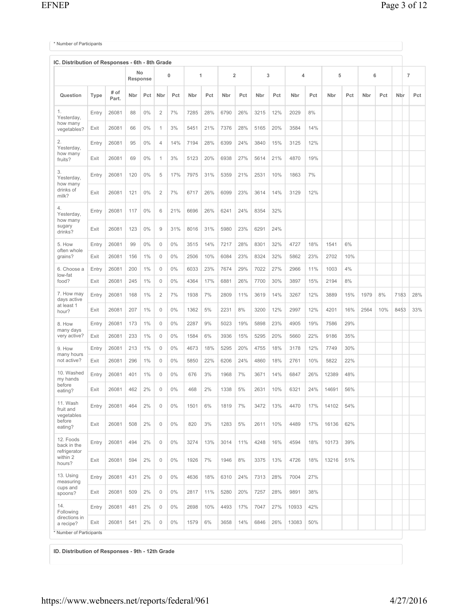\* Number of Participants

|                                     |       |               | No<br>Response |       |                | 0     | 1    |     | $\overline{2}$ |     | 3    |     | 4     |     | 5     |     | 6    |     |      | $\overline{7}$ |
|-------------------------------------|-------|---------------|----------------|-------|----------------|-------|------|-----|----------------|-----|------|-----|-------|-----|-------|-----|------|-----|------|----------------|
| Question                            | Type  | # of<br>Part. | Nbr            | Pct   | Nbr            | Pct   | Nbr  | Pct | Nbr            | Pct | Nbr  | Pct | Nbr   | Pct | Nbr   | Pct | Nbr  | Pct | Nbr  | Pct            |
| 1.<br>Yesterday,                    | Entry | 26081         | 88             | 0%    | $\overline{2}$ | 7%    | 7285 | 28% | 6790           | 26% | 3215 | 12% | 2029  | 8%  |       |     |      |     |      |                |
| how many<br>vegetables?             | Exit  | 26081         | 66             | 0%    | 1              | 3%    | 5451 | 21% | 7376           | 28% | 5165 | 20% | 3584  | 14% |       |     |      |     |      |                |
| 2.<br>Yesterday,                    | Entry | 26081         | 95             | 0%    | $\overline{4}$ | 14%   | 7194 | 28% | 6399           | 24% | 3840 | 15% | 3125  | 12% |       |     |      |     |      |                |
| how many<br>fruits?                 | Exit  | 26081         | 69             | 0%    | $\mathbf{1}$   | 3%    | 5123 | 20% | 6938           | 27% | 5614 | 21% | 4870  | 19% |       |     |      |     |      |                |
| 3.<br>Yesterday,                    | Entry | 26081         | 120            | 0%    | 5              | 17%   | 7975 | 31% | 5359           | 21% | 2531 | 10% | 1863  | 7%  |       |     |      |     |      |                |
| how many<br>drinks of<br>milk?      | Exit  | 26081         | 121            | 0%    | $\overline{2}$ | 7%    | 6717 | 26% | 6099           | 23% | 3614 | 14% | 3129  | 12% |       |     |      |     |      |                |
| 4.<br>Yesterday,                    | Entry | 26081         | 117            | 0%    | 6              | 21%   | 6696 | 26% | 6241           | 24% | 8354 | 32% |       |     |       |     |      |     |      |                |
| how many<br>sugary<br>drinks?       | Exit  | 26081         | 123            | 0%    | 9              | 31%   | 8016 | 31% | 5980           | 23% | 6291 | 24% |       |     |       |     |      |     |      |                |
| 5. How                              | Entry | 26081         | 99             | 0%    | $\mathbf 0$    | $0\%$ | 3515 | 14% | 7217           | 28% | 8301 | 32% | 4727  | 18% | 1541  | 6%  |      |     |      |                |
| often whole<br>grains?              | Exit  | 26081         | 156            | 1%    | $\mathbf 0$    | $0\%$ | 2506 | 10% | 6084           | 23% | 8324 | 32% | 5862  | 23% | 2702  | 10% |      |     |      |                |
| 6. Choose a                         | Entry | 26081         | 200            | $1\%$ | $\mathbf{0}$   | $0\%$ | 6033 | 23% | 7674           | 29% | 7022 | 27% | 2966  | 11% | 1003  | 4%  |      |     |      |                |
| low-fat<br>food?                    | Exit  | 26081         | 245            | 1%    | $\mathbf 0$    | $0\%$ | 4364 | 17% | 6881           | 26% | 7700 | 30% | 3897  | 15% | 2194  | 8%  |      |     |      |                |
| 7. How may<br>days active           | Entry | 26081         | 168            | 1%    | $\overline{2}$ | 7%    | 1938 | 7%  | 2809           | 11% | 3619 | 14% | 3267  | 12% | 3889  | 15% | 1979 | 8%  | 7183 | 28%            |
| at least 1<br>hour?                 | Exit  | 26081         | 207            | 1%    | $\mathbf{0}$   | $0\%$ | 1362 | 5%  | 2231           | 8%  | 3200 | 12% | 2997  | 12% | 4201  | 16% | 2564 | 10% | 8453 | 33%            |
| 8. How                              | Entry | 26081         | 173            | $1\%$ | $\mathbf{0}$   | $0\%$ | 2287 | 9%  | 5023           | 19% | 5898 | 23% | 4905  | 19% | 7586  | 29% |      |     |      |                |
| many days<br>very active?           | Exit  | 26081         | 233            | $1\%$ | $\mathbf{0}$   | $0\%$ | 1584 | 6%  | 3936           | 15% | 5295 | 20% | 5660  | 22% | 9186  | 35% |      |     |      |                |
| 9. How                              | Entry | 26081         | 213            | $1\%$ | $\mathbf 0$    | $0\%$ | 4673 | 18% | 5295           | 20% | 4755 | 18% | 3178  | 12% | 7749  | 30% |      |     |      |                |
| many hours<br>not active?           | Exit  | 26081         | 296            | $1\%$ | $\mathbf{0}$   | $0\%$ | 5850 | 22% | 6206           | 24% | 4860 | 18% | 2761  | 10% | 5822  | 22% |      |     |      |                |
| 10. Washed<br>my hands              | Entry | 26081         | 401            | 1%    | $\mathbf{0}$   | $0\%$ | 676  | 3%  | 1968           | 7%  | 3671 | 14% | 6847  | 26% | 12389 | 48% |      |     |      |                |
| before<br>eating?                   | Exit  | 26081         | 462            | 2%    | $\mathbf{0}$   | 0%    | 468  | 2%  | 1338           | 5%  | 2631 | 10% | 6321  | 24% | 14691 | 56% |      |     |      |                |
| 11. Wash<br>fruit and<br>vegetables | Entry | 26081         | 464            | 2%    | $\mathbf{0}$   | $0\%$ | 1501 | 6%  | 1819           | 7%  | 3472 | 13% | 4470  | 17% | 14102 | 54% |      |     |      |                |
| before<br>eating?                   | Exit  | 26081         | 508            | 2%    | $\mathbf{0}$   | $0\%$ | 820  | 3%  | 1283           | 5%  | 2611 | 10% | 4489  | 17% | 16136 | 62% |      |     |      |                |
| 12. Foods<br>back in the            | Entry | 26081         | 494            | 2%    | $\mathbf{0}$   | $0\%$ | 3274 | 13% | 3014           | 11% | 4248 | 16% | 4594  | 18% | 10173 | 39% |      |     |      |                |
| refrigerator<br>within 2<br>hours?  | Exit  | 26081         | 594            | 2%    | $\mathbf{0}$   | $0\%$ | 1926 | 7%  | 1946           | 8%  | 3375 | 13% | 4726  | 18% | 13216 | 51% |      |     |      |                |
| 13. Using<br>measuring              | Entry | 26081         | 431            | 2%    | $\mathbf 0$    | $0\%$ | 4636 | 18% | 6310           | 24% | 7313 | 28% | 7004  | 27% |       |     |      |     |      |                |
| cups and<br>spoons?                 | Exit  | 26081         | 509            | 2%    | $\mathbf{0}$   | $0\%$ | 2817 | 11% | 5280           | 20% | 7257 | 28% | 9891  | 38% |       |     |      |     |      |                |
| 14.<br>Following                    | Entry | 26081         | 481            | 2%    | $\mathbf{0}$   | $0\%$ | 2698 | 10% | 4493           | 17% | 7047 | 27% | 10933 | 42% |       |     |      |     |      |                |
| directions in<br>a recipe?          | Exit  | 26081         | 541            | 2%    | $\mathbf 0$    | $0\%$ | 1579 | 6%  | 3658           | 14% | 6846 | 26% | 13083 | 50% |       |     |      |     |      |                |

**ID. Distribution of Responses - 9th - 12th Grade**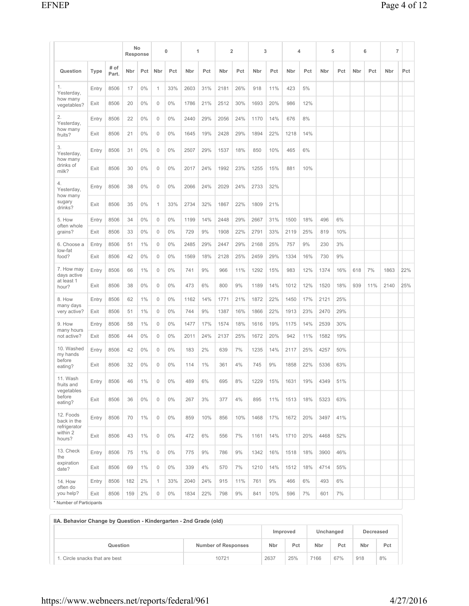|                                          |       |               | No<br>Response |       |                     | $\bf{0}$ |      | 1   |      | $\overline{\mathbf{2}}$ |      | 3   | 4          |     | 5    |     |     | 6   | $\overline{7}$ |     |
|------------------------------------------|-------|---------------|----------------|-------|---------------------|----------|------|-----|------|-------------------------|------|-----|------------|-----|------|-----|-----|-----|----------------|-----|
| Question                                 | Type  | # of<br>Part. | Nbr            | Pct   | Nbr                 | Pct      | Nbr  | Pct | Nbr  | Pct                     | Nbr  | Pct | <b>Nbr</b> | Pct | Nbr  | Pct | Nbr | Pct | Nbr            | Pct |
| 1.<br>Yesterday,                         | Entry | 8506          | 17             | $0\%$ | $\mathbf{1}$        | 33%      | 2603 | 31% | 2181 | 26%                     | 918  | 11% | 423        | 5%  |      |     |     |     |                |     |
| how many<br>vegetables?                  | Exit  | 8506          | 20             | 0%    | $\mathbf{0}$        | $0\%$    | 1786 | 21% | 2512 | 30%                     | 1693 | 20% | 986        | 12% |      |     |     |     |                |     |
| 2.<br>Yesterday,                         | Entry | 8506          | 22             | 0%    | $\mathbf{0}$        | $0\%$    | 2440 | 29% | 2056 | 24%                     | 1170 | 14% | 676        | 8%  |      |     |     |     |                |     |
| how many<br>fruits?                      | Exit  | 8506          | 21             | 0%    | $\mathbf{0}$        | $0\%$    | 1645 | 19% | 2428 | 29%                     | 1894 | 22% | 1218       | 14% |      |     |     |     |                |     |
| 3.<br>Yesterday,                         | Entry | 8506          | 31             | 0%    | $\mathbf{0}$        | $0\%$    | 2507 | 29% | 1537 | 18%                     | 850  | 10% | 465        | 6%  |      |     |     |     |                |     |
| how many<br>drinks of<br>milk?           | Exit  | 8506          | 30             | 0%    | $\mathbf{0}$        | $0\%$    | 2017 | 24% | 1992 | 23%                     | 1255 | 15% | 881        | 10% |      |     |     |     |                |     |
| 4.<br>Yesterday,                         | Entry | 8506          | 38             | 0%    | $\mathbf{0}$        | $0\%$    | 2066 | 24% | 2029 | 24%                     | 2733 | 32% |            |     |      |     |     |     |                |     |
| how many<br>sugary<br>drinks?            | Exit  | 8506          | 35             | 0%    | $\mathbf{1}$        | 33%      | 2734 | 32% | 1867 | 22%                     | 1809 | 21% |            |     |      |     |     |     |                |     |
| 5. How                                   | Entry | 8506          | 34             | $0\%$ | $\mathbf{0}$        | $0\%$    | 1199 | 14% | 2448 | 29%                     | 2667 | 31% | 1500       | 18% | 496  | 6%  |     |     |                |     |
| often whole<br>grains?                   | Exit  | 8506          | 33             | 0%    | $\mathbf{0}$        | 0%       | 729  | 9%  | 1908 | 22%                     | 2791 | 33% | 2119       | 25% | 819  | 10% |     |     |                |     |
| 6. Choose a                              | Entry | 8506          | 51             | 1%    | $\mathbf{0}$        | $0\%$    | 2485 | 29% | 2447 | 29%                     | 2168 | 25% | 757        | 9%  | 230  | 3%  |     |     |                |     |
| low-fat<br>food?                         | Exit  | 8506          | 42             | $0\%$ | $\mathbf{0}$        | $0\%$    | 1569 | 18% | 2128 | 25%                     | 2459 | 29% | 1334       | 16% | 730  | 9%  |     |     |                |     |
| 7. How may<br>days active                | Entry | 8506          | 66             | 1%    | $\mathbf{0}$        | $0\%$    | 741  | 9%  | 966  | 11%                     | 1292 | 15% | 983        | 12% | 1374 | 16% | 618 | 7%  | 1863           | 22% |
| at least 1<br>hour?                      | Exit  | 8506          | 38             | 0%    | $\mathbf{0}$        | $0\%$    | 473  | 6%  | 800  | 9%                      | 1189 | 14% | 1012       | 12% | 1520 | 18% | 939 | 11% | 2140           | 25% |
| 8. How                                   | Entry | 8506          | 62             | 1%    | $\mathbf{0}$        | $0\%$    | 1162 | 14% | 1771 | 21%                     | 1872 | 22% | 1450       | 17% | 2121 | 25% |     |     |                |     |
| many days<br>very active?                | Exit  | 8506          | 51             | 1%    | $\mathbf{0}$        | $0\%$    | 744  | 9%  | 1387 | 16%                     | 1866 | 22% | 1913       | 23% | 2470 | 29% |     |     |                |     |
| 9. How                                   | Entry | 8506          | 58             | 1%    | $\mathbf{0}$        | $0\%$    | 1477 | 17% | 1574 | 18%                     | 1616 | 19% | 1175       | 14% | 2539 | 30% |     |     |                |     |
| many hours<br>not active?                | Exit  | 8506          | 44             | $0\%$ | $\mathbf{0}$        | $0\%$    | 2011 | 24% | 2137 | 25%                     | 1672 | 20% | 942        | 11% | 1582 | 19% |     |     |                |     |
| 10. Washed<br>my hands                   | Entry | 8506          | 42             | 0%    | $\mathbf{0}$        | $0\%$    | 183  | 2%  | 639  | 7%                      | 1235 | 14% | 2117       | 25% | 4257 | 50% |     |     |                |     |
| before<br>eating?                        | Exit  | 8506          | 32             | 0%    | $\mathbf{0}$        | $0\%$    | 114  | 1%  | 361  | 4%                      | 745  | 9%  | 1858       | 22% | 5336 | 63% |     |     |                |     |
| 11. Wash<br>fruits and                   | Entry | 8506          | 46             | 1%    | 0                   | $0\%$    | 489  | 6%  | 695  | 8%                      | 1229 | 15% | 1631       | 19% | 4349 | 51% |     |     |                |     |
| vegetables<br>before<br>eating?          | Exit  | 8506          | 36             | $0\%$ | $\mathbb O$         | $0\%$    | 267  | 3%  | 377  | 4%                      | 895  | 11% | 1513       | 18% | 5323 | 63% |     |     |                |     |
| 12. Foods<br>back in the<br>refrigerator | Entry | 8506          | 70             | 1%    | $\mathsf{O}\xspace$ | $0\%$    | 859  | 10% | 856  | 10%                     | 1468 | 17% | 1672       | 20% | 3497 | 41% |     |     |                |     |
| within 2<br>hours?                       | Exit  | 8506          | 43             | 1%    | $\mathsf{O}\xspace$ | $0\%$    | 472  | 6%  | 556  | 7%                      | 1161 | 14% | 1710       | 20% | 4468 | 52% |     |     |                |     |
| 13. Check<br>the                         | Entry | 8506          | 75             | 1%    | $\mathbf{0}$        | $0\%$    | 775  | 9%  | 786  | 9%                      | 1342 | 16% | 1518       | 18% | 3900 | 46% |     |     |                |     |
| expiration<br>date?                      | Exit  | 8506          | 69             | 1%    | $\mathbf{0}$        | $0\%$    | 339  | 4%  | 570  | 7%                      | 1210 | 14% | 1512       | 18% | 4714 | 55% |     |     |                |     |
| 14. How<br>often do                      | Entry | 8506          | 182            | 2%    | $\mathbf{1}$        | 33%      | 2040 | 24% | 915  | 11%                     | 761  | 9%  | 466        | 6%  | 493  | 6%  |     |     |                |     |
| you help?                                | Exit  | 8506          | 159            | 2%    | $\mathbf{0}$        | $0\%$    | 1834 | 22% | 798  | 9%                      | 841  | 10% | 596        | 7%  | 601  | 7%  |     |     |                |     |
| Number of Participants                   |       |               |                |       |                     |          |      |     |      |                         |      |     |            |     |      |     |     |     |                |     |

| IIA. Behavior Change by Question - Kindergarten - 2nd Grade (old) |                            |            |     |           |     |           |     |
|-------------------------------------------------------------------|----------------------------|------------|-----|-----------|-----|-----------|-----|
|                                                                   |                            | Improved   |     | Unchanged |     | Decreased |     |
| Question                                                          | <b>Number of Responses</b> | <b>Nbr</b> | Pct | Nbr       | Pct | Nbr       | Pct |
| 1. Circle snacks that are best                                    | 10721                      | 2637       | 25% | 7166      | 67% | 918       | 8%  |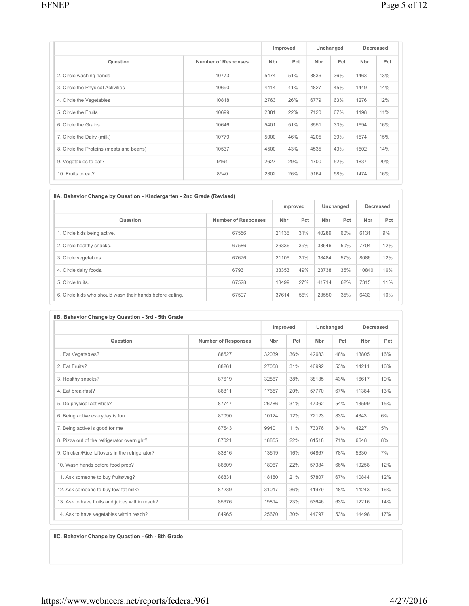|                                          |                            |            | Improved |      | Unchanged |            | Decreased |
|------------------------------------------|----------------------------|------------|----------|------|-----------|------------|-----------|
| Question                                 | <b>Number of Responses</b> | <b>Nbr</b> | Pct      | Nbr  | Pct       | <b>Nbr</b> | Pct       |
| 2. Circle washing hands                  | 10773                      | 5474       | 51%      | 3836 | 36%       | 1463       | 13%       |
| 3. Circle the Physical Activities        | 10690                      | 4414       | 41%      | 4827 | 45%       | 1449       | 14%       |
| 4. Circle the Vegetables                 | 10818                      | 2763       | 26%      | 6779 | 63%       | 1276       | 12%       |
| 5. Circle the Fruits                     | 10699                      | 2381       | 22%      | 7120 | 67%       | 1198       | 11%       |
| 6. Circle the Grains                     | 10646                      | 5401       | 51%      | 3551 | 33%       | 1694       | 16%       |
| 7. Circle the Dairy (milk)               | 10779                      | 5000       | 46%      | 4205 | 39%       | 1574       | 15%       |
| 8. Circle the Proteins (meats and beans) | 10537                      | 4500       | 43%      | 4535 | 43%       | 1502       | 14%       |
| 9. Vegetables to eat?                    | 9164                       | 2627       | 29%      | 4700 | 52%       | 1837       | 20%       |
| 10. Fruits to eat?                       | 8940                       | 2302       | 26%      | 5164 | 58%       | 1474       | 16%       |

|  |  | IIA. Behavior Change by Question - Kindergarten - 2nd Grade (Revised) |  |
|--|--|-----------------------------------------------------------------------|--|
|  |  |                                                                       |  |

|                                                           |                            | Improved   |     | Unchanged  |     | Decreased  |     |
|-----------------------------------------------------------|----------------------------|------------|-----|------------|-----|------------|-----|
| Question                                                  | <b>Number of Responses</b> | <b>Nbr</b> | Pct | <b>Nbr</b> | Pct | <b>Nbr</b> | Pct |
| 1. Circle kids being active.                              | 67556                      | 21136      | 31% | 40289      | 60% | 6131       | 9%  |
| 2. Circle healthy snacks.                                 | 67586                      | 26336      | 39% | 33546      | 50% | 7704       | 12% |
| 3. Circle vegetables.                                     | 67676                      | 21106      | 31% | 38484      | 57% | 8086       | 12% |
| 4. Circle dairy foods.                                    | 67931                      | 33353      | 49% | 23738      | 35% | 10840      | 16% |
| 5. Circle fruits.                                         | 67528                      | 18499      | 27% | 41714      | 62% | 7315       | 11% |
| 6. Circle kids who should wash their hands before eating. | 67597                      | 37614      | 56% | 23550      | 35% | 6433       | 10% |

|                                                 |                            | Improved   |     |            | Unchanged | Decreased  |     |
|-------------------------------------------------|----------------------------|------------|-----|------------|-----------|------------|-----|
| Question                                        | <b>Number of Responses</b> | <b>Nbr</b> | Pct | <b>Nbr</b> | Pct       | <b>Nbr</b> | Pct |
| 1. Eat Vegetables?                              | 88527                      | 32039      | 36% | 42683      | 48%       | 13805      | 16% |
| 2. Eat Fruits?                                  | 88261                      | 27058      | 31% | 46992      | 53%       | 14211      | 16% |
| 3. Healthy snacks?                              | 87619                      | 32867      | 38% | 38135      | 43%       | 16617      | 19% |
| 4. Eat breakfast?                               | 86811                      | 17657      | 20% | 57770      | 67%       | 11384      | 13% |
| 5. Do physical activities?                      | 87747                      | 26786      | 31% | 47362      | 54%       | 13599      | 15% |
| 6. Being active everyday is fun                 | 87090                      | 10124      | 12% | 72123      | 83%       | 4843       | 6%  |
| 7. Being active is good for me                  | 87543                      | 9940       | 11% | 73376      | 84%       | 4227       | 5%  |
| 8. Pizza out of the refrigerator overnight?     | 87021                      | 18855      | 22% | 61518      | 71%       | 6648       | 8%  |
| 9. Chicken/Rice leftovers in the refrigerator?  | 83816                      | 13619      | 16% | 64867      | 78%       | 5330       | 7%  |
| 10. Wash hands before food prep?                | 86609                      | 18967      | 22% | 57384      | 66%       | 10258      | 12% |
| 11. Ask someone to buy fruits/veg?              | 86831                      | 18180      | 21% | 57807      | 67%       | 10844      | 12% |
| 12. Ask someone to buy low-fat milk?            | 87239                      | 31017      | 36% | 41979      | 48%       | 14243      | 16% |
| 13. Ask to have fruits and juices within reach? | 85676                      | 19814      | 23% | 53646      | 63%       | 12216      | 14% |
| 14. Ask to have vegetables within reach?        | 84965                      | 25670      | 30% | 44797      | 53%       | 14498      | 17% |

**IIC. Behavior Change by Question - 6th - 8th Grade**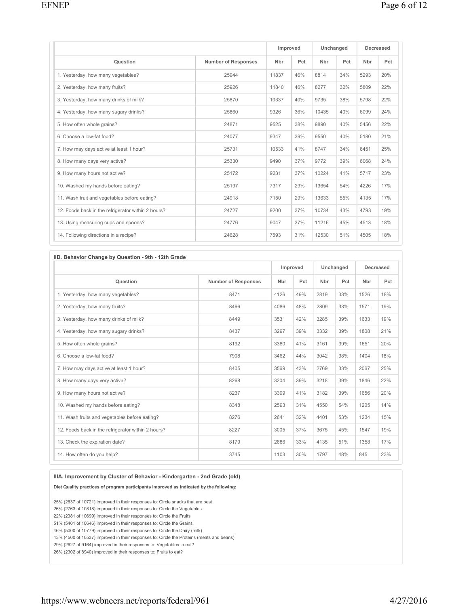|                                                    | Improved                   |       | Unchanged |       | Decreased |            |     |
|----------------------------------------------------|----------------------------|-------|-----------|-------|-----------|------------|-----|
| Question                                           | <b>Number of Responses</b> | Nbr   | Pct       | Nbr   | Pct       | <b>Nbr</b> | Pct |
| 1. Yesterday, how many vegetables?                 | 25944                      | 11837 | 46%       | 8814  | 34%       | 5293       | 20% |
| 2. Yesterday, how many fruits?                     | 25926                      | 11840 | 46%       | 8277  | 32%       | 5809       | 22% |
| 3. Yesterday, how many drinks of milk?             | 25870                      | 10337 | 40%       | 9735  | 38%       | 5798       | 22% |
| 4. Yesterday, how many sugary drinks?              | 25860                      | 9326  | 36%       | 10435 | 40%       | 6099       | 24% |
| 5. How often whole grains?                         | 24871                      | 9525  | 38%       | 9890  | 40%       | 5456       | 22% |
| 6. Choose a low-fat food?                          | 24077                      | 9347  | 39%       | 9550  | 40%       | 5180       | 21% |
| 7. How may days active at least 1 hour?            | 25731                      | 10533 | 41%       | 8747  | 34%       | 6451       | 25% |
| 8. How many days very active?                      | 25330                      | 9490  | 37%       | 9772  | 39%       | 6068       | 24% |
| 9. How many hours not active?                      | 25172                      | 9231  | 37%       | 10224 | 41%       | 5717       | 23% |
| 10. Washed my hands before eating?                 | 25197                      | 7317  | 29%       | 13654 | 54%       | 4226       | 17% |
| 11. Wash fruit and vegetables before eating?       | 24918                      | 7150  | 29%       | 13633 | 55%       | 4135       | 17% |
| 12. Foods back in the refrigerator within 2 hours? | 24727                      | 9200  | 37%       | 10734 | 43%       | 4793       | 19% |
| 13. Using measuring cups and spoons?               | 24776                      | 9047  | 37%       | 11216 | 45%       | 4513       | 18% |
| 14. Following directions in a recipe?              | 24628                      | 7593  | 31%       | 12530 | 51%       | 4505       | 18% |

|                                                    | Improved                   |      |     | Unchanged |     |            | Decreased |
|----------------------------------------------------|----------------------------|------|-----|-----------|-----|------------|-----------|
| Question                                           | <b>Number of Responses</b> | Nbr  | Pct | Nbr       | Pct | <b>Nbr</b> | Pct       |
| 1. Yesterday, how many vegetables?                 | 8471                       | 4126 | 49% | 2819      | 33% | 1526       | 18%       |
| 2. Yesterday, how many fruits?                     | 8466                       | 4086 | 48% | 2809      | 33% | 1571       | 19%       |
| 3. Yesterday, how many drinks of milk?             | 8449                       | 3531 | 42% | 3285      | 39% | 1633       | 19%       |
| 4. Yesterday, how many sugary drinks?              | 8437                       | 3297 | 39% | 3332      | 39% | 1808       | 21%       |
| 5. How often whole grains?                         | 8192                       | 3380 | 41% | 3161      | 39% | 1651       | 20%       |
| 6. Choose a low-fat food?                          | 7908                       | 3462 | 44% | 3042      | 38% | 1404       | 18%       |
| 7. How may days active at least 1 hour?            | 8405                       | 3569 | 43% | 2769      | 33% | 2067       | 25%       |
| 8. How many days very active?                      | 8268                       | 3204 | 39% | 3218      | 39% | 1846       | 22%       |
| 9. How many hours not active?                      | 8237                       | 3399 | 41% | 3182      | 39% | 1656       | 20%       |
| 10. Washed my hands before eating?                 | 8348                       | 2593 | 31% | 4550      | 54% | 1205       | 14%       |
| 11. Wash fruits and vegetables before eating?      | 8276                       | 2641 | 32% | 4401      | 53% | 1234       | 15%       |
| 12. Foods back in the refrigerator within 2 hours? | 8227                       | 3005 | 37% | 3675      | 45% | 1547       | 19%       |
| 13. Check the expiration date?                     | 8179                       | 2686 | 33% | 4135      | 51% | 1358       | 17%       |
| 14. How often do you help?                         | 3745                       | 1103 | 30% | 1797      | 48% | 845        | 23%       |

#### **IIIA. Improvement by Cluster of Behavior - Kindergarten - 2nd Grade (old)**

**Diet Quality practices of program participants improved as indicated by the following:**

25% (2637 of 10721) improved in their responses to: Circle snacks that are best

26% (2763 of 10818) improved in their responses to: Circle the Vegetables

22% (2381 of 10699) improved in their responses to: Circle the Fruits

51% (5401 of 10646) improved in their responses to: Circle the Grains

46% (5000 of 10779) improved in their responses to: Circle the Dairy (milk)

43% (4500 of 10537) improved in their responses to: Circle the Proteins (meats and beans)

29% (2627 of 9164) improved in their responses to: Vegetables to eat?

26% (2302 of 8940) improved in their responses to: Fruits to eat?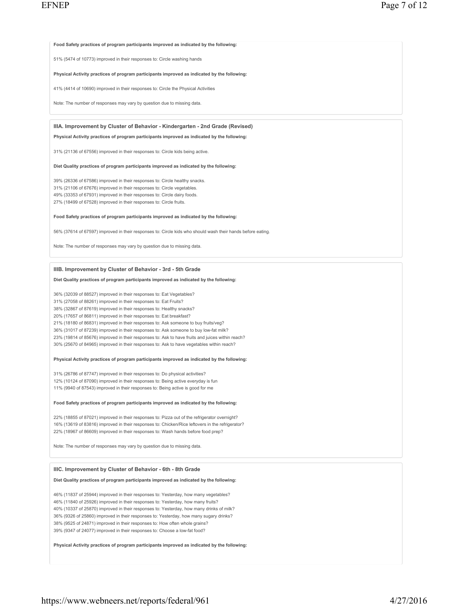**Food Safety practices of program participants improved as indicated by the following:**

51% (5474 of 10773) improved in their responses to: Circle washing hands

**Physical Activity practices of program participants improved as indicated by the following:**

41% (4414 of 10690) improved in their responses to: Circle the Physical Activities

Note: The number of responses may vary by question due to missing data.

#### **IIIA. Improvement by Cluster of Behavior - Kindergarten - 2nd Grade (Revised)**

**Physical Activity practices of program participants improved as indicated by the following:**

31% (21136 of 67556) improved in their responses to: Circle kids being active.

**Diet Quality practices of program participants improved as indicated by the following:**

39% (26336 of 67586) improved in their responses to: Circle healthy snacks. 31% (21106 of 67676) improved in their responses to: Circle vegetables. 49% (33353 of 67931) improved in their responses to: Circle dairy foods. 27% (18499 of 67528) improved in their responses to: Circle fruits.

#### **Food Safety practices of program participants improved as indicated by the following:**

56% (37614 of 67597) improved in their responses to: Circle kids who should wash their hands before eating.

Note: The number of responses may vary by question due to missing data.

#### **IIIB. Improvement by Cluster of Behavior - 3rd - 5th Grade**

#### **Diet Quality practices of program participants improved as indicated by the following:**

36% (32039 of 88527) improved in their responses to: Eat Vegetables? 31% (27058 of 88261) improved in their responses to: Eat Fruits? 38% (32867 of 87619) improved in their responses to: Healthy snacks? 20% (17657 of 86811) improved in their responses to: Eat breakfast? 21% (18180 of 86831) improved in their responses to: Ask someone to buy fruits/veg? 36% (31017 of 87239) improved in their responses to: Ask someone to buy low-fat milk? 23% (19814 of 85676) improved in their responses to: Ask to have fruits and juices within reach? 30% (25670 of 84965) improved in their responses to: Ask to have vegetables within reach?

#### **Physical Activity practices of program participants improved as indicated by the following:**

31% (26786 of 87747) improved in their responses to: Do physical activities? 12% (10124 of 87090) improved in their responses to: Being active everyday is fun 11% (9940 of 87543) improved in their responses to: Being active is good for me

#### **Food Safety practices of program participants improved as indicated by the following:**

22% (18855 of 87021) improved in their responses to: Pizza out of the refrigerator overnight? 16% (13619 of 83816) improved in their responses to: Chicken/Rice leftovers in the refrigerator? 22% (18967 of 86609) improved in their responses to: Wash hands before food prep?

Note: The number of responses may vary by question due to missing data.

#### **IIIC. Improvement by Cluster of Behavior - 6th - 8th Grade**

#### **Diet Quality practices of program participants improved as indicated by the following:**

46% (11837 of 25944) improved in their responses to: Yesterday, how many vegetables? 46% (11840 of 25926) improved in their responses to: Yesterday, how many fruits? 40% (10337 of 25870) improved in their responses to: Yesterday, how many drinks of milk? 36% (9326 of 25860) improved in their responses to: Yesterday, how many sugary drinks? 38% (9525 of 24871) improved in their responses to: How often whole grains? 39% (9347 of 24077) improved in their responses to: Choose a low-fat food?

**Physical Activity practices of program participants improved as indicated by the following:**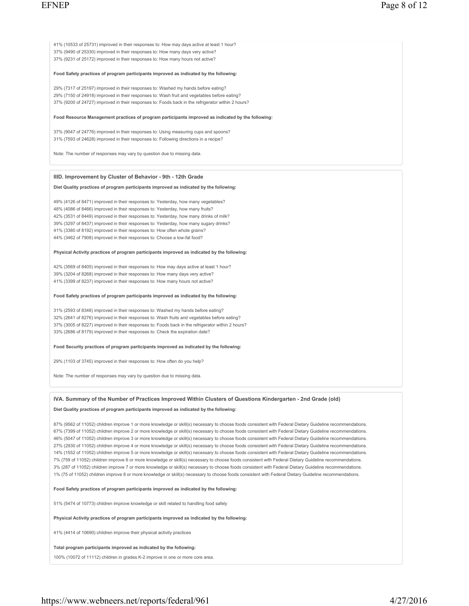41% (10533 of 25731) improved in their responses to: How may days active at least 1 hour? 37% (9490 of 25330) improved in their responses to: How many days very active? 37% (9231 of 25172) improved in their responses to: How many hours not active?

#### **Food Safety practices of program participants improved as indicated by the following:**

29% (7317 of 25197) improved in their responses to: Washed my hands before eating? 29% (7150 of 24918) improved in their responses to: Wash fruit and vegetables before eating? 37% (9200 of 24727) improved in their responses to: Foods back in the refrigerator within 2 hours?

#### **Food Resource Management practices of program participants improved as indicated by the following:**

37% (9047 of 24776) improved in their responses to: Using measuring cups and spoons? 31% (7593 of 24628) improved in their responses to: Following directions in a recipe?

Note: The number of responses may vary by question due to missing data.

#### **IIID. Improvement by Cluster of Behavior - 9th - 12th Grade**

#### **Diet Quality practices of program participants improved as indicated by the following:**

49% (4126 of 8471) improved in their responses to: Yesterday, how many vegetables? 48% (4086 of 8466) improved in their responses to: Yesterday, how many fruits? 42% (3531 of 8449) improved in their responses to: Yesterday, how many drinks of milk? 39% (3297 of 8437) improved in their responses to: Yesterday, how many sugary drinks? 41% (3380 of 8192) improved in their responses to: How often whole grains? 44% (3462 of 7908) improved in their responses to: Choose a low-fat food?

#### **Physical Activity practices of program participants improved as indicated by the following:**

42% (3569 of 8405) improved in their responses to: How may days active at least 1 hour? 39% (3204 of 8268) improved in their responses to: How many days very active? 41% (3399 of 8237) improved in their responses to: How many hours not active?

#### **Food Safety practices of program participants improved as indicated by the following:**

31% (2593 of 8348) improved in their responses to: Washed my hands before eating? 32% (2641 of 8276) improved in their responses to: Wash fruits and vegetables before eating? 37% (3005 of 8227) improved in their responses to: Foods back in the refrigerator within 2 hours? 33% (2686 of 8179) improved in their responses to: Check the expiration date?

#### **Food Security practices of program participants improved as indicated by the following:**

29% (1103 of 3745) improved in their responses to: How often do you help?

Note: The number of responses may vary by question due to missing data.

#### **IVA. Summary of the Number of Practices Improved Within Clusters of Questions Kindergarten - 2nd Grade (old)**

#### **Diet Quality practices of program participants improved as indicated by the following:**

87% (9562 of 11052) children improve 1 or more knowledge or skill(s) necessary to choose foods consistent with Federal Dietary Guideline recommendations. 67% (7399 of 11052) children improve 2 or more knowledge or skill(s) necessary to choose foods consistent with Federal Dietary Guideline recommendations. 46% (5047 of 11052) children improve 3 or more knowledge or skill(s) necessary to choose foods consistent with Federal Dietary Guideline recommendations. 27% (2930 of 11052) children improve 4 or more knowledge or skill(s) necessary to choose foods consistent with Federal Dietary Guideline recommendations. 14% (1552 of 11052) children improve 5 or more knowledge or skill(s) necessary to choose foods consistent with Federal Dietary Guideline recommendations. 7% (759 of 11052) children improve 6 or more knowledge or skill(s) necessary to choose foods consistent with Federal Dietary Guideline recommendations. 3% (287 of 11052) children improve 7 or more knowledge or skill(s) necessary to choose foods consistent with Federal Dietary Guideline recommendations. 1% (75 of 11052) children improve 8 or more knowledge or skill(s) necessary to choose foods consistent with Federal Dietary Guideline recommendations.

**Food Safety practices of program participants improved as indicated by the following:**

51% (5474 of 10773) children improve knowledge or skill related to handling food safely

**Physical Activity practices of program participants improved as indicated by the following:**

41% (4414 of 10690) children improve their physical activity practices

#### **Total program participants improved as indicated by the following:**

100% (10072 of 11112) children in grades K-2 improve in one or more core area.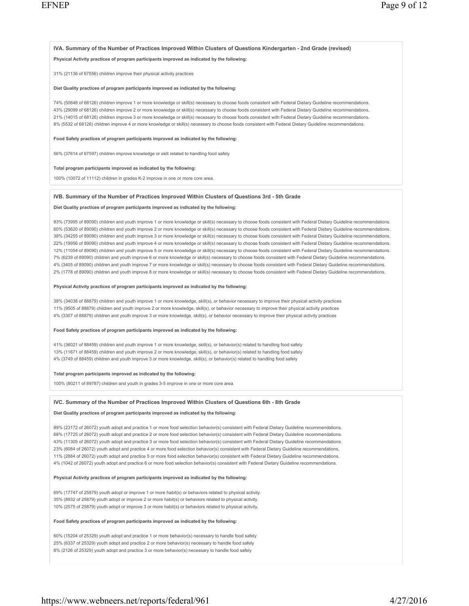## **IVA. Summary of the Number of Practices Improved Within Clusters of Questions Kindergarten - 2nd Grade (revised)**

**Physical Activity practices of program participants improved as indicated by the following:**

31% (21136 of 67556) children improve their physical activity practices

#### **Diet Quality practices of program participants improved as indicated by the following:**

74% (50648 of 68126) children improve 1 or more knowledge or skill(s) necessary to choose foods consistent with Federal Dietary Guideline recommendations. 43% (29099 of 68126) children improve 2 or more knowledge or skill(s) necessary to choose foods consistent with Federal Dietary Guideline recommendations. 21% (14015 of 68126) children improve 3 or more knowledge or skill(s) necessary to choose foods consistent with Federal Dietary Guideline recommendations. 8% (5532 of 68126) children improve 4 or more knowledge or skill(s) necessary to choose foods consistent with Federal Dietary Guideline recommendations.

#### **Food Safety practices of program participants improved as indicated by the following:**

56% (37614 of 67597) children improve knowledge or skill related to handling food safely

#### **Total program participants improved as indicated by the following:**

100% (10072 of 11112) children in grades K-2 improve in one or more core area.

## **IVB. Summary of the Number of Practices Improved Within Clusters of Questions 3rd - 5th Grade**

## **Diet Quality practices of program participants improved as indicated by the following:**

83% (73995 of 89090) children and youth improve 1 or more knowledge or skill(s) necessary to choose foods consistent with Federal Dietary Guideline recommendations. 60% (53620 of 89090) children and youth improve 2 or more knowledge or skill(s) necessary to choose foods consistent with Federal Dietary Guideline recommendations. 38% (34255 of 89090) children and youth improve 3 or more knowledge or skill(s) necessary to choose foods consistent with Federal Dietary Guideline recommendations. 22% (19956 of 89090) children and youth improve 4 or more knowledge or skill(s) necessary to choose foods consistent with Federal Dietary Guideline recommendations. 12% (11054 of 89090) children and youth improve 5 or more knowledge or skill(s) necessary to choose foods consistent with Federal Dietary Guideline recommendations. 7% (6239 of 89090) children and youth improve 6 or more knowledge or skill(s) necessary to choose foods consistent with Federal Dietary Guideline recommendations. 4% (3405 of 89090) children and youth improve 7 or more knowledge or skill(s) necessary to choose foods consistent with Federal Dietary Guideline recommendations. 2% (1778 of 89090) children and youth improve 8 or more knowledge or skill(s) necessary to choose foods consistent with Federal Dietary Guideline recommendations.

#### **Physical Activity practices of program participants improved as indicated by the following:**

38% (34038 of 88879) children and youth improve 1 or more knowledge, skill(s), or behavior necessary to improve their physical activity practices 11% (9505 of 88879) children and youth improve 2 or more knowledge, skill(s), or behavior necessary to improve their physical activity practices 4% (3307 of 88879) children and youth improve 3 or more knowledge, skill(s), or behavior necessary to improve their physical activity practices

#### **Food Safety practices of program participants improved as indicated by the following:**

41% (36021 of 88459) children and youth improve 1 or more knowledge, skill(s), or behavior(s) related to handling food safely 13% (11671 of 88459) children and youth improve 2 or more knowledge, skill(s), or behavior(s) related to handling food safely 4% (3749 of 88459) children and youth improve 3 or more knowledge, skill(s), or behavior(s) related to handling food safely

#### **Total program participants improved as indicated by the following:**

100% (80211 of 89787) children and youth in grades 3-5 improve in one or more core area.

#### **IVC. Summary of the Number of Practices Improved Within Clusters of Questions 6th - 8th Grade**

## **Diet Quality practices of program participants improved as indicated by the following:**

89% (23172 of 26072) youth adopt and practice 1 or more food selection behavior(s) consistent with Federal Dietary Guideline recommendations. 68% (17725 of 26072) youth adopt and practice 2 or more food selection behavior(s) consistent with Federal Dietary Guideline recommendations. 43% (11305 of 26072) youth adopt and practice 3 or more food selection behavior(s) consistent with Federal Dietary Guideline recommendations. 23% (6084 of 26072) youth adopt and practice 4 or more food selection behavior(s) consistent with Federal Dietary Guideline recommendations. 11% (2884 of 26072) youth adopt and practice 5 or more food selection behavior(s) consistent with Federal Dietary Guideline recommendations. 4% (1042 of 26072) youth adopt and practice 6 or more food selection behavior(s) consistent with Federal Dietary Guideline recommendations.

#### **Physical Activity practices of program participants improved as indicated by the following:**

69% (17747 of 25879) youth adopt or improve 1 or more habit(s) or behaviors related to physical activity. 35% (8932 of 25879) youth adopt or improve 2 or more habit(s) or behaviors related to physical activity. 10% (2575 of 25879) youth adopt or improve 3 or more habit(s) or behaviors related to physical activity.

#### **Food Safety practices of program participants improved as indicated by the following:**

60% (15204 of 25329) youth adopt and practice 1 or more behavior(s) necessary to handle food safely 25% (6337 of 25329) youth adopt and practice 2 or more behavior(s) necessary to handle food safely 8% (2126 of 25329) youth adopt and practice 3 or more behavior(s) necessary to handle food safely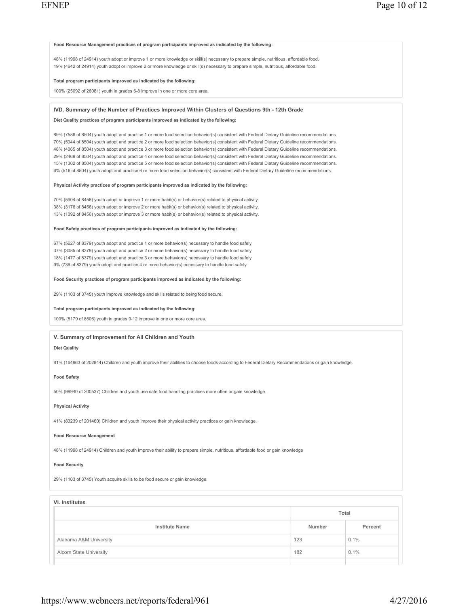| <b>Institute Name</b>                                                                                                                                                                                                                                                                                                                                                                                                                                                                                                                                                                                                                                                                                                                                                                                                                                                                | Number | Percent |
|--------------------------------------------------------------------------------------------------------------------------------------------------------------------------------------------------------------------------------------------------------------------------------------------------------------------------------------------------------------------------------------------------------------------------------------------------------------------------------------------------------------------------------------------------------------------------------------------------------------------------------------------------------------------------------------------------------------------------------------------------------------------------------------------------------------------------------------------------------------------------------------|--------|---------|
| <b>VI. Institutes</b>                                                                                                                                                                                                                                                                                                                                                                                                                                                                                                                                                                                                                                                                                                                                                                                                                                                                | Total  |         |
| 29% (1103 of 3745) Youth acquire skills to be food secure or gain knowledge.                                                                                                                                                                                                                                                                                                                                                                                                                                                                                                                                                                                                                                                                                                                                                                                                         |        |         |
| <b>Food Security</b>                                                                                                                                                                                                                                                                                                                                                                                                                                                                                                                                                                                                                                                                                                                                                                                                                                                                 |        |         |
| 48% (11998 of 24914) Children and youth improve their ability to prepare simple, nutritious, affordable food or gain knowledge                                                                                                                                                                                                                                                                                                                                                                                                                                                                                                                                                                                                                                                                                                                                                       |        |         |
| <b>Food Resource Management</b>                                                                                                                                                                                                                                                                                                                                                                                                                                                                                                                                                                                                                                                                                                                                                                                                                                                      |        |         |
| 41% (83239 of 201460) Children and youth improve their physical activity practices or gain knowledge.                                                                                                                                                                                                                                                                                                                                                                                                                                                                                                                                                                                                                                                                                                                                                                                |        |         |
| <b>Physical Activity</b>                                                                                                                                                                                                                                                                                                                                                                                                                                                                                                                                                                                                                                                                                                                                                                                                                                                             |        |         |
| 50% (99940 of 200537) Children and youth use safe food handling practices more often or gain knowledge.                                                                                                                                                                                                                                                                                                                                                                                                                                                                                                                                                                                                                                                                                                                                                                              |        |         |
| <b>Food Safety</b>                                                                                                                                                                                                                                                                                                                                                                                                                                                                                                                                                                                                                                                                                                                                                                                                                                                                   |        |         |
| 81% (164963 of 202844) Children and youth improve their abilities to choose foods according to Federal Dietary Recommendations or gain knowledge.                                                                                                                                                                                                                                                                                                                                                                                                                                                                                                                                                                                                                                                                                                                                    |        |         |
| V. Summary of Improvement for All Children and Youth<br><b>Diet Quality</b>                                                                                                                                                                                                                                                                                                                                                                                                                                                                                                                                                                                                                                                                                                                                                                                                          |        |         |
| Total program participants improved as indicated by the following:<br>100% (8179 of 8506) youth in grades 9-12 improve in one or more core area.                                                                                                                                                                                                                                                                                                                                                                                                                                                                                                                                                                                                                                                                                                                                     |        |         |
| 29% (1103 of 3745) youth improve knowledge and skills related to being food secure.                                                                                                                                                                                                                                                                                                                                                                                                                                                                                                                                                                                                                                                                                                                                                                                                  |        |         |
| Food Security practices of program participants improved as indicated by the following:                                                                                                                                                                                                                                                                                                                                                                                                                                                                                                                                                                                                                                                                                                                                                                                              |        |         |
| 37% (3085 of 8379) youth adopt and practice 2 or more behavior(s) necessary to handle food safely<br>18% (1477 of 8379) youth adopt and practice 3 or more behavior(s) necessary to handle food safely<br>9% (736 of 8379) youth adopt and practice 4 or more behavior(s) necessary to handle food safely                                                                                                                                                                                                                                                                                                                                                                                                                                                                                                                                                                            |        |         |
| Food Safety practices of program participants improved as indicated by the following:<br>67% (5627 of 8379) youth adopt and practice 1 or more behavior(s) necessary to handle food safely                                                                                                                                                                                                                                                                                                                                                                                                                                                                                                                                                                                                                                                                                           |        |         |
| 70% (5904 of 8456) youth adopt or improve 1 or more habit(s) or behavior(s) related to physical activity.<br>38% (3176 of 8456) youth adopt or improve 2 or more habit(s) or behavior(s) related to physical activity.<br>13% (1092 of 8456) youth adopt or improve 3 or more habit(s) or behavior(s) related to physical activity.                                                                                                                                                                                                                                                                                                                                                                                                                                                                                                                                                  |        |         |
| Physical Activity practices of program participants improved as indicated by the following:                                                                                                                                                                                                                                                                                                                                                                                                                                                                                                                                                                                                                                                                                                                                                                                          |        |         |
| 89% (7586 of 8504) youth adopt and practice 1 or more food selection behavior(s) consistent with Federal Dietary Guideline recommendations.<br>70% (5944 of 8504) youth adopt and practice 2 or more food selection behavior(s) consistent with Federal Dietary Guideline recommendations.<br>48% (4065 of 8504) youth adopt and practice 3 or more food selection behavior(s) consistent with Federal Dietary Guideline recommendations.<br>29% (2469 of 8504) youth adopt and practice 4 or more food selection behavior(s) consistent with Federal Dietary Guideline recommendations.<br>15% (1302 of 8504) youth adopt and practice 5 or more food selection behavior(s) consistent with Federal Dietary Guideline recommendations.<br>6% (516 of 8504) youth adopt and practice 6 or more food selection behavior(s) consistent with Federal Dietary Guideline recommendations. |        |         |
| Diet Quality practices of program participants improved as indicated by the following:                                                                                                                                                                                                                                                                                                                                                                                                                                                                                                                                                                                                                                                                                                                                                                                               |        |         |
| IVD. Summary of the Number of Practices Improved Within Clusters of Questions 9th - 12th Grade                                                                                                                                                                                                                                                                                                                                                                                                                                                                                                                                                                                                                                                                                                                                                                                       |        |         |
| 100% (25092 of 26081) youth in grades 6-8 improve in one or more core area.                                                                                                                                                                                                                                                                                                                                                                                                                                                                                                                                                                                                                                                                                                                                                                                                          |        |         |
| Total program participants improved as indicated by the following:                                                                                                                                                                                                                                                                                                                                                                                                                                                                                                                                                                                                                                                                                                                                                                                                                   |        |         |
| 48% (11998 of 24914) youth adopt or improve 1 or more knowledge or skill(s) necessary to prepare simple, nutritious, affordable food.<br>19% (4642 of 24914) youth adopt or improve 2 or more knowledge or skill(s) necessary to prepare simple, nutritious, affordable food.                                                                                                                                                                                                                                                                                                                                                                                                                                                                                                                                                                                                        |        |         |
| Food Resource Management practices of program participants improved as indicated by the following:                                                                                                                                                                                                                                                                                                                                                                                                                                                                                                                                                                                                                                                                                                                                                                                   |        |         |

Alabama A&M University **123** 0.1% Alcorn State University **182** 0.1%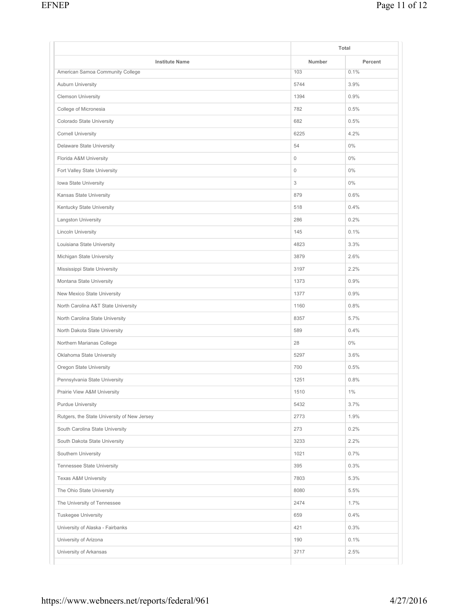|                                             | Total               |         |
|---------------------------------------------|---------------------|---------|
| <b>Institute Name</b>                       | Number              | Percent |
| American Samoa Community College            | 103                 | 0.1%    |
| Auburn University                           | 5744                | 3.9%    |
| <b>Clemson University</b>                   | 1394                | 0.9%    |
| College of Micronesia                       | 782                 | 0.5%    |
| Colorado State University                   | 682                 | 0.5%    |
| <b>Cornell University</b>                   | 6225                | 4.2%    |
| <b>Delaware State University</b>            | 54                  | $0\%$   |
| Florida A&M University                      | $\mathsf{O}\xspace$ | $0\%$   |
| Fort Valley State University                | $\mathbf 0$         | $0\%$   |
| Iowa State University                       | 3                   | $0\%$   |
| Kansas State University                     | 879                 | 0.6%    |
| Kentucky State University                   | 518                 | 0.4%    |
| Langston University                         | 286                 | 0.2%    |
| Lincoln University                          | 145                 | 0.1%    |
| Louisiana State University                  | 4823                | 3.3%    |
| Michigan State University                   | 3879                | 2.6%    |
| Mississippi State University                | 3197                | 2.2%    |
| Montana State University                    | 1373                | 0.9%    |
| New Mexico State University                 | 1377                | 0.9%    |
| North Carolina A&T State University         | 1160                | 0.8%    |
| North Carolina State University             | 8357                | 5.7%    |
| North Dakota State University               | 589                 | 0.4%    |
| Northern Marianas College                   | 28                  | $0\%$   |
| Oklahoma State University                   | 5297                | 3.6%    |
| Oregon State University                     | 700                 | 0.5%    |
| Pennsylvania State University               | 1251                | 0.8%    |
| Prairie View A&M University                 | 1510                | $1\%$   |
| Purdue University                           | 5432                | 3.7%    |
| Rutgers, the State University of New Jersey | 2773                | 1.9%    |
| South Carolina State University             | 273                 | 0.2%    |
| South Dakota State University               | 3233                | 2.2%    |
| Southern University                         | 1021                | 0.7%    |
| Tennessee State University                  | 395                 | 0.3%    |
| Texas A&M University                        | 7803                | 5.3%    |
| The Ohio State University                   | 8080                | 5.5%    |
| The University of Tennessee                 | 2474                | 1.7%    |
| <b>Tuskegee University</b>                  | 659                 | 0.4%    |
| University of Alaska - Fairbanks            | 421                 | 0.3%    |
| University of Arizona                       | 190                 | 0.1%    |
| University of Arkansas                      | 3717                | 2.5%    |
|                                             |                     |         |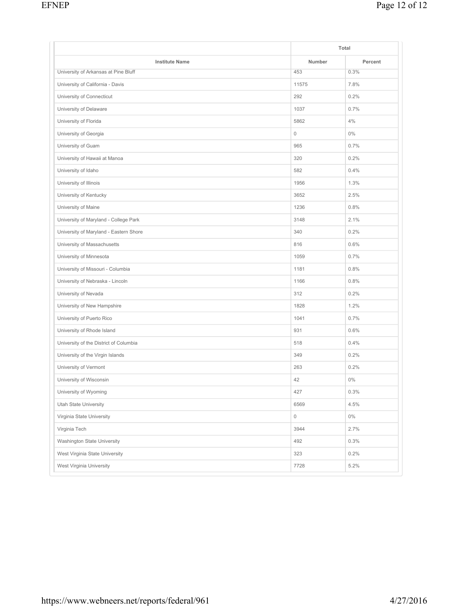|                                        | Total               |         |
|----------------------------------------|---------------------|---------|
| <b>Institute Name</b>                  | Number              | Percent |
| University of Arkansas at Pine Bluff   | 453                 | 0.3%    |
| University of California - Davis       | 11575               | 7.8%    |
| University of Connecticut              | 292                 | 0.2%    |
| University of Delaware                 | 1037                | 0.7%    |
| University of Florida                  | 5862                | 4%      |
| University of Georgia                  | $\mathsf{O}\xspace$ | $0\%$   |
| University of Guam                     | 965                 | 0.7%    |
| University of Hawaii at Manoa          | 320                 | 0.2%    |
| University of Idaho                    | 582                 | 0.4%    |
| University of Illinois                 | 1956                | 1.3%    |
| University of Kentucky                 | 3652                | 2.5%    |
| University of Maine                    | 1236                | 0.8%    |
| University of Maryland - College Park  | 3148                | 2.1%    |
| University of Maryland - Eastern Shore | 340                 | 0.2%    |
| University of Massachusetts            | 816                 | 0.6%    |
| University of Minnesota                | 1059                | 0.7%    |
| University of Missouri - Columbia      | 1181                | 0.8%    |
| University of Nebraska - Lincoln       | 1166                | 0.8%    |
| University of Nevada                   | 312                 | 0.2%    |
| University of New Hampshire            | 1828                | 1.2%    |
| University of Puerto Rico              | 1041                | 0.7%    |
| University of Rhode Island             | 931                 | 0.6%    |
| University of the District of Columbia | 518                 | 0.4%    |
| University of the Virgin Islands       | 349                 | 0.2%    |
| University of Vermont                  | 263                 | 0.2%    |
| University of Wisconsin                | 42                  | $0\%$   |
| University of Wyoming                  | 427                 | 0.3%    |
| <b>Utah State University</b>           | 6569                | 4.5%    |
| Virginia State University              | 0                   | $0\%$   |
| Virginia Tech                          | 3944                | 2.7%    |
| Washington State University            | 492                 | 0.3%    |
| West Virginia State University         | 323                 | 0.2%    |
| West Virginia University               | 7728                | 5.2%    |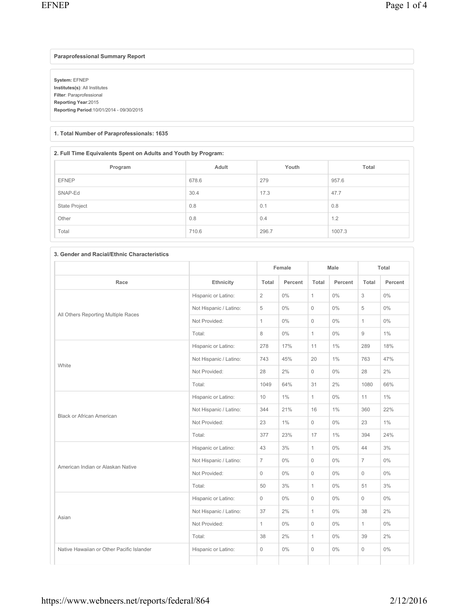## <span id="page-47-0"></span>**Paraprofessional Summary Report**

**System:** EFNEP **Institutes(s)**: All Institutes **Filter**: Paraprofessional **Reporting Year**:2015 **Reporting Period**:10/01/2014 - 09/30/2015

## **1. Total Number of Paraprofessionals: 1635**

## **2. Full Time Equivalents Spent on Adults and Youth by Program:**

| Program       | Adult | Youth | Total  |
|---------------|-------|-------|--------|
| <b>EFNEP</b>  | 678.6 | 279   | 957.6  |
| SNAP-Ed       | 30.4  | 17.3  | 47.7   |
| State Project | 0.8   | 0.1   | 0.8    |
| Other         | 0.8   | 0.4   | 1.2    |
| Total         | 710.6 | 296.7 | 1007.3 |

## **3. Gender and Racial/Ethnic Characteristics**

|                                           |                        |                | Female  |              | Male    | Total          |         |
|-------------------------------------------|------------------------|----------------|---------|--------------|---------|----------------|---------|
| Race                                      | Ethnicity              | Total          | Percent | Total        | Percent | Total          | Percent |
|                                           | Hispanic or Latino:    | $\overline{2}$ | $0\%$   | $\mathbf{1}$ | $0\%$   | 3              | $0\%$   |
|                                           | Not Hispanic / Latino: | 5              | $0\%$   | 0            | $0\%$   | 5              | $0\%$   |
| All Others Reporting Multiple Races       | Not Provided:          | $\mathbf{1}$   | $0\%$   | 0            | $0\%$   | $\mathbf{1}$   | $0\%$   |
|                                           | Total:                 | 8              | $0\%$   | $\mathbf{1}$ | 0%      | 9              | 1%      |
|                                           | Hispanic or Latino:    | 278            | 17%     | 11           | $1\%$   | 289            | 18%     |
|                                           | Not Hispanic / Latino: | 743            | 45%     | 20           | 1%      | 763            | 47%     |
| White                                     | Not Provided:          | 28             | 2%      | 0            | $0\%$   | 28             | 2%      |
|                                           | Total:                 | 1049           | 64%     | 31           | 2%      | 1080           | 66%     |
|                                           | Hispanic or Latino:    | 10             | 1%      | $\mathbf{1}$ | $0\%$   | 11             | $1\%$   |
|                                           | Not Hispanic / Latino: | 344            | 21%     | 16           | $1\%$   | 360            | 22%     |
| <b>Black or African American</b>          | Not Provided:          | 23             | 1%      | 0            | $0\%$   | 23             | $1\%$   |
|                                           | Total:                 | 377            | 23%     | 17           | $1\%$   | 394            | 24%     |
|                                           | Hispanic or Latino:    | 43             | 3%      | $\mathbf{1}$ | $0\%$   | 44             | 3%      |
|                                           | Not Hispanic / Latino: | $\overline{7}$ | $0\%$   | 0            | $0\%$   | $\overline{7}$ | $0\%$   |
| American Indian or Alaskan Native         | Not Provided:          | $\mathbf{0}$   | $0\%$   | 0            | $0\%$   | $\circ$        | $0\%$   |
|                                           | Total:                 | 50             | 3%      | $\mathbf{1}$ | $0\%$   | 51             | 3%      |
|                                           | Hispanic or Latino:    | $\Omega$       | $0\%$   | $\mathbf 0$  | $0\%$   | $\Omega$       | $0\%$   |
|                                           | Not Hispanic / Latino: | 37             | 2%      | $\mathbf{1}$ | $0\%$   | 38             | 2%      |
| Asian                                     | Not Provided:          | $\mathbf{1}$   | $0\%$   | 0            | $0\%$   | $\mathbf{1}$   | $0\%$   |
|                                           | Total:                 | 38             | 2%      | $\mathbf{1}$ | $0\%$   | 39             | 2%      |
| Native Hawaiian or Other Pacific Islander | Hispanic or Latino:    | $\mathbf 0$    | $0\%$   | 0            | $0\%$   | $\mathbf 0$    | $0\%$   |
|                                           |                        |                |         |              |         |                |         |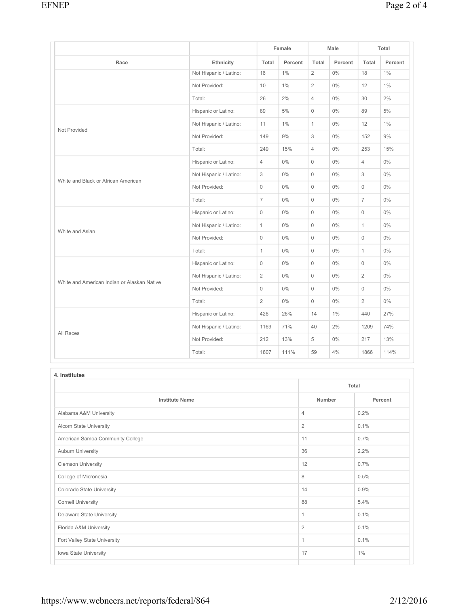|                                             |                        |                | Female  |                | Male    |                | Total   |
|---------------------------------------------|------------------------|----------------|---------|----------------|---------|----------------|---------|
| Race                                        | Ethnicity              | Total          | Percent | Total          | Percent | Total          | Percent |
|                                             | Not Hispanic / Latino: | 16             | $1\%$   | $\overline{2}$ | $0\%$   | 18             | $1\%$   |
|                                             | Not Provided:          | 10             | $1\%$   | $\overline{2}$ | $0\%$   | 12             | $1\%$   |
|                                             | Total:                 | 26             | 2%      | $\overline{4}$ | $0\%$   | 30             | 2%      |
|                                             | Hispanic or Latino:    | 89             | 5%      | $\mathbf 0$    | $0\%$   | 89             | 5%      |
| Not Provided                                | Not Hispanic / Latino: | 11             | 1%      | $\mathbf{1}$   | $0\%$   | 12             | $1\%$   |
|                                             | Not Provided:          | 149            | 9%      | 3              | $0\%$   | 152            | 9%      |
|                                             | Total:                 | 249            | 15%     | $\overline{4}$ | $0\%$   | 253            | 15%     |
|                                             | Hispanic or Latino:    | $\overline{4}$ | $0\%$   | $\mathbb O$    | $0\%$   | $\overline{4}$ | $0\%$   |
| White and Black or African American         | Not Hispanic / Latino: | 3              | $0\%$   | $\mathbf 0$    | $0\%$   | 3              | $0\%$   |
|                                             | Not Provided:          | $\mathbf{0}$   | $0\%$   | $\mathbf 0$    | $0\%$   | $\mathbf{0}$   | $0\%$   |
|                                             | Total:                 | $\overline{7}$ | $0\%$   | $\mathbf 0$    | $0\%$   | $\overline{7}$ | $0\%$   |
|                                             | Hispanic or Latino:    | $\mathbf{0}$   | $0\%$   | $\mathbf 0$    | $0\%$   | $\mathbf 0$    | $0\%$   |
| White and Asian                             | Not Hispanic / Latino: | $\mathbf{1}$   | $0\%$   | $\mathbf 0$    | $0\%$   | $\mathbf{1}$   | $0\%$   |
|                                             | Not Provided:          | $\mathbf{0}$   | $0\%$   | $\mathbf 0$    | $0\%$   | $\circ$        | $0\%$   |
|                                             | Total:                 | $\mathbf{1}$   | $0\%$   | $\mathbf 0$    | $0\%$   | $\mathbf{1}$   | $0\%$   |
|                                             | Hispanic or Latino:    | $\mathbf{0}$   | $0\%$   | $\mathbf 0$    | $0\%$   | $\mathbf 0$    | $0\%$   |
|                                             | Not Hispanic / Latino: | $\overline{2}$ | $0\%$   | $\mathbf 0$    | $0\%$   | $\overline{2}$ | $0\%$   |
| White and American Indian or Alaskan Native | Not Provided:          | $\Omega$       | $0\%$   | $\mathbf 0$    | $0\%$   | $\circ$        | $0\%$   |
|                                             | Total:                 | $\overline{2}$ | $0\%$   | $\mathbf 0$    | $0\%$   | $\overline{2}$ | $0\%$   |
|                                             | Hispanic or Latino:    | 426            | 26%     | 14             | $1\%$   | 440            | 27%     |
|                                             | Not Hispanic / Latino: | 1169           | 71%     | 40             | $2\%$   | 1209           | 74%     |
| All Races                                   | Not Provided:          | 212            | 13%     | 5              | $0\%$   | 217            | 13%     |
|                                             | Total:                 | 1807           | 111%    | 59             | 4%      | 1866           | 114%    |

|                                  |                | Total   |
|----------------------------------|----------------|---------|
| <b>Institute Name</b>            | Number         | Percent |
| Alabama A&M University           | $\overline{4}$ | 0.2%    |
| Alcorn State University          | $\overline{2}$ | 0.1%    |
| American Samoa Community College | 11             | 0.7%    |
| Auburn University                | 36             | 2.2%    |
| <b>Clemson University</b>        | 12             | 0.7%    |
| College of Micronesia            | 8              | 0.5%    |
| Colorado State University        | 14             | 0.9%    |
| <b>Cornell University</b>        | 88             | 5.4%    |
| Delaware State University        | $\mathbf{1}$   | 0.1%    |
| Florida A&M University           | $\overline{2}$ | 0.1%    |
| Fort Valley State University     | $\mathbf{1}$   | 0.1%    |
| Iowa State University            | 17             | 1%      |
|                                  |                |         |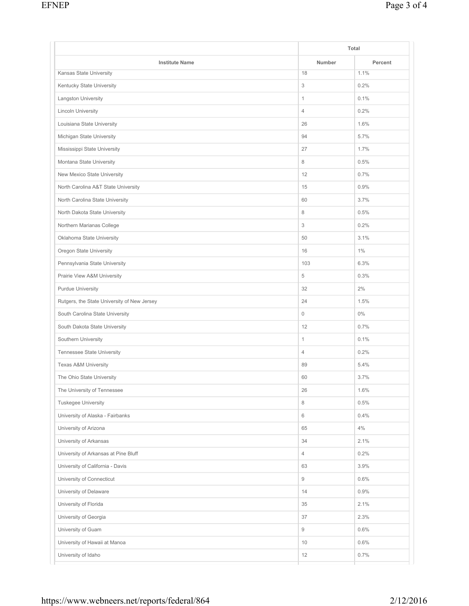|                                             | Total               |         |
|---------------------------------------------|---------------------|---------|
| <b>Institute Name</b>                       | Number              | Percent |
| Kansas State University                     | 18                  | 1.1%    |
| Kentucky State University                   | 3                   | 0.2%    |
| Langston University                         | $\mathbf{1}$        | 0.1%    |
| <b>Lincoln University</b>                   | $\overline{4}$      | 0.2%    |
| Louisiana State University                  | 26                  | 1.6%    |
| Michigan State University                   | 94                  | 5.7%    |
| Mississippi State University                | 27                  | 1.7%    |
| Montana State University                    | 8                   | 0.5%    |
| New Mexico State University                 | 12                  | 0.7%    |
| North Carolina A&T State University         | 15                  | 0.9%    |
| North Carolina State University             | 60                  | 3.7%    |
| North Dakota State University               | 8                   | 0.5%    |
| Northern Marianas College                   | 3                   | 0.2%    |
| Oklahoma State University                   | 50                  | 3.1%    |
| Oregon State University                     | 16                  | $1\%$   |
| Pennsylvania State University               | 103                 | 6.3%    |
| Prairie View A&M University                 | 5                   | 0.3%    |
| <b>Purdue University</b>                    | 32                  | 2%      |
| Rutgers, the State University of New Jersey | 24                  | 1.5%    |
| South Carolina State University             | $\mathsf{O}\xspace$ | $0\%$   |
| South Dakota State University               | 12                  | 0.7%    |
| Southern University                         | $\mathbf{1}$        | 0.1%    |
| Tennessee State University                  | $\overline{4}$      | 0.2%    |
| Texas A&M University                        | 89                  | 5.4%    |
| The Ohio State University                   | 60                  | 3.7%    |
| The University of Tennessee                 | 26                  | 1.6%    |
| <b>Tuskegee University</b>                  | 8                   | 0.5%    |
| University of Alaska - Fairbanks            | 6                   | 0.4%    |
| University of Arizona                       | 65                  | 4%      |
| University of Arkansas                      | 34                  | 2.1%    |
| University of Arkansas at Pine Bluff        | $\overline{4}$      | 0.2%    |
| University of California - Davis            | 63                  | 3.9%    |
| University of Connecticut                   | $\hbox{9}$          | 0.6%    |
| University of Delaware                      | 14                  | 0.9%    |
| University of Florida                       | 35                  | 2.1%    |
| University of Georgia                       | 37                  | 2.3%    |
| University of Guam                          | $\hbox{g}$          | 0.6%    |
| University of Hawaii at Manoa               | 10                  | 0.6%    |
| University of Idaho                         | 12                  | 0.7%    |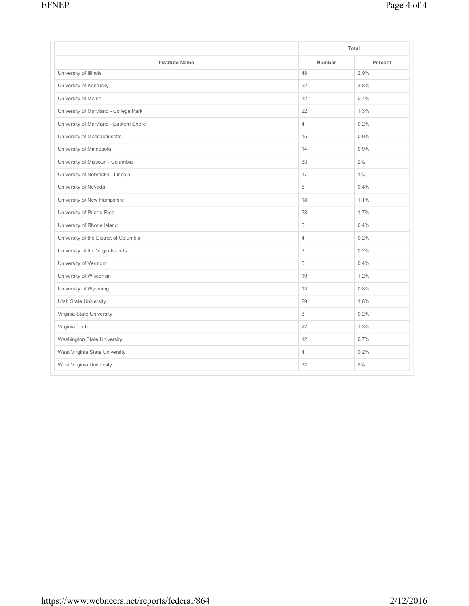|                                        | Total          |         |  |
|----------------------------------------|----------------|---------|--|
| <b>Institute Name</b>                  | Number         | Percent |  |
| University of Illinois                 | 48             | 2.9%    |  |
| University of Kentucky                 | 62             | 3.8%    |  |
| University of Maine                    | 12             | 0.7%    |  |
| University of Maryland - College Park  | 22             | 1.3%    |  |
| University of Maryland - Eastern Shore | $\overline{4}$ | 0.2%    |  |
| University of Massachusetts            | 15             | 0.9%    |  |
| University of Minnesota                | 14             | 0.9%    |  |
| University of Missouri - Columbia      | 33             | 2%      |  |
| University of Nebraska - Lincoln       | 17             | $1\%$   |  |
| University of Nevada                   | 6              | 0.4%    |  |
| University of New Hampshire            | 18             | 1.1%    |  |
| University of Puerto Rico              | 28             | 1.7%    |  |
| University of Rhode Island             | $\,6\,$        | 0.4%    |  |
| University of the District of Columbia | $\overline{4}$ | 0.2%    |  |
| University of the Virgin Islands       | 3              | 0.2%    |  |
| University of Vermont                  | 6              | 0.4%    |  |
| University of Wisconsin                | 19             | 1.2%    |  |
| University of Wyoming                  | 13             | 0.8%    |  |
| <b>Utah State University</b>           | 29             | 1.8%    |  |
| Virginia State University              | 3              | 0.2%    |  |
| Virginia Tech                          | 22             | 1.3%    |  |
| Washington State University            | 12             | 0.7%    |  |
| West Virginia State University         | $\overline{4}$ | 0.2%    |  |
| West Virginia University               | 32             | 2%      |  |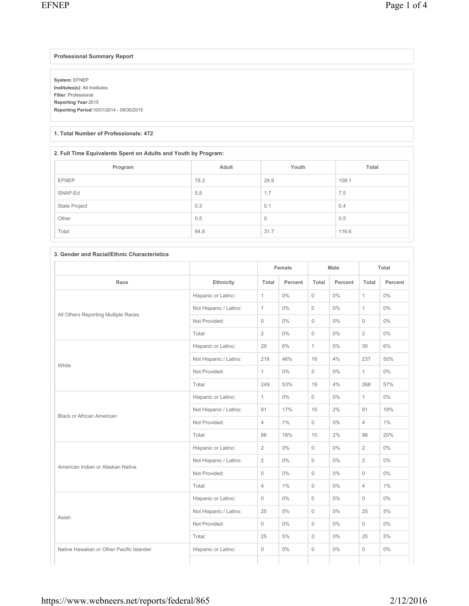## <span id="page-51-0"></span>**Professional Summary Report**

**System:** EFNEP **Institutes(s)**: All Institutes **Filter**: Professional **Reporting Year**:2015 **Reporting Period**:10/01/2014 - 09/30/2015

## **1. Total Number of Professionals: 472**

## **2. Full Time Equivalents Spent on Adults and Youth by Program:**

| Program              | Adult | Youth | Total |
|----------------------|-------|-------|-------|
| <b>EFNEP</b>         | 78.2  | 29.9  | 108.1 |
| SNAP-Ed              | 5.8   | 1.7   | 7.5   |
| <b>State Project</b> | 0.3   | 0.1   | 0.4   |
| Other                | 0.5   | 0     | 0.5   |
| Total                | 84.8  | 31.7  | 116.6 |

## **3. Gender and Racial/Ethnic Characteristics**

|                                           |                        | Female         |         | Male                |         | Total               |         |
|-------------------------------------------|------------------------|----------------|---------|---------------------|---------|---------------------|---------|
| Race                                      | Ethnicity              | Total          | Percent | Total               | Percent | Total               | Percent |
|                                           | Hispanic or Latino:    | 1              | $0\%$   | $\circ$             | $0\%$   | $\mathbf{1}$        | $0\%$   |
|                                           | Not Hispanic / Latino: | $\mathbf{1}$   | $0\%$   | $\mathsf{O}\xspace$ | $0\%$   | $\mathbf{1}$        | $0\%$   |
| All Others Reporting Multiple Races       | Not Provided:          | $\circ$        | $0\%$   | $\mathsf{O}\xspace$ | $0\%$   | $\mathsf{O}\xspace$ | $0\%$   |
|                                           | Total:                 | $\overline{2}$ | $0\%$   | $\mathsf{O}\xspace$ | $0\%$   | $\overline{2}$      | $0\%$   |
|                                           | Hispanic or Latino:    | 29             | 6%      | $\mathbf{1}$        | $0\%$   | 30                  | 6%      |
|                                           | Not Hispanic / Latino: | 219            | 46%     | 18                  | 4%      | 237                 | 50%     |
| White                                     | Not Provided:          | $\mathbf{1}$   | $0\%$   | $\circ$             | $0\%$   | $\mathbf{1}$        | $0\%$   |
|                                           | Total:                 | 249            | 53%     | 19                  | 4%      | 268                 | 57%     |
| <b>Black or African American</b>          | Hispanic or Latino:    | $\mathbf{1}$   | $0\%$   | $\circ$             | $0\%$   | $\mathbf{1}$        | $0\%$   |
|                                           | Not Hispanic / Latino: | 81             | 17%     | 10                  | 2%      | 91                  | 19%     |
|                                           | Not Provided:          | $\overline{4}$ | $1\%$   | $\mathsf{O}\xspace$ | $0\%$   | $\overline{4}$      | $1\%$   |
|                                           | Total:                 | 86             | 18%     | 10                  | 2%      | 96                  | 20%     |
|                                           | Hispanic or Latino:    | $\overline{2}$ | $0\%$   | $\mathbf 0$         | $0\%$   | $\overline{2}$      | $0\%$   |
|                                           | Not Hispanic / Latino: | $\overline{2}$ | $0\%$   | $\circ$             | $0\%$   | $\overline{2}$      | $0\%$   |
| American Indian or Alaskan Native         | Not Provided:          | $\Omega$       | $0\%$   | $\mathsf{O}\xspace$ | $0\%$   | $\mathbf 0$         | $0\%$   |
|                                           | Total:                 | $\overline{4}$ | 1%      | $\mathsf{O}\xspace$ | $0\%$   | $\overline{4}$      | 1%      |
|                                           | Hispanic or Latino:    | $\Omega$       | 0%      | $\mathsf{O}\xspace$ | $0\%$   | $\Omega$            | $0\%$   |
|                                           | Not Hispanic / Latino: | 25             | 5%      | $\mathsf{O}\xspace$ | $0\%$   | 25                  | 5%      |
| Asian                                     | Not Provided:          | $\circ$        | $0\%$   | $\mathsf{O}\xspace$ | $0\%$   | $\circ$             | $0\%$   |
|                                           | Total:                 | 25             | 5%      | $\mathsf{O}\xspace$ | $0\%$   | 25                  | 5%      |
| Native Hawaiian or Other Pacific Islander | Hispanic or Latino:    | $\mathbf 0$    | $0\%$   | $\mathbf{0}$        | $0\%$   | $\circ$             | $0\%$   |
|                                           |                        |                |         |                     |         |                     |         |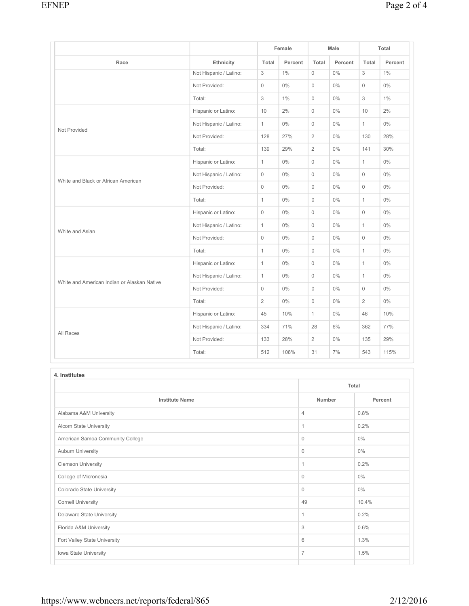|                                             |                        | Female         |         |                     | Male    | Total          |         |
|---------------------------------------------|------------------------|----------------|---------|---------------------|---------|----------------|---------|
| Race                                        | Ethnicity              | Total          | Percent | Total               | Percent | Total          | Percent |
|                                             | Not Hispanic / Latino: | $\mathfrak 3$  | $1\%$   | $\circ$             | $0\%$   | 3              | $1\%$   |
|                                             | Not Provided:          | $\overline{0}$ | $0\%$   | $\mathbb O$         | $0\%$   | $\circ$        | $0\%$   |
|                                             | Total:                 | 3              | $1\%$   | $\circ$             | $0\%$   | 3              | $1\%$   |
|                                             | Hispanic or Latino:    | 10             | 2%      | $\mathsf{O}$        | $0\%$   | 10             | $2\%$   |
| Not Provided                                | Not Hispanic / Latino: | $\mathbf{1}$   | $0\%$   | $\mathsf{O}$        | $0\%$   | $\mathbf{1}$   | $0\%$   |
|                                             | Not Provided:          | 128            | 27%     | $\overline{2}$      | $0\%$   | 130            | 28%     |
|                                             | Total:                 | 139            | 29%     | $\overline{2}$      | $0\%$   | 141            | 30%     |
|                                             | Hispanic or Latino:    | $\mathbf{1}$   | $0\%$   | $\circ$             | $0\%$   | $\mathbf{1}$   | $0\%$   |
|                                             | Not Hispanic / Latino: | $\mathbf 0$    | $0\%$   | $\mathsf{O}\xspace$ | $0\%$   | $\circ$        | $0\%$   |
| White and Black or African American         | Not Provided:          | $\mathbf 0$    | $0\%$   | $\circ$             | $0\%$   | $\circ$        | $0\%$   |
|                                             | Total:                 | $\mathbf{1}$   | $0\%$   | $\mathbb O$         | $0\%$   | $\mathbf{1}$   | $0\%$   |
|                                             | Hispanic or Latino:    | $\mathbf 0$    | $0\%$   | $\circ$             | $0\%$   | $\circ$        | $0\%$   |
| White and Asian                             | Not Hispanic / Latino: | $\mathbf{1}$   | $0\%$   | $\mathsf{O}\xspace$ | $0\%$   | $\mathbf{1}$   | $0\%$   |
|                                             | Not Provided:          | $\mathbf{0}$   | $0\%$   | $\circ$             | $0\%$   | $\Omega$       | $0\%$   |
|                                             | Total:                 | $\mathbf{1}$   | $0\%$   | $\circ$             | $0\%$   | $\mathbf{1}$   | $0\%$   |
|                                             | Hispanic or Latino:    | $\mathbf{1}$   | $0\%$   | $\mathsf{O}\xspace$ | $0\%$   | $\mathbf{1}$   | $0\%$   |
| White and American Indian or Alaskan Native | Not Hispanic / Latino: | $\mathbf{1}$   | $0\%$   | $\mathsf{O}\xspace$ | $0\%$   | $\mathbf{1}$   | $0\%$   |
|                                             | Not Provided:          | $\mathbf{0}$   | $0\%$   | $\circ$             | $0\%$   | $\Omega$       | $0\%$   |
|                                             | Total:                 | $\overline{2}$ | $0\%$   | $\circ$             | $0\%$   | $\overline{2}$ | $0\%$   |
|                                             | Hispanic or Latino:    | 45             | 10%     | $\mathbf{1}$        | $0\%$   | 46             | 10%     |
| All Races                                   | Not Hispanic / Latino: | 334            | 71%     | 28                  | 6%      | 362            | 77%     |
|                                             | Not Provided:          | 133            | 28%     | $\overline{2}$      | $0\%$   | 135            | 29%     |
|                                             | Total:                 | 512            | 108%    | 31                  | 7%      | 543            | 115%    |

|                                  |                | Total   |  |  |
|----------------------------------|----------------|---------|--|--|
| <b>Institute Name</b>            | Number         | Percent |  |  |
| Alabama A&M University           | $\overline{4}$ | 0.8%    |  |  |
| Alcorn State University          | 1              | 0.2%    |  |  |
| American Samoa Community College | $\mathbf{0}$   | $0\%$   |  |  |
| Auburn University                | $\mathbf{0}$   | $0\%$   |  |  |
| Clemson University               | 1              | 0.2%    |  |  |
| College of Micronesia            | $\mathbf{0}$   | $0\%$   |  |  |
| Colorado State University        | $\mathbf{0}$   | $0\%$   |  |  |
| Cornell University               | 49             | 10.4%   |  |  |
| Delaware State University        | 1              | 0.2%    |  |  |
| Florida A&M University           | 3              | 0.6%    |  |  |
| Fort Valley State University     | 6              | 1.3%    |  |  |
| Iowa State University            | $\overline{7}$ | 1.5%    |  |  |
|                                  |                |         |  |  |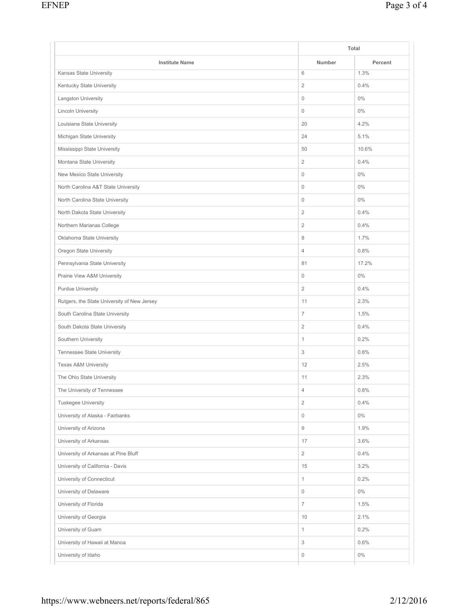|                                             | Total               |         |  |
|---------------------------------------------|---------------------|---------|--|
| <b>Institute Name</b>                       | Number              | Percent |  |
| Kansas State University                     | 6                   | 1.3%    |  |
| Kentucky State University                   | $\overline{2}$      | 0.4%    |  |
| Langston University                         | $\mathsf{O}\xspace$ | $0\%$   |  |
| <b>Lincoln University</b>                   | $\mathbb O$         | $0\%$   |  |
| Louisiana State University                  | 20                  | 4.2%    |  |
| Michigan State University                   | 24                  | 5.1%    |  |
| Mississippi State University                | 50                  | 10.6%   |  |
| Montana State University                    | $\overline{2}$      | 0.4%    |  |
| New Mexico State University                 | $\mathbb O$         | $0\%$   |  |
| North Carolina A&T State University         | $\mathsf{O}\xspace$ | $0\%$   |  |
| North Carolina State University             | $\mathbb O$         | $0\%$   |  |
| North Dakota State University               | $\overline{2}$      | 0.4%    |  |
| Northern Marianas College                   | $\overline{2}$      | 0.4%    |  |
| Oklahoma State University                   | 8                   | 1.7%    |  |
| Oregon State University                     | $\overline{4}$      | 0.8%    |  |
| Pennsylvania State University               | 81                  | 17.2%   |  |
| Prairie View A&M University                 | $\mathsf{O}\xspace$ | $0\%$   |  |
| <b>Purdue University</b>                    | $\overline{2}$      | 0.4%    |  |
| Rutgers, the State University of New Jersey | 11                  | 2.3%    |  |
| South Carolina State University             | $\overline{7}$      | 1.5%    |  |
| South Dakota State University               | $\overline{2}$      | 0.4%    |  |
| Southern University                         | $\mathbf{1}$        | 0.2%    |  |
| <b>Tennessee State University</b>           | 3                   | 0.6%    |  |
| Texas A&M University                        | 12                  | 2.5%    |  |
| The Ohio State University                   | 11                  | 2.3%    |  |
| The University of Tennessee                 | $\overline{4}$      | 0.8%    |  |
| <b>Tuskegee University</b>                  | $\overline{2}$      | 0.4%    |  |
| University of Alaska - Fairbanks            | $\mathbb O$         | $0\%$   |  |
| University of Arizona                       | $\hbox{9}$          | 1.9%    |  |
| University of Arkansas                      | 17                  | 3.6%    |  |
| University of Arkansas at Pine Bluff        | $\sqrt{2}$          | 0.4%    |  |
| University of California - Davis            | 15                  | 3.2%    |  |
| University of Connecticut                   | $\mathbf{1}$        | 0.2%    |  |
| University of Delaware                      | $\mathsf{O}\xspace$ | $0\%$   |  |
| University of Florida                       | $\overline{7}$      | 1.5%    |  |
| University of Georgia                       | 10                  | 2.1%    |  |
| University of Guam                          | $\mathbf{1}$        | 0.2%    |  |
| University of Hawaii at Manoa               | 3                   | 0.6%    |  |
| University of Idaho                         | $\mathbb O$         | $0\%$   |  |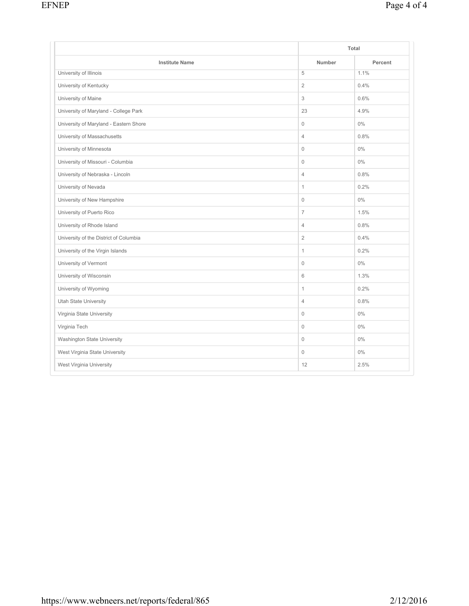|                                        | Total               |         |  |
|----------------------------------------|---------------------|---------|--|
| <b>Institute Name</b>                  | Number              | Percent |  |
| University of Illinois                 | 5                   | 1.1%    |  |
| University of Kentucky                 | $\overline{2}$      | 0.4%    |  |
| University of Maine                    | 3                   | 0.6%    |  |
| University of Maryland - College Park  | 23                  | 4.9%    |  |
| University of Maryland - Eastern Shore | $\mathbb O$         | $0\%$   |  |
| University of Massachusetts            | $\overline{4}$      | 0.8%    |  |
| University of Minnesota                | $\mathbf{0}$        | $0\%$   |  |
| University of Missouri - Columbia      | $\mathbb O$         | $0\%$   |  |
| University of Nebraska - Lincoln       | $\overline{4}$      | 0.8%    |  |
| University of Nevada                   | $\mathbf{1}$        | 0.2%    |  |
| University of New Hampshire            | $\mathbf{0}$        | $0\%$   |  |
| University of Puerto Rico              | $\overline{7}$      | 1.5%    |  |
| University of Rhode Island             | $\overline{4}$      | 0.8%    |  |
| University of the District of Columbia | $\overline{2}$      | 0.4%    |  |
| University of the Virgin Islands       | $\mathbf{1}$        | 0.2%    |  |
| University of Vermont                  | $\mathbf 0$         | $0\%$   |  |
| University of Wisconsin                | 6                   | 1.3%    |  |
| University of Wyoming                  | $\mathbf{1}$        | 0.2%    |  |
| <b>Utah State University</b>           | $\overline{4}$      | 0.8%    |  |
| Virginia State University              | $\mathbb O$         | $0\%$   |  |
| Virginia Tech                          | $\mathbb O$         | $0\%$   |  |
| Washington State University            | $\mathsf{O}\xspace$ | $0\%$   |  |
| West Virginia State University         | $\mathbf 0$         | $0\%$   |  |
| West Virginia University               | 12                  | 2.5%    |  |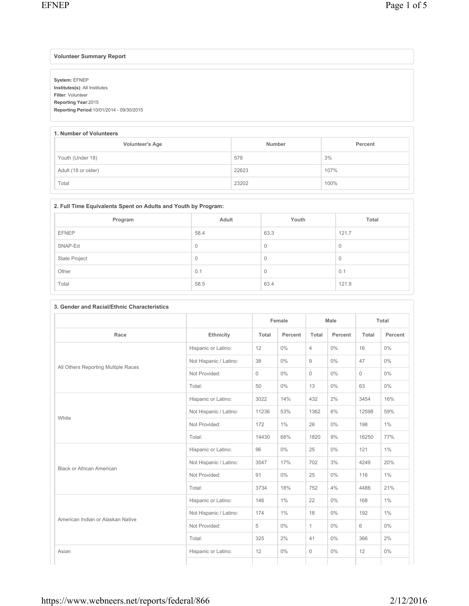## <span id="page-55-0"></span>**Volunteer Summary Report**

| System: EFNEP                             |
|-------------------------------------------|
| <b>Institutes(s): All Institutes</b>      |
| Filter: Volunteer                         |
| Reporting Year:2015                       |
| Reporting Period: 10/01/2014 - 09/30/2015 |
|                                           |

| 1. Number of Volunteers |        |         |
|-------------------------|--------|---------|
| <b>Volunteer's Age</b>  | Number | Percent |
| Youth (Under 18)        | 579    | 3%      |
| Adult (18 or older)     | 22623  | 107%    |
| Total                   | 23202  | 100%    |

| 2. Full Time Equivalents Spent on Adults and Youth by Program: |             |              |             |  |  |  |
|----------------------------------------------------------------|-------------|--------------|-------------|--|--|--|
| Program                                                        | Adult       | Youth        | Total       |  |  |  |
| <b>EFNEP</b>                                                   | 58.4        | 63.3         | 121.7       |  |  |  |
| SNAP-Ed                                                        | 0           | $\mathbf 0$  | 0           |  |  |  |
| <b>State Project</b>                                           | $\mathbf 0$ | $\mathbf{0}$ | $\mathbf 0$ |  |  |  |
| Other                                                          | 0.1         | 0            | 0.1         |  |  |  |
| Total                                                          | 58.5        | 63.4         | 121.9       |  |  |  |

|                                     |                        | Female       |         |                | Male    |              | Total   |
|-------------------------------------|------------------------|--------------|---------|----------------|---------|--------------|---------|
| Race                                | Ethnicity              | Total        | Percent | Total          | Percent | Total        | Percent |
|                                     | Hispanic or Latino:    | 12           | $0\%$   | $\overline{4}$ | $0\%$   | 16           | $0\%$   |
|                                     | Not Hispanic / Latino: | 38           | $0\%$   | 9              | $0\%$   | 47           | $0\%$   |
| All Others Reporting Multiple Races | Not Provided:          | $\mathbf{0}$ | $0\%$   | $\mathbf 0$    | $0\%$   | $\mathbf{0}$ | $0\%$   |
|                                     | Total:                 | 50           | $0\%$   | 13             | $0\%$   | 63           | $0\%$   |
| White                               | Hispanic or Latino:    | 3022         | 14%     | 432            | 2%      | 3454         | 16%     |
|                                     | Not Hispanic / Latino: | 11236        | 53%     | 1362           | 6%      | 12598        | 59%     |
|                                     | Not Provided:          | 172          | 1%      | 26             | $0\%$   | 198          | $1\%$   |
|                                     | Total:                 | 14430        | 68%     | 1820           | 9%      | 16250        | 77%     |
|                                     | Hispanic or Latino:    | 96           | $0\%$   | 25             | $0\%$   | 121          | $1\%$   |
|                                     | Not Hispanic / Latino: | 3547         | 17%     | 702            | 3%      | 4249         | 20%     |
| <b>Black or African American</b>    | Not Provided:          | 91           | $0\%$   | 25             | $0\%$   | 116          | $1\%$   |
|                                     | Total:                 | 3734         | 18%     | 752            | 4%      | 4486         | 21%     |
|                                     | Hispanic or Latino:    | 146          | $1\%$   | 22             | $0\%$   | 168          | $1\%$   |
| American Indian or Alaskan Native   | Not Hispanic / Latino: | 174          | $1\%$   | 18             | $0\%$   | 192          | $1\%$   |
|                                     | Not Provided:          | 5            | $0\%$   | $\mathbf{1}$   | $0\%$   | 6            | $0\%$   |
|                                     | Total:                 | 325          | 2%      | 41             | $0\%$   | 366          | 2%      |
| Asian                               | Hispanic or Latino:    | 12           | $0\%$   | $\mathbf 0$    | $0\%$   | 12           | $0\%$   |
|                                     |                        |              |         |                |         |              |         |

# https://www.webneers.net/reports/federal/866 2/12/2016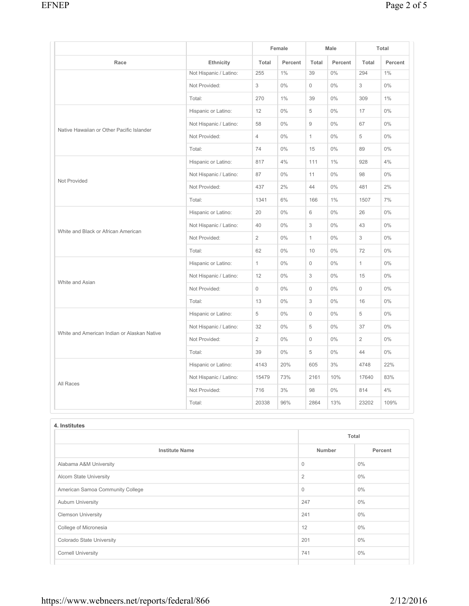|                                             |                        | Female         |         | Male         |         | Total          |         |
|---------------------------------------------|------------------------|----------------|---------|--------------|---------|----------------|---------|
| Race                                        | Ethnicity              | Total          | Percent | Total        | Percent | Total          | Percent |
|                                             | Not Hispanic / Latino: | 255            | $1\%$   | 39           | $0\%$   | 294            | $1\%$   |
|                                             | Not Provided:          | 3              | $0\%$   | 0            | $0\%$   | 3              | $0\%$   |
|                                             | Total:                 | 270            | 1%      | 39           | $0\%$   | 309            | $1\%$   |
| Native Hawaiian or Other Pacific Islander   | Hispanic or Latino:    | 12             | $0\%$   | 5            | $0\%$   | 17             | $0\%$   |
|                                             | Not Hispanic / Latino: | 58             | $0\%$   | 9            | $0\%$   | 67             | $0\%$   |
|                                             | Not Provided:          | $\overline{4}$ | $0\%$   | $\mathbf{1}$ | $0\%$   | 5              | $0\%$   |
|                                             | Total:                 | 74             | $0\%$   | 15           | $0\%$   | 89             | $0\%$   |
|                                             | Hispanic or Latino:    | 817            | 4%      | 111          | $1\%$   | 928            | 4%      |
|                                             | Not Hispanic / Latino: | 87             | $0\%$   | 11           | $0\%$   | 98             | $0\%$   |
| Not Provided                                | Not Provided:          | 437            | 2%      | 44           | $0\%$   | 481            | 2%      |
|                                             | Total:                 | 1341           | 6%      | 166          | $1\%$   | 1507           | 7%      |
|                                             | Hispanic or Latino:    | 20             | $0\%$   | 6            | $0\%$   | 26             | $0\%$   |
|                                             | Not Hispanic / Latino: | 40             | $0\%$   | 3            | $0\%$   | 43             | $0\%$   |
| White and Black or African American         | Not Provided:          | $\mathbf{2}$   | $0\%$   | $\mathbf{1}$ | $0\%$   | 3              | $0\%$   |
|                                             | Total:                 | 62             | $0\%$   | 10           | $0\%$   | 72             | $0\%$   |
|                                             | Hispanic or Latino:    | $\mathbf{1}$   | $0\%$   | 0            | $0\%$   | $\mathbf{1}$   | $0\%$   |
| White and Asian                             | Not Hispanic / Latino: | 12             | $0\%$   | 3            | $0\%$   | 15             | $0\%$   |
|                                             | Not Provided:          | $\mathbf 0$    | $0\%$   | 0            | $0\%$   | 0              | $0\%$   |
|                                             | Total:                 | 13             | $0\%$   | 3            | $0\%$   | 16             | $0\%$   |
| White and American Indian or Alaskan Native | Hispanic or Latino:    | 5              | $0\%$   | 0            | $0\%$   | 5              | $0\%$   |
|                                             | Not Hispanic / Latino: | 32             | $0\%$   | 5            | $0\%$   | 37             | $0\%$   |
|                                             | Not Provided:          | $\overline{2}$ | $0\%$   | 0            | $0\%$   | $\overline{2}$ | $0\%$   |
|                                             | Total:                 | 39             | $0\%$   | 5            | $0\%$   | 44             | $0\%$   |
|                                             | Hispanic or Latino:    | 4143           | 20%     | 605          | 3%      | 4748           | 22%     |
| All Races                                   | Not Hispanic / Latino: | 15479          | 73%     | 2161         | 10%     | 17640          | 83%     |
|                                             | Not Provided:          | 716            | 3%      | 98           | $0\%$   | 814            | 4%      |
|                                             | Total:                 | 20338          | 96%     | 2864         | 13%     | 23202          | 109%    |

| 4. Institutes                    |                |         |  |  |
|----------------------------------|----------------|---------|--|--|
|                                  |                | Total   |  |  |
| <b>Institute Name</b>            | Number         | Percent |  |  |
| Alabama A&M University           | $\mathbf{0}$   | $0\%$   |  |  |
| Alcorn State University          | $\overline{2}$ | $0\%$   |  |  |
| American Samoa Community College | $\mathbf 0$    | $0\%$   |  |  |
| Auburn University                | 247            | $0\%$   |  |  |
| <b>Clemson University</b>        | 241            | $0\%$   |  |  |
| College of Micronesia            | 12             | $0\%$   |  |  |
| Colorado State University        | 201            | $0\%$   |  |  |
| <b>Cornell University</b>        | 741            | $0\%$   |  |  |
|                                  |                |         |  |  |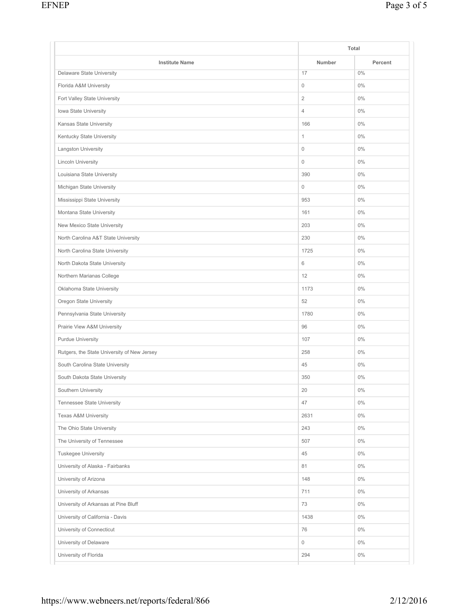|                                             | Total               |       |
|---------------------------------------------|---------------------|-------|
| <b>Institute Name</b>                       | Number<br>Percent   |       |
| <b>Delaware State University</b>            | 17                  | $0\%$ |
| Florida A&M University                      | $\mathbf 0$         | $0\%$ |
| Fort Valley State University                | $\overline{2}$      | $0\%$ |
| Iowa State University                       | $\overline{4}$      | $0\%$ |
| Kansas State University                     | 166                 | $0\%$ |
| Kentucky State University                   | $\mathbf{1}$        | $0\%$ |
| <b>Langston University</b>                  | $\mathbb O$         | $0\%$ |
| <b>Lincoln University</b>                   | $\mathbf 0$         | $0\%$ |
| Louisiana State University                  | 390                 | $0\%$ |
| Michigan State University                   | $\mathbf 0$         | $0\%$ |
| Mississippi State University                | 953                 | $0\%$ |
| Montana State University                    | 161                 | $0\%$ |
| New Mexico State University                 | 203                 | $0\%$ |
| North Carolina A&T State University         | 230                 | $0\%$ |
| North Carolina State University             | 1725                | $0\%$ |
| North Dakota State University               | 6                   | $0\%$ |
| Northern Marianas College                   | 12                  | $0\%$ |
| Oklahoma State University                   | 1173                | $0\%$ |
| Oregon State University                     | 52                  | $0\%$ |
| Pennsylvania State University               | 1780                | $0\%$ |
| Prairie View A&M University                 | 96                  | $0\%$ |
| <b>Purdue University</b>                    | 107                 | $0\%$ |
| Rutgers, the State University of New Jersey | 258                 | $0\%$ |
| South Carolina State University             | 45                  | $0\%$ |
| South Dakota State University               | 350                 | $0\%$ |
| Southern University                         | 20                  | $0\%$ |
| Tennessee State University                  | 47                  | $0\%$ |
| Texas A&M University                        | 2631                | $0\%$ |
| The Ohio State University                   | 243                 | $0\%$ |
| The University of Tennessee                 | 507                 | $0\%$ |
| <b>Tuskegee University</b>                  | 45                  | $0\%$ |
| University of Alaska - Fairbanks            | 81                  | $0\%$ |
| University of Arizona                       | 148                 | $0\%$ |
| University of Arkansas                      | 711                 | $0\%$ |
| University of Arkansas at Pine Bluff        | 73                  | $0\%$ |
| University of California - Davis            | 1438                | $0\%$ |
| University of Connecticut                   | 76                  | $0\%$ |
| University of Delaware                      | $\mathsf{O}\xspace$ | $0\%$ |
| University of Florida                       | 294                 | $0\%$ |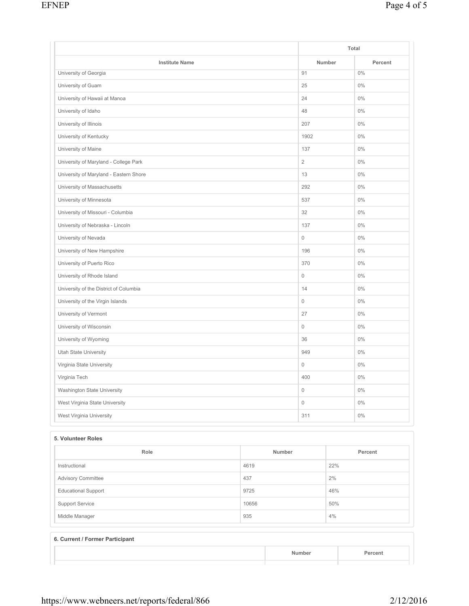|                                        |                     | Total   |  |
|----------------------------------------|---------------------|---------|--|
| <b>Institute Name</b>                  | Number              | Percent |  |
| University of Georgia                  | 91                  | $0\%$   |  |
| University of Guam                     | 25                  | $0\%$   |  |
| University of Hawaii at Manoa          | 24                  | $0\%$   |  |
| University of Idaho                    | 48                  | $0\%$   |  |
| University of Illinois                 | 207                 | $0\%$   |  |
| University of Kentucky                 | 1902                | $0\%$   |  |
| University of Maine                    | 137                 | $0\%$   |  |
| University of Maryland - College Park  | $\overline{2}$      | $0\%$   |  |
| University of Maryland - Eastern Shore | 13                  | $0\%$   |  |
| University of Massachusetts            | 292                 | $0\%$   |  |
| University of Minnesota                | 537                 | $0\%$   |  |
| University of Missouri - Columbia      | 32                  | $0\%$   |  |
| University of Nebraska - Lincoln       | 137                 | $0\%$   |  |
| University of Nevada                   | $\mathbf 0$         | $0\%$   |  |
| University of New Hampshire            | 196                 | $0\%$   |  |
| University of Puerto Rico              | 370                 | $0\%$   |  |
| University of Rhode Island             | $\mathbb O$         | $0\%$   |  |
| University of the District of Columbia | 14                  | $0\%$   |  |
| University of the Virgin Islands       | $\mathbb O$         | $0\%$   |  |
| University of Vermont                  | 27                  | $0\%$   |  |
| University of Wisconsin                | $\mathbb O$         | $0\%$   |  |
| University of Wyoming                  | 36                  | $0\%$   |  |
| <b>Utah State University</b>           | 949                 | $0\%$   |  |
| Virginia State University              | $\mathsf{O}\xspace$ | $0\%$   |  |
| Virginia Tech                          | 400                 | $0\%$   |  |
| Washington State University            | $\overline{0}$      | $0\%$   |  |
| West Virginia State University         | $\mathsf{O}\xspace$ | $0\%$   |  |
| West Virginia University               | 311                 | 0%      |  |

## **5. Volunteer Roles**

| Role                       | Number | Percent |
|----------------------------|--------|---------|
| Instructional              | 4619   | 22%     |
| <b>Advisory Committee</b>  | 437    | 2%      |
| <b>Educational Support</b> | 9725   | 46%     |
| <b>Support Service</b>     | 10656  | 50%     |
| Middle Manager             | 935    | 4%      |

## **6. Current / Former Participant Number Percent**